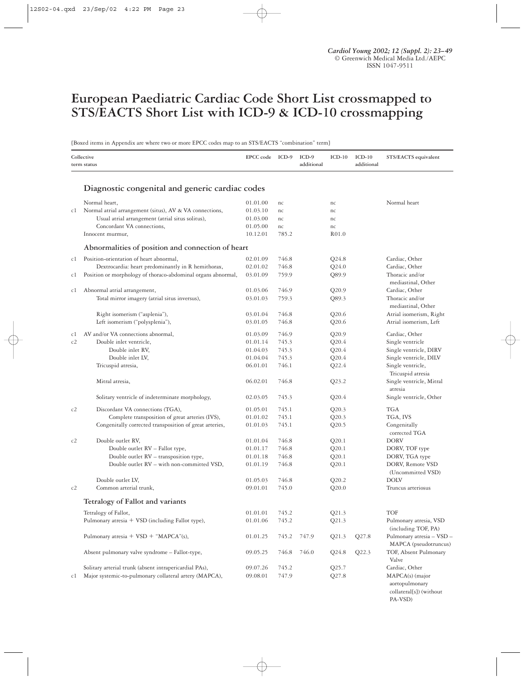# **European Paediatric Cardiac Code Short List crossmapped to STS/EACTS Short List with ICD-9 & ICD-10 crossmapping**

[Boxed items in Appendix are where two or more EPCC codes map to an STS/EACTS "combination" term]

|     | Collective<br>term status                                    | EPCC code | ICD-9 | $ICD-9$<br>additional | $ICD-10$ | $ICD-10$<br>additional | STS/EACTS equivalent      |
|-----|--------------------------------------------------------------|-----------|-------|-----------------------|----------|------------------------|---------------------------|
|     |                                                              |           |       |                       |          |                        |                           |
|     | Diagnostic congenital and generic cardiac codes              |           |       |                       |          |                        |                           |
|     | Normal heart,                                                | 01.01.00  | nc    |                       | nc       |                        | Normal heart              |
| сl  | Normal atrial arrangement (situs), AV & VA connections,      | 01.03.10  | nc    |                       | nc       |                        |                           |
|     | Usual atrial arrangement (atrial situs solitus),             | 01.03.00  | nc    |                       | nc       |                        |                           |
|     | Concordant VA connections,                                   | 01.05.00  | nc    |                       | nc       |                        |                           |
|     | Innocent murmur,                                             | 10.12.01  | 785.2 |                       | R01.0    |                        |                           |
|     | Abnormalities of position and connection of heart            |           |       |                       |          |                        |                           |
| c l | Position-orientation of heart abnormal,                      | 02.01.09  | 746.8 |                       | Q24.8    |                        | Cardiac, Other            |
|     | Dextrocardia: heart predominantly in R hemithorax,           | 02.01.02  | 746.8 |                       | Q24.0    |                        | Cardiac, Other            |
| c1  | Position or morphology of thoraco-abdominal organs abnormal, | 03.01.09  | 759.9 |                       | Q89.9    |                        | Thoracic and/or           |
|     |                                                              |           |       |                       |          |                        | mediastinal, Other        |
| c1  | Abnormal atrial arrangement,                                 | 01.03.06  | 746.9 |                       | Q20.9    |                        | Cardiac, Other            |
|     | Total mirror imagery (atrial situs inversus),                | 03.01.03  | 759.3 |                       | Q89.3    |                        | Thoracic and/or           |
|     |                                                              |           |       |                       |          |                        | mediastinal, Other        |
|     | Right isomerism ("asplenia"),                                | 03.01.04  | 746.8 |                       | Q20.6    |                        | Atrial isomerism, Right   |
|     | Left isomerism ("polysplenia"),                              | 03.01.05  | 746.8 |                       | Q20.6    |                        | Atrial isomerism, Left    |
| c1  | AV and/or VA connections abnormal,                           | 01.03.09  | 746.9 |                       | Q20.9    |                        | Cardiac, Other            |
| c2  | Double inlet ventricle,                                      | 01.01.14  | 745.3 |                       | Q20.4    |                        | Single ventricle          |
|     | Double inlet RV,                                             | 01.04.03  | 745.3 |                       | Q20.4    |                        | Single ventricle, DIRV    |
|     | Double inlet LV,                                             | 01.04.04  | 745.3 |                       | Q20.4    |                        | Single ventricle, DILV    |
|     | Tricuspid atresia,                                           | 06.01.01  | 746.1 |                       | Q22.4    |                        | Single ventricle,         |
|     |                                                              |           |       |                       |          |                        | Tricuspid atresia         |
|     | Mitral atresia,                                              | 06.02.01  | 746.8 |                       | Q23.2    |                        | Single ventricle, Mitral  |
|     |                                                              |           |       |                       |          |                        | atresia                   |
|     | Solitary ventricle of indeterminate morphology,              | 02.03.05  | 745.3 |                       | Q20.4    |                        | Single ventricle, Other   |
| c2  | Discordant VA connections (TGA),                             | 01.05.01  | 745.1 |                       | Q20.3    |                        | <b>TGA</b>                |
|     | Complete transposition of great arteries (IVS),              | 01.01.02  | 745.1 |                       | Q20.3    |                        | TGA, IVS                  |
|     | Congenitally corrected transposition of great arteries,      | 01.01.03  | 745.1 |                       | Q20.5    |                        | Congenitally              |
|     |                                                              |           |       |                       |          |                        | corrected TGA             |
| c2  | Double outlet RV,                                            | 01.01.04  | 746.8 |                       | Q20.1    |                        | <b>DORV</b>               |
|     | Double outlet RV - Fallot type,                              | 01.01.17  | 746.8 |                       | Q20.1    |                        | DORV, TOF type            |
|     | Double outlet RV - transposition type,                       | 01.01.18  | 746.8 |                       | Q20.1    |                        | DORV, TGA type            |
|     | Double outlet RV - with non-committed VSD,                   | 01.01.19  | 746.8 |                       | Q20.1    |                        | DORV, Remote VSD          |
|     |                                                              |           |       |                       |          |                        | (Uncommitted VSD)         |
|     | Double outlet LV,                                            | 01.05.03  | 746.8 |                       | Q20.2    |                        | <b>DOLV</b>               |
| c2  | Common arterial trunk,                                       | 09.01.01  | 745.0 |                       | Q20.0    |                        | Truncus arteriosus        |
|     | Tetralogy of Fallot and variants                             |           |       |                       |          |                        |                           |
|     | Tetralogy of Fallot,                                         | 01.01.01  | 745.2 |                       | Q21.3    |                        | TOF                       |
|     | Pulmonary atresia + VSD (including Fallot type),             | 01.01.06  | 745.2 |                       | Q21.3    |                        | Pulmonary atresia, VSD    |
|     |                                                              |           |       |                       |          |                        | (including TOF, PA)       |
|     | Pulmonary atresia + $VSD + "MAPCA"(s),$                      | 01.01.25  | 745.2 | 747.9                 | Q21.3    | Q27.8                  | Pulmonary atresia - VSD - |
|     |                                                              |           |       |                       |          |                        | MAPCA (pseudotruncus)     |
|     | Absent pulmonary valve syndrome - Fallot-type,               | 09.05.25  | 746.8 | 746.0                 | Q24.8    | Q22.3                  | TOF, Absent Pulmonary     |
|     |                                                              |           |       |                       |          |                        | Valve                     |
|     | Solitary arterial trunk (absent intrapericardial PAs),       | 09.07.26  | 745.2 |                       | Q25.7    |                        | Cardiac, Other            |
| сl  | Major systemic-to-pulmonary collateral artery (MAPCA),       | 09.08.01  | 747.9 |                       | Q27.8    |                        | MAPCA(s) (major           |
|     |                                                              |           |       |                       |          |                        | aortopulmonary            |

collateral[s]) (without PA-VSD)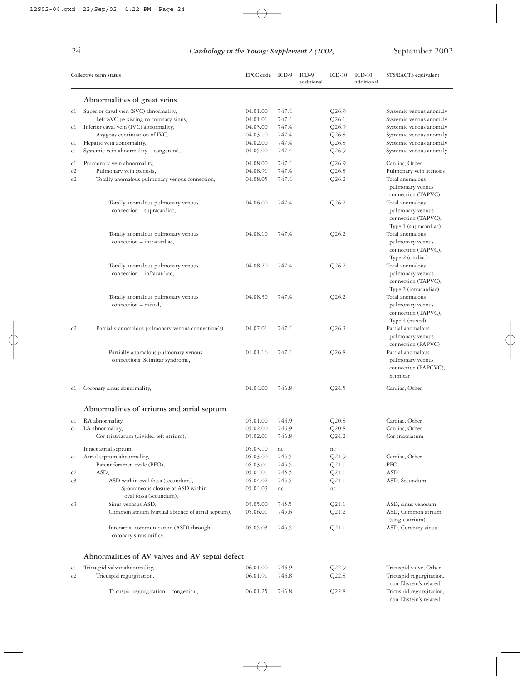|                | Collective term status                                                  |          | ICD-9 | ICD-9<br>additional | $ICD-10$ | $ICD-10$<br>additional | STS/EACTS equivalent                                                                |
|----------------|-------------------------------------------------------------------------|----------|-------|---------------------|----------|------------------------|-------------------------------------------------------------------------------------|
|                | Abnormalities of great veins                                            |          |       |                     |          |                        |                                                                                     |
| c1             | Superior caval vein (SVC) abnormality,                                  | 04.01.00 | 747.4 |                     | Q26.9    |                        | Systemic venous anomaly                                                             |
|                | Left SVC persisting to coronary sinus,                                  | 04.01.01 | 747.4 |                     | Q26.1    |                        | Systemic venous anomaly                                                             |
| c1             | Inferior caval vein (IVC) abnormality,                                  | 04.03.00 | 747.4 |                     | Q26.9    |                        | Systemic venous anomaly                                                             |
|                | Azygous continuation of IVC,                                            | 04.03.10 | 747.4 |                     | Q26.8    |                        | Systemic venous anomaly                                                             |
| cl             | Hepatic vein abnormality,                                               | 04.02.00 | 747.4 |                     | Q26.8    |                        | Systemic venous anomaly                                                             |
| c1             | Systemic vein abnormality - congenital,                                 | 04.05.00 | 747.4 |                     | Q26.9    |                        | Systemic venous anomaly                                                             |
| c1             | Pulmonary vein abnormality,                                             | 04.08.00 | 747.4 |                     | Q26.9    |                        | Cardiac, Other                                                                      |
| c2             | Pulmonary vein stenosis,                                                | 04.08.91 | 747.4 |                     | Q26.8    |                        | Pulmonary vein stenosis                                                             |
| c2             | Totally anomalous pulmonary venous connection,                          | 04.08.05 | 747.4 |                     | Q26.2    |                        | Total anomalous<br>pulmonary venous<br>connection (TAPVC)                           |
|                | Totally anomalous pulmonary venous<br>connection - supracardiac,        | 04.06.00 | 747.4 |                     | Q26.2    |                        | Total anomalous<br>pulmonary venous<br>connection (TAPVC),<br>Type 1 (supracardiac) |
|                | Totally anomalous pulmonary venous<br>connection - intracardiac,        | 04.08.10 | 747.4 |                     | Q26.2    |                        | Total anomalous<br>pulmonary venous<br>connection (TAPVC),<br>Type 2 (cardiac)      |
|                | Totally anomalous pulmonary venous<br>connection - infracardiac,        | 04.08.20 | 747.4 |                     | Q26.2    |                        | Total anomalous<br>pulmonary venous<br>connection (TAPVC),<br>Type 3 (infracardiac) |
|                | Totally anomalous pulmonary venous<br>connection - mixed,               | 04.08.30 | 747.4 |                     | Q26.2    |                        | Total anomalous<br>pulmonary venous<br>connection (TAPVC),<br>Type 4 (mixed)        |
| c2             | Partially anomalous pulmonary venous connection(s),                     | 04.07.01 | 747.4 |                     | Q26.3    |                        | Partial anomalous<br>pulmonary venous<br>connection (PAPVC)                         |
|                | Partially anomalous pulmonary venous<br>connections: Scimitar syndrome, | 01.01.16 | 747.4 |                     | Q26.8    |                        | Partial anomalous<br>pulmonary venous<br>connection (PAPCVC),<br>Scimitar           |
| cl             | Coronary sinus abnormality,                                             | 04.04.00 | 746.8 |                     | Q24.5    |                        | Cardiac, Other                                                                      |
|                | Abnormalities of atriums and atrial septum                              |          |       |                     |          |                        |                                                                                     |
| c1             | RA abnormality,                                                         | 05.01.00 | 746.9 |                     | Q20.8    |                        | Cardiac, Other                                                                      |
| cl             | LA abnormality,                                                         | 05.02.00 | 746.9 |                     | Q20.8    |                        | Cardiac, Other                                                                      |
|                | Cor triatriatum (divided left atrium),                                  | 05.02.01 | 746.8 |                     | Q24.2    |                        | Cor triatriatum                                                                     |
|                | Intact atrial septum,                                                   | 05.03.10 | nc    |                     | nc       |                        |                                                                                     |
| c1             | Atrial septum abnormality,                                              | 05.03.00 | 745.5 |                     | Q21.9    |                        | Cardiac, Other                                                                      |
|                | Patent foramen ovale (PFO),                                             | 05.03.01 | 745.5 |                     | Q21.1    |                        | PFO                                                                                 |
| c2             | ASD,                                                                    | 05.04.01 | 745.5 |                     | Q21.1    |                        | <b>ASD</b>                                                                          |
| c <sub>3</sub> | ASD within oval fossa (secundum),                                       | 05.04.02 | 745.5 |                     | Q21.1    |                        | ASD, Secundum                                                                       |
|                | Spontaneous closure of ASD within<br>oval fossa (secundum),             | 05.04.03 | nc    |                     | nc       |                        |                                                                                     |
| c <sub>3</sub> | Sinus venosus ASD,                                                      | 05.05.00 | 745.5 |                     | Q21.1    |                        | ASD, sinus venosum                                                                  |
|                | Common atrium (virtual absence of atrial septum),                       | 05.06.01 | 745.6 |                     | Q21.2    |                        | ASD, Common atrium                                                                  |
|                |                                                                         |          |       |                     |          |                        | (single atrium)                                                                     |
|                | Interatrial communication (ASD) through<br>coronary sinus orifice,      | 05.05.03 | 745.5 |                     | Q21.1    |                        | ASD, Coronary sinus                                                                 |
|                | Abnormalities of AV valves and AV septal defect                         |          |       |                     |          |                        |                                                                                     |
| cl             | Tricuspid valvar abnormality,                                           | 06.01.00 | 746.9 |                     | Q22.9    |                        | Tricuspid valve, Other                                                              |
| c2             | Tricuspid regurgitation,                                                | 06.01.91 | 746.8 |                     | Q22.8    |                        | Tricuspid regurgitation,<br>non-Ebstein's related                                   |
|                | Tricuspid regurgitation – congenital,                                   | 06.01.25 | 746.8 |                     | Q22.8    |                        | Tricuspid regurgitation,<br>non-Ebstein's related                                   |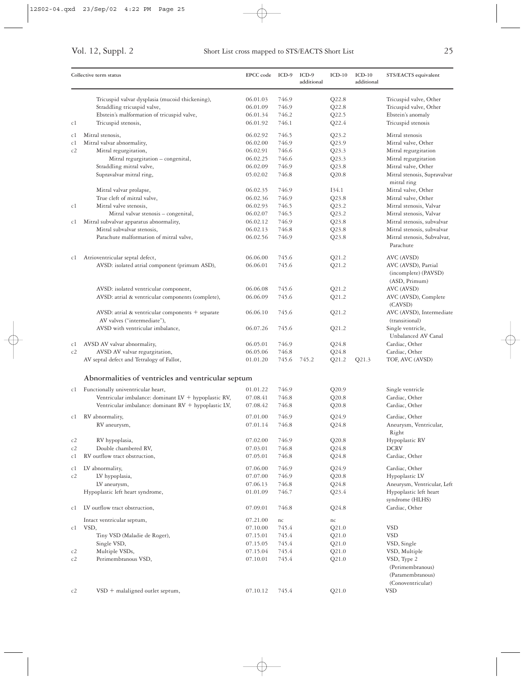|          | Collective term status                                                            | EPCC code ICD-9      |                | $ICD-9$<br>additional | $ICD-10$       | $ICD-10$<br>additional | STS/EACTS equivalent                                                 |
|----------|-----------------------------------------------------------------------------------|----------------------|----------------|-----------------------|----------------|------------------------|----------------------------------------------------------------------|
|          | Tricuspid valvar dysplasia (mucoid thickening),                                   | 06.01.03             | 746.9          |                       | Q22.8          |                        | Tricuspid valve, Other                                               |
|          | Straddling tricuspid valve,                                                       | 06.01.09             | 746.9          |                       | Q22.8          |                        | Tricuspid valve, Other                                               |
|          | Ebstein's malformation of tricuspid valve,                                        | 06.01.34             | 746.2          |                       | Q22.5          |                        | Ebstein's anomaly                                                    |
| c1       | Tricuspid stenosis,                                                               | 06.01.92             | 746.1          |                       | Q22.4          |                        | Tricuspid stenosis                                                   |
| c1       | Mitral stenosis,                                                                  | 06.02.92             | 746.5          |                       | Q23.2          |                        | Mitral stenosis                                                      |
| c1       | Mitral valvar abnormality,                                                        | 06.02.00             | 746.9          |                       | Q23.9          |                        | Mitral valve, Other                                                  |
| c2       | Mitral regurgitation,                                                             | 06.02.91             | 746.6          |                       | Q23.3          |                        | Mitral regurgitation                                                 |
|          | Mitral regurgitation - congenital,                                                | 06.02.25             | 746.6          |                       | Q23.3          |                        | Mitral regurgitation                                                 |
|          | Straddling mitral valve,                                                          | 06.02.09             | 746.9          |                       | Q23.8          |                        | Mitral valve, Other                                                  |
|          | Supravalvar mitral ring,                                                          | 05.02.02             | 746.8          |                       | Q20.8          |                        | Mitral stenosis, Supravalvar<br>mitral ring                          |
|          | Mitral valvar prolapse,                                                           | 06.02.35             | 746.9          |                       | I34.1          |                        | Mitral valve, Other                                                  |
|          | True cleft of mitral valve,                                                       | 06.02.36             | 746.9          |                       | Q23.8          |                        | Mitral valve, Other                                                  |
| c1       | Mitral valve stenosis,                                                            | 06.02.93             | 746.5          |                       | Q23.2          |                        | Mitral stenosis, Valvar                                              |
|          | Mitral valvar stenosis - congenital,                                              | 06.02.07             | 746.5          |                       | Q23.2          |                        | Mitral stenosis, Valvar                                              |
| cl       | Mitral subvalvar apparatus abnormality,                                           | 06.02.12             | 746.9          |                       | Q23.8          |                        | Mitral stenosis, subvalvar                                           |
|          | Mitral subvalvar stenosis,                                                        | 06.02.13             | 746.8          |                       | Q23.8          |                        | Mitral stenosis, subvalvar                                           |
|          | Parachute malformation of mitral valve,                                           | 06.02.56             | 746.9          |                       | Q23.8          |                        | Mitral stenosis, Subvalvar,<br>Parachute                             |
| c1       | Atrioventricular septal defect,                                                   | 06.06.00             | 745.6          |                       | Q21.2          |                        | AVC (AVSD)                                                           |
|          | AVSD: isolated atrial component (primum ASD),                                     | 06.06.01             | 745.6          |                       | Q21.2          |                        | AVC (AVSD), Partial<br>(incomplete) (PAVSD)<br>(ASD, Primum)         |
|          | AVSD: isolated ventricular component,                                             | 06.06.08             | 745.6          |                       | Q21.2          |                        | AVC (AVSD)                                                           |
|          | AVSD: atrial & ventricular components (complete),                                 | 06.06.09             | 745.6          |                       | Q21.2          |                        | AVC (AVSD), Complete<br>(CAVSD)                                      |
|          | AVSD: atrial & ventricular components $+$ separate<br>AV valves ("intermediate"), | 06.06.10             | 745.6          |                       | Q21.2          |                        | AVC (AVSD), Intermediate<br>(transitional)                           |
|          | AVSD with ventricular imbalance,                                                  | 06.07.26             | 745.6          |                       | Q21.2          |                        | Single ventricle,<br>Unbalanced AV Canal                             |
| c1       | AVSD AV valvar abnormality,                                                       | 06.05.01             | 746.9          |                       | Q24.8          |                        | Cardiac, Other                                                       |
| c2       | AVSD AV valvar regurgitation,                                                     | 06.05.06             | 746.8          |                       | $Q$ 24.8       |                        | Cardiac, Other                                                       |
|          | AV septal defect and Tetralogy of Fallot,                                         | 01.01.20             | 745.6          | 745.2                 | Q21.2          | Q21.3                  | TOF, AVC (AVSD)                                                      |
|          | Abnormalities of ventricles and ventricular septum                                |                      |                |                       |                |                        |                                                                      |
| c1       | Functionally univentricular heart,                                                | 01.01.22             | 746.9          |                       | Q20.9          |                        | Single ventricle                                                     |
|          | Ventricular imbalance: dominant LV + hypoplastic RV,                              | 07.08.41             | 746.8          |                       | Q20.8          |                        | Cardiac, Other                                                       |
|          | Ventricular imbalance: dominant RV + hypoplastic LV,                              | 07.08.42             | 746.8          |                       | Q20.8          |                        | Cardiac, Other                                                       |
| c1       | RV abnormality,                                                                   | 07.01.00             | 746.9          |                       | Q24.9          |                        | Cardiac, Other                                                       |
|          | RV aneurysm,                                                                      | 07.01.14             | 746.8          |                       | $Q$ 24.8       |                        | Aneurysm, Ventricular,<br>Right                                      |
| c2       | RV hypoplasia,                                                                    | 07.02.00             | 746.9          |                       | Q20.8          |                        | Hypoplastic RV                                                       |
| c2       | Double chambered RV,                                                              | 07.03.01             | 746.8          |                       | Q24.8          |                        | <b>DCRV</b>                                                          |
| c1       | RV outflow tract obstruction,                                                     | 07.05.01             | 746.8          |                       | $Q$ 24.8       |                        | Cardiac, Other                                                       |
| c1       | LV abnormality,                                                                   | 07.06.00             | 746.9          |                       | Q24.9          |                        | Cardiac, Other                                                       |
| c2       | LV hypoplasia,                                                                    | 07.07.00             | 746.9          |                       | Q20.8          |                        | Hypoplastic LV                                                       |
|          | LV aneurysm,                                                                      | 07.06.13             | 746.8          |                       | Q24.8          |                        | Aneurysm, Ventricular, Left                                          |
|          | Hypoplastic left heart syndrome,                                                  | 01.01.09             | 746.7          |                       | Q23.4          |                        | Hypoplastic left heart<br>syndrome (HLHS)                            |
| сl       | LV outflow tract obstruction,                                                     | 07.09.01             | 746.8          |                       | Q24.8          |                        | Cardiac, Other                                                       |
|          | Intact ventricular septum,                                                        | 07.21.00             | nc             |                       | nc             |                        |                                                                      |
| c1       | VSD,                                                                              | 07.10.00             | 745.4          |                       | Q21.0          |                        | <b>VSD</b>                                                           |
|          | Tiny VSD (Maladie de Roger),                                                      | 07.15.01             | 745.4          |                       | Q21.0          |                        | <b>VSD</b>                                                           |
|          | Single VSD,                                                                       | 07.15.05             | 745.4          |                       | Q21.0          |                        | VSD, Single                                                          |
| c2<br>c2 | Multiple VSDs,<br>Perimembranous VSD,                                             | 07.15.04<br>07.10.01 | 745.4<br>745.4 |                       | Q21.0<br>Q21.0 |                        | VSD, Multiple<br>VSD, Type 2<br>(Perimembranous)<br>(Paramembranous) |
| c2       | $VSD$ + malaligned outlet septum,                                                 | 07.10.12             | 745.4          |                       | Q21.0          |                        | (Conoventricular)<br><b>VSD</b>                                      |
|          |                                                                                   |                      |                |                       |                |                        |                                                                      |

 $\oplus$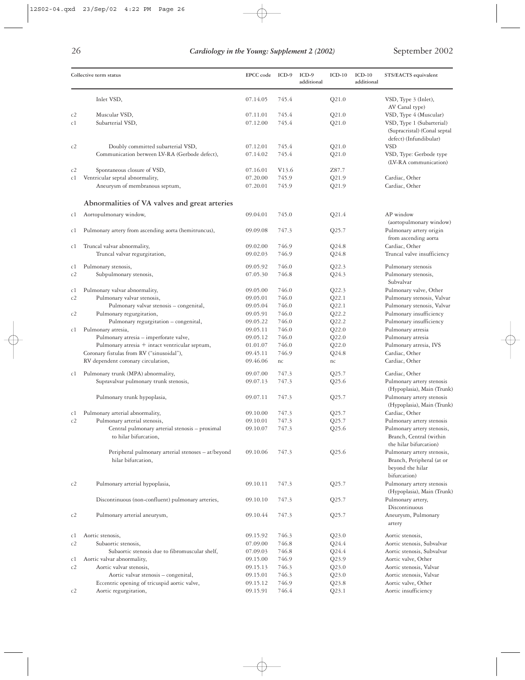| ۰,<br>۰. |
|----------|
| ۰.<br>٧  |
|          |

|    | Collective term status                                                   | EPCC code | ICD-9              | $ICD-9$<br>additional | $ICD-10$ | $ICD-10$<br>additional | STS/EACTS equivalent                                                                                                  |
|----|--------------------------------------------------------------------------|-----------|--------------------|-----------------------|----------|------------------------|-----------------------------------------------------------------------------------------------------------------------|
|    | Inlet VSD,                                                               | 07.14.05  | 745.4              |                       | Q21.0    |                        | VSD, Type 3 (Inlet),                                                                                                  |
|    |                                                                          |           |                    |                       |          |                        | AV Canal type)                                                                                                        |
| c2 | Muscular VSD,                                                            | 07.11.01  | 745.4              |                       | Q21.0    |                        | VSD, Type 4 (Muscular)                                                                                                |
| c1 | Subarterial VSD,                                                         | 07.12.00  | 745.4              |                       | Q21.0    |                        | VSD, Type 1 (Subarterial)<br>(Supracristal) (Conal septal<br>defect) (Infundibular)                                   |
| c2 | Doubly committed subarterial VSD,                                        | 07.12.01  | 745.4              |                       | Q21.0    |                        | <b>VSD</b>                                                                                                            |
|    | Communication between LV-RA (Gerbode defect),                            | 07.14.02  | 745.4              |                       | Q21.0    |                        | VSD, Type: Gerbode type<br>(LV-RA communication)                                                                      |
| c2 | Spontaneous closure of VSD,                                              | 07.16.01  | V <sub>1</sub> 3.6 |                       | Z87.7    |                        |                                                                                                                       |
| c1 | Ventricular septal abnormality,                                          | 07.20.00  | 745.9              |                       | Q21.9    |                        | Cardiac, Other                                                                                                        |
|    | Aneurysm of membranous septum,                                           | 07.20.01  | 745.9              |                       | Q21.9    |                        | Cardiac, Other                                                                                                        |
|    | Abnormalities of VA valves and great arteries                            |           |                    |                       |          |                        |                                                                                                                       |
| cl | Aortopulmonary window,                                                   | 09.04.01  | 745.0              |                       | Q21.4    |                        | AP window                                                                                                             |
|    |                                                                          | 09.09.08  |                    |                       |          |                        | (aortopulmonary window)                                                                                               |
| c1 | Pulmonary artery from ascending aorta (hemitruncus),                     |           | 747.3              |                       | Q25.7    |                        | Pulmonary artery origin<br>from ascending aorta                                                                       |
|    |                                                                          | 09.02.00  | 746.9              |                       | Q24.8    |                        | Cardiac, Other                                                                                                        |
| cl | Truncal valvar abnormality,<br>Truncal valvar regurgitation,             | 09.02.03  | 746.9              |                       | $Q$ 24.8 |                        | Truncal valve insufficiency                                                                                           |
|    |                                                                          |           |                    |                       |          |                        |                                                                                                                       |
| c1 | Pulmonary stenosis,                                                      | 09.05.92  | 746.0              |                       | Q22.3    |                        | Pulmonary stenosis                                                                                                    |
| c2 | Subpulmonary stenosis,                                                   | 07.05.30  | 746.8              |                       | Q24.3    |                        | Pulmonary stenosis,<br>Subvalvar                                                                                      |
| c1 | Pulmonary valvar abnormality,                                            | 09.05.00  | 746.0              |                       | Q22.3    |                        | Pulmonary valve, Other                                                                                                |
| c2 | Pulmonary valvar stenosis,                                               | 09.05.01  | 746.0              |                       | Q22.1    |                        | Pulmonary stenosis, Valvar                                                                                            |
|    | Pulmonary valvar stenosis - congenital,                                  | 09.05.04  | 746.0              |                       | Q22.1    |                        | Pulmonary stenosis, Valvar                                                                                            |
| c2 | Pulmonary regurgitation,                                                 | 09.05.91  | 746.0              |                       | Q22.2    |                        | Pulmonary insufficiency                                                                                               |
|    | Pulmonary regurgitation - congenital,                                    | 09.05.22  | 746.0              |                       | Q22.2    |                        | Pulmonary insufficiency                                                                                               |
| cl | Pulmonary atresia,                                                       | 09.05.11  | 746.0              |                       | Q22.0    |                        | Pulmonary atresia                                                                                                     |
|    | Pulmonary atresia - imperforate valve,                                   | 09.05.12  | 746.0              |                       | Q22.0    |                        | Pulmonary atresia                                                                                                     |
|    | Pulmonary atresia + intact ventricular septum,                           | 01.01.07  | 746.0              |                       | Q22.0    |                        | Pulmonary atresia, IVS                                                                                                |
|    | Coronary fistulas from RV ("sinusoidal"),                                | 09.45.11  | 746.9              |                       | $Q$ 24.8 |                        | Cardiac, Other                                                                                                        |
|    | RV dependent coronary circulation,                                       | 09.46.06  | nc                 |                       | nc       |                        | Cardiac, Other                                                                                                        |
| c1 | Pulmonary trunk (MPA) abnormality,                                       | 09.07.00  | 747.3              |                       | Q25.7    |                        | Cardiac, Other                                                                                                        |
|    | Supravalvar pulmonary trunk stenosis,                                    | 09.07.13  | 747.3              |                       | Q25.6    |                        | Pulmonary artery stenosis                                                                                             |
|    |                                                                          |           |                    |                       |          |                        | (Hypoplasia), Main (Trunk)                                                                                            |
|    | Pulmonary trunk hypoplasia,                                              | 09.07.11  | 747.3              |                       | Q25.7    |                        | Pulmonary artery stenosis<br>(Hypoplasia), Main (Trunk)                                                               |
| cl | Pulmonary arterial abnormality,                                          | 09.10.00  | 747.3              |                       | Q25.7    |                        | Cardiac, Other                                                                                                        |
|    | Pulmonary arterial stenosis,                                             | 09.10.01  | 747.3              |                       | Q25.7    |                        | Pulmonary artery stenosis                                                                                             |
|    | Central pulmonary arterial stenosis - proximal<br>to hilar bifurcation,  | 09.10.07  | 747.3              |                       | Q25.6    |                        | Pulmonary artery stenosis,<br>Branch, Central (within                                                                 |
|    | Peripheral pulmonary arterial stenoses - at/beyond<br>hilar bifurcation, | 09.10.06  | 747.3              |                       | Q25.6    |                        | the hilar bifurcation)<br>Pulmonary artery stenosis,<br>Branch, Peripheral (at or<br>beyond the hilar<br>bifurcation) |
| c2 | Pulmonary arterial hypoplasia,                                           | 09.10.11  | 747.3              |                       | Q25.7    |                        | Pulmonary artery stenosis<br>(Hypoplasia), Main (Trunk)                                                               |
|    | Discontinuous (non-confluent) pulmonary arteries,                        | 09.10.10  | 747.3              |                       | Q25.7    |                        | Pulmonary artery,                                                                                                     |
| c2 | Pulmonary arterial aneurysm,                                             | 09.10.44  | 747.3              |                       | Q25.7    |                        | Discontinuous<br>Aneurysm, Pulmonary<br>artery                                                                        |
| c1 | Aortic stenosis,                                                         | 09.15.92  | 746.3              |                       | Q23.0    |                        | Aortic stenosis,                                                                                                      |
| c2 | Subaortic stenosis,                                                      | 07.09.00  | 746.8              |                       | $Q$ 24.4 |                        | Aortic stenosis, Subvalvar                                                                                            |
|    | Subaortic stenosis due to fibromuscular shelf,                           | 07.09.03  | 746.8              |                       | $Q$ 24.4 |                        | Aortic stenosis, Subvalvar                                                                                            |
| c1 | Aortic valvar abnormality,                                               | 09.15.00  | 746.9              |                       | Q23.9    |                        | Aortic valve, Other                                                                                                   |
| c2 | Aortic valvar stenosis,                                                  | 09.15.13  | 746.3              |                       | Q23.0    |                        | Aortic stenosis, Valvar                                                                                               |
|    | Aortic valvar stenosis - congenital,                                     | 09.15.01  | 746.3              |                       | Q23.0    |                        | Aortic stenosis, Valvar                                                                                               |
|    | Eccentric opening of tricuspid aortic valve,                             | 09.15.12  | 746.9              |                       | Q23.8    |                        | Aortic valve, Other                                                                                                   |
| c2 | Aortic regurgitation,                                                    | 09.15.91  | 746.4              |                       | Q23.1    |                        | Aortic insufficiency                                                                                                  |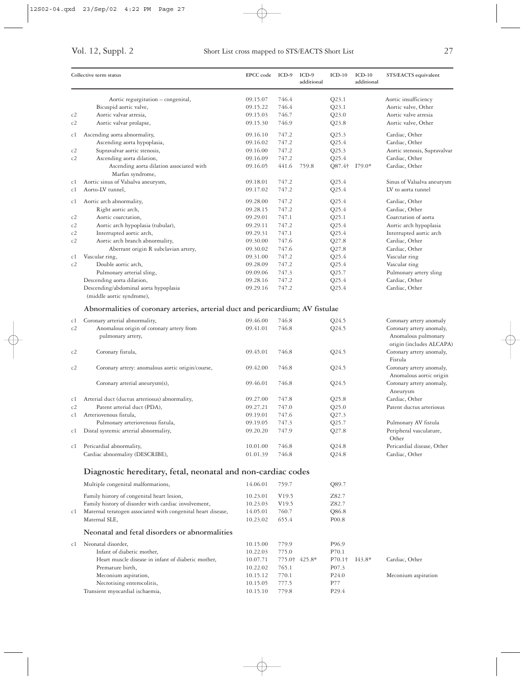|    | Collective term status                                                         | <b>EPCC</b> code | ICD-9             | ICD-9<br>additional | $ICD-10$          | $ICD-10$<br>additional | STS/EACTS equivalent                                |
|----|--------------------------------------------------------------------------------|------------------|-------------------|---------------------|-------------------|------------------------|-----------------------------------------------------|
|    | Aortic regurgitation - congenital,                                             | 09.15.07         | 746.4             |                     | Q23.1             |                        | Aortic insufficiency                                |
|    | Bicuspid aortic valve,                                                         | 09.15.22         | 746.4             |                     | Q23.1             |                        | Aortic valve, Other                                 |
| c2 | Aortic valvar atresia,                                                         | 09.15.03         | 746.7             |                     | Q23.0             |                        | Aortic valve atresia                                |
| c2 | Aortic valvar prolapse,                                                        | 09.15.30         | 746.9             |                     | Q23.8             |                        | Aortic valve, Other                                 |
| сl | Ascending aorta abnormality,                                                   | 09.16.10         | 747.2             |                     | Q25.3             |                        | Cardiac, Other                                      |
|    | Ascending aorta hypoplasia,                                                    | 09.16.02         | 747.2             |                     | Q25.4             |                        | Cardiac, Other                                      |
| c2 | Supravalvar aortic stenosis,                                                   | 09.16.00         | 747.2             |                     | Q25.3             |                        | Aortic stenosis, Supravalvar                        |
| c2 | Ascending aorta dilation,                                                      | 09.16.09         | 747.2             |                     | Q25.4             |                        | Cardiac, Other                                      |
|    | Ascending aorta dilation associated with<br>Marfan syndrome,                   | 09.16.05         | 441.6             | 759.8               | Q87.4†            | $I79.0*$               | Cardiac, Other                                      |
| c1 | Aortic sinus of Valsalva aneurysm,                                             | 09.18.01         | 747.2             |                     | Q25.4             |                        | Sinus of Valsalva aneurysm                          |
| c1 | Aorto-LV tunnel,                                                               | 09.17.02         | 747.2             |                     | Q25.4             |                        | LV to aorta tunnel                                  |
| c1 | Aortic arch abnormality,                                                       | 09.28.00         | 747.2             |                     | Q25.4             |                        | Cardiac, Other                                      |
|    | Right aortic arch,                                                             | 09.28.15         | 747.2             |                     | Q25.4             |                        | Cardiac, Other                                      |
| c2 | Aortic coarctation,                                                            | 09.29.01         | 747.1             |                     | Q25.1             |                        | Coarctation of aorta                                |
| c2 | Aortic arch hypoplasia (tubular),                                              | 09.29.11         | 747.2             |                     | Q25.4             |                        | Aortic arch hypoplasia                              |
| c2 | Interrupted aortic arch,                                                       | 09.29.31         | 747.1             |                     | Q25.4             |                        | Interrupted aortic arch                             |
| c2 | Aortic arch branch abnormality,                                                | 09.30.00         | 747.6             |                     | Q27.8             |                        | Cardiac, Other                                      |
|    | Aberrant origin R subclavian artery,                                           | 09.30.02         | 747.6             |                     | Q27.8             |                        | Cardiac, Other                                      |
| сl | Vascular ring,                                                                 | 09.31.00         | 747.2             |                     | Q25.4             |                        | Vascular ring                                       |
| c2 | Double aortic arch,                                                            | 09.28.09         | 747.2             |                     | Q25.4             |                        | Vascular ring                                       |
|    | Pulmonary arterial sling,                                                      | 09.09.06         | 747.3             |                     | Q25.7             |                        | Pulmonary artery sling                              |
|    | Descending aorta dilation,                                                     | 09.28.16         | 747.2             |                     | Q25.4             |                        | Cardiac, Other                                      |
|    | Descending/abdominal aorta hypoplasia                                          | 09.29.16         | 747.2             |                     | Q25.4             |                        | Cardiac, Other                                      |
|    | (middle aortic syndrome),                                                      |                  |                   |                     |                   |                        |                                                     |
|    | Abnormalities of coronary arteries, arterial duct and pericardium; AV fistulae |                  |                   |                     |                   |                        |                                                     |
| c1 | Coronary arterial abnormality,                                                 | 09.46.00         | 746.8             |                     | Q24.5             |                        | Coronary artery anomaly                             |
| c2 | Anomalous origin of coronary artery from                                       | 09.41.01         | 746.8             |                     | Q24.5             |                        | Coronary artery anomaly,                            |
|    | pulmonary artery,                                                              |                  |                   |                     |                   |                        | Anomalous pulmonary                                 |
|    |                                                                                |                  |                   |                     |                   |                        | origin (includes ALCAPA)                            |
| c2 | Coronary fistula,                                                              | 09.45.01         | 746.8             |                     | Q24.5             |                        | Coronary artery anomaly,<br>Fistula                 |
| c2 | Coronary artery: anomalous aortic origin/course,                               | 09.42.00         | 746.8             |                     | Q24.5             |                        | Coronary artery anomaly,<br>Anomalous aortic origin |
|    | Coronary arterial aneurysm(s),                                                 | 09.46.01         | 746.8             |                     | Q24.5             |                        | Coronary artery anomaly,<br>Aneurysm                |
| c1 | Arterial duct (ductus arteriosus) abnormality,                                 | 09.27.00         | 747.8             |                     | Q25.8             |                        | Cardiac, Other                                      |
| c2 | Patent arterial duct (PDA),                                                    | 09.27.21         | 747.0             |                     | Q25.0             |                        | Patent ductus arteriosus                            |
| c1 | Arteriovenous fistula,                                                         | 09.19.01         | 747.6             |                     | Q27.3             |                        |                                                     |
|    | Pulmonary arteriovenous fistula,                                               | 09.19.05         | 747.3             |                     | Q25.7             |                        | Pulmonary AV fistula                                |
| c1 | Distal systemic arterial abnormality,                                          | 09.20.20         | 747.9             |                     | Q27.8             |                        | Peripheral vasculature,                             |
|    |                                                                                |                  |                   |                     |                   |                        | Other                                               |
| c1 | Pericardial abnormality,                                                       | 10.01.00         | 746.8             |                     | Q24.8             |                        | Pericardial disease, Other                          |
|    | Cardiac abnormality (DESCRIBE),                                                | 01.01.39         | 746.8             |                     | $Q$ 24.8          |                        | Cardiac, Other                                      |
|    | Diagnostic hereditary, fetal, neonatal and non-cardiac codes                   |                  |                   |                     |                   |                        |                                                     |
|    | Multiple congenital malformations,                                             | 14.06.01         | 759.7             |                     | Q89.7             |                        |                                                     |
|    | Family history of congenital heart lesion,                                     | 10.23.01         | V <sub>19.5</sub> |                     | Z82.7             |                        |                                                     |
|    | Family history of disorder with cardiac involvement,                           | 10.23.03         | V <sub>19.5</sub> |                     | Z82.7             |                        |                                                     |
| c1 | Maternal teratogen associated with congenital heart disease,                   | 14.05.01         | 760.7             |                     | Q86.8             |                        |                                                     |
|    | Maternal SLE,                                                                  | 10.23.02         | 655.4             |                     | P <sub>00.8</sub> |                        |                                                     |
|    | Neonatal and fetal disorders or abnormalities                                  |                  |                   |                     |                   |                        |                                                     |
| c1 | Neonatal disorder,                                                             | 10.15.00         | 779.9             |                     | P <sub>96.9</sub> |                        |                                                     |
|    | Infant of diabetic mother,                                                     | 10.22.03         | 775.0             |                     | P70.1             |                        |                                                     |
|    | Heart muscle disease in infant of diabetic mother,                             | 10.07.71         | 775.0†            | 425.8*              | $P70.1\dagger$    | $I43.8*$               | Cardiac, Other                                      |
|    | Premature birth,                                                               | 10.22.02         | 765.1             |                     | P <sub>07.3</sub> |                        |                                                     |
|    | Meconium aspiration,                                                           | 10.15.12         | 770.1             |                     | P <sub>24.0</sub> |                        | Meconium aspiration                                 |
|    | Necrotising enterocolitis,                                                     | 10.15.05         | 777.5             |                     | P77               |                        |                                                     |
|    | Transient myocardial ischaemia,                                                | 10.15.10         | 779.8             |                     | P <sub>29.4</sub> |                        |                                                     |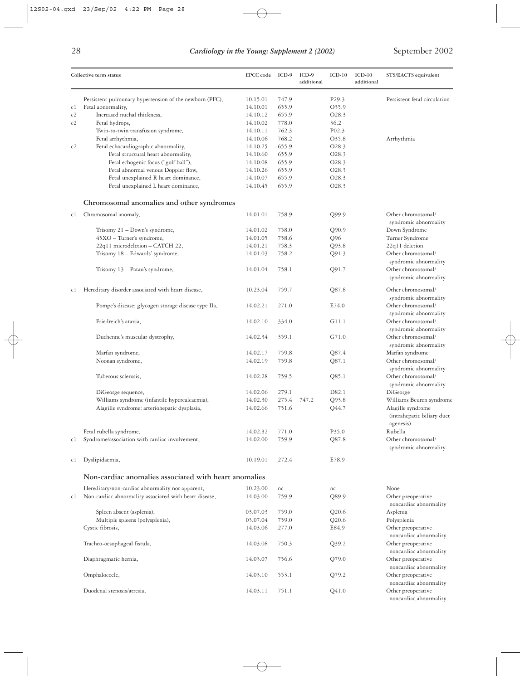|    | Collective term status                                                      |                      | ICD-9          | ICD-9<br>additional | $ICD-10$          | $ICD-10$<br>additional | STS/EACTS equivalent                                         |  |
|----|-----------------------------------------------------------------------------|----------------------|----------------|---------------------|-------------------|------------------------|--------------------------------------------------------------|--|
|    | Persistent pulmonary hypertension of the newborn (PFC),                     | 10.15.01             | 747.9          |                     | P <sub>29.3</sub> |                        | Persistent fetal circulation                                 |  |
| c1 | Fetal abnormality,                                                          | 14.10.01             | 655.9          |                     | O35.9             |                        |                                                              |  |
| c2 | Increased nuchal thickness,                                                 | 14.10.12             | 655.9          |                     | O <sub>28.3</sub> |                        |                                                              |  |
| c2 | Fetal hydrops,                                                              | 14.10.02             | 778.0          |                     | 36.2              |                        |                                                              |  |
|    | Twin-to-twin transfusion syndrome,                                          | 14.10.11             | 762.3          |                     | P <sub>02.3</sub> |                        |                                                              |  |
|    | Fetal arrhythmia,                                                           | 14.10.06             | 768.2          |                     | O35.8             |                        | Arrhythmia                                                   |  |
| c2 | Fetal echocardiographic abnormality,                                        | 14.10.25             | 655.9          |                     | O28.3             |                        |                                                              |  |
|    | Fetal structural heart abnormality,                                         | 14.10.60             | 655.9          |                     | O28.3             |                        |                                                              |  |
|    | Fetal echogenic focus ("golf ball"),<br>Fetal abnormal venous Doppler flow, | 14.10.08             | 655.9          |                     | O28.3             |                        |                                                              |  |
|    | Fetal unexplained R heart dominance,                                        | 14.10.26<br>14.10.07 | 655.9<br>655.9 |                     | O28.3<br>O28.3    |                        |                                                              |  |
|    | Fetal unexplained L heart dominance,                                        | 14.10.45             | 655.9          |                     | O28.3             |                        |                                                              |  |
|    | Chromosomal anomalies and other syndromes                                   |                      |                |                     |                   |                        |                                                              |  |
| c1 | Chromosomal anomaly,                                                        | 14.01.01             | 758.9          |                     | Q99.9             |                        | Other chromosomal/                                           |  |
|    | Trisomy 21 - Down's syndrome,                                               | 14.01.02             | 758.0          |                     | Q90.9             |                        | syndromic abnormality<br>Down Syndrome                       |  |
|    | 45XO - Turner's syndrome,                                                   | 14.01.05             | 758.6          |                     | Q96               |                        | Turner Syndrome                                              |  |
|    | 22q11 microdeletion - CATCH 22,                                             | 14.01.21             | 758.3          |                     | Q93.8             |                        | 22q11 deletion                                               |  |
|    | Trisomy 18 - Edwards' syndrome,                                             | 14.01.03             | 758.2          |                     | Q91.3             |                        | Other chromosomal/                                           |  |
|    |                                                                             |                      |                |                     |                   |                        | syndromic abnormality                                        |  |
|    | Trisomy $13$ – Patau's syndrome,                                            | 14.01.04             | 758.1          |                     | Q91.7             |                        | Other chromosomal/<br>syndromic abnormality                  |  |
| c1 | Hereditary disorder associated with heart disease,                          | 10.23.04             | 759.7          |                     | Q87.8             |                        | Other chromosomal/<br>syndromic abnormality                  |  |
|    | Pompe's disease: glycogen storage disease type IIa,                         | 14.02.21             | 271.0          |                     | E74.0             |                        | Other chromosomal/<br>syndromic abnormality                  |  |
|    | Friedreich's ataxia,                                                        | 14.02.10             | 334.0          |                     | G11.1             |                        | Other chromosomal/<br>syndromic abnormality                  |  |
|    | Duchenne's muscular dystrophy,                                              | 14.02.34             | 359.1          |                     | G71.0             |                        | Other chromosomal/<br>syndromic abnormality                  |  |
|    | Marfan syndrome,                                                            | 14.02.17             | 759.8          |                     | Q87.4             |                        | Marfan syndrome                                              |  |
|    | Noonan syndrome,                                                            | 14.02.19             | 759.8          |                     | Q87.1             |                        | Other chromosomal/<br>syndromic abnormality                  |  |
|    | Tuberous sclerosis,                                                         | 14.02.28             | 759.5          |                     | Q85.1             |                        | Other chromosomal/<br>syndromic abnormality                  |  |
|    | DiGeorge sequence,                                                          | 14.02.06             | 279.1          |                     | D82.1             |                        | DiGeorge                                                     |  |
|    | Williams syndrome (infantile hypercalcaemia),                               | 14.02.30             | 275.4          | 747.2               | Q93.8             |                        | Williams Beuren syndrome                                     |  |
|    | Alagille syndrome: arteriohepatic dysplasia,                                | 14.02.66             | 751.6          |                     | Q44.7             |                        | Alagille syndrome<br>(intrahepatic biliary duct<br>agenesis) |  |
|    | Fetal rubella syndrome,                                                     | 14.02.32             | 771.0          |                     | P35.0             |                        | Rubella                                                      |  |
| cl | Syndrome/association with cardiac involvement,                              | 14.02.00             | 759.9          |                     | Q87.8             |                        | Other chromosomal/<br>syndromic abnormality                  |  |
| cl | Dyslipidaemia,                                                              | 10.19.01             | 272.4          |                     | E78.9             |                        |                                                              |  |
|    | Non-cardiac anomalies associated with heart anomalies                       |                      |                |                     |                   |                        |                                                              |  |
|    | Hereditary/non-cardiac abnormality not apparent,                            | 10.23.00             | nc             |                     | nc                |                        | None                                                         |  |
| cl | Non-cardiac abnormality associated with heart disease,                      | 14.03.00             | 759.9          |                     | Q89.9             |                        | Other preoperative<br>noncardiac abnormality                 |  |
|    | Spleen absent (asplenia),                                                   | 03.07.03             | 759.0          |                     | Q20.6             |                        | Asplenia                                                     |  |
|    | Multiple spleens (polysplenia),                                             | 03.07.04             | 759.0          |                     | Q20.6             |                        | Polysplenia                                                  |  |
|    | Cystic fibrosis,                                                            | 14.03.06             | 277.0          |                     | E84.9             |                        | Other preoperative<br>noncardiac abnormality                 |  |
|    | Tracheo-oesophageal fistula,                                                | 14.03.08             | 750.3          |                     | Q39.2             |                        | Other preoperative<br>noncardiac abnormality                 |  |
|    | Diaphragmatic hernia,                                                       | 14.03.07             | 756.6          |                     | Q79.0             |                        | Other preoperative<br>noncardiac abnormality                 |  |
|    | Omphalocoele,                                                               | 14.03.10             | 553.1          |                     | Q79.2             |                        | Other preoperative<br>noncardiac abnormality                 |  |
|    | Duodenal stenosis/atresia,                                                  | 14.03.11             | 751.1          |                     | Q41.0             |                        | Other preoperative<br>noncardiac abnormality                 |  |

 $\oplus$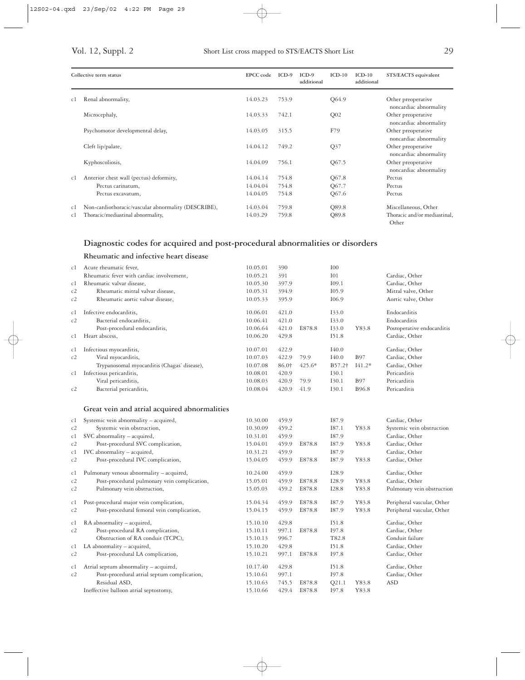| Collective term status |                                                     | EPCC code | $ICD-9$ | $ICD-9$<br>additional | $ICD-10$        | $ICD-10$<br>additional | STS/EACTS equivalent                         |
|------------------------|-----------------------------------------------------|-----------|---------|-----------------------|-----------------|------------------------|----------------------------------------------|
| c1                     | Renal abnormality,                                  | 14.03.23  | 753.9   |                       | Q64.9           |                        | Other preoperative<br>noncardiac abnormality |
|                        | Microcephaly,                                       | 14.03.33  | 742.1   |                       | Q <sub>02</sub> |                        | Other preoperative<br>noncardiac abnormality |
|                        | Psychomotor developmental delay,                    | 14.03.05  | 315.5   |                       | F79             |                        | Other preoperative<br>noncardiac abnormality |
|                        | Cleft lip/palate,                                   | 14.04.12  | 749.2   |                       | Q <sub>37</sub> |                        | Other preoperative<br>noncardiac abnormality |
|                        | Kyphoscoliosis,                                     | 14.04.09  | 756.1   |                       | Q67.5           |                        | Other preoperative<br>noncardiac abnormality |
| c1                     | Anterior chest wall (pectus) deformity,             | 14.04.14  | 754.8   |                       | Q67.8           |                        | Pectus                                       |
|                        | Pectus carinatum,                                   | 14.04.04  | 754.8   |                       | Q67.7           |                        | Pectus                                       |
|                        | Pectus excavatum,                                   | 14.04.05  | 754.8   |                       | Q67.6           |                        | Pectus                                       |
| c1                     | Non-cardiothoracic/vascular abnormality (DESCRIBE), | 14.03.04  | 759.8   |                       | Q89.8           |                        | Miscellaneous, Other                         |
| c1                     | Thoracic/mediastinal abnormality,                   | 14.03.29  | 759.8   |                       | Q89.8           |                        | Thoracic and/or mediastinal.<br>Other        |

### **Diagnostic codes for acquired and post-procedural abnormalities or disorders**

**Rheumatic and infective heart disease**

| c1       | Acute rheumatic fever,                       | 10.05.01 | 390   |          | I <sub>0</sub>     |             |                            |
|----------|----------------------------------------------|----------|-------|----------|--------------------|-------------|----------------------------|
|          | Rheumatic fever with cardiac involvement,    | 10.05.21 | 391   |          | I <sub>01</sub>    |             | Cardiac, Other             |
| c1       | Rheumatic valvar disease,                    | 10.05.30 | 397.9 |          | I09.1              |             | Cardiac, Other             |
| c2       | Rheumatic mitral valvar disease,             | 10.05.31 | 394.9 |          | I05.9              |             | Mitral valve, Other        |
| c2       | Rheumatic aortic valvar disease,             | 10.05.33 | 395.9 |          | I06.9              |             | Aortic valve, Other        |
|          |                                              |          |       |          |                    |             |                            |
| c1       | Infective endocarditis,                      | 10.06.01 | 421.0 |          | 133.0              |             | Endocarditis               |
| c2       | Bacterial endocarditis,                      | 10.06.41 | 421.0 |          | 133.0              |             | Endocarditis               |
|          | Post-procedural endocarditis,                | 10.06.64 | 421.0 | E878.8   | 133.0              | Y83.8       | Postoperative endocarditis |
| c1       | Heart abscess,                               | 10.06.20 | 429.8 |          | 151.8              |             | Cardiac, Other             |
| c1       | Infectious myocarditis,                      | 10.07.01 | 422.9 |          | I40.0              |             | Cardiac, Other             |
| c2       | Viral myocarditis,                           | 10.07.03 | 422.9 | 79.9     | I40.0              | <b>B</b> 97 | Cardiac, Other             |
|          | Trypanosomal myocarditis (Chagas' disease),  | 10.07.08 | 86.0† | $425.6*$ | B57.2 <sup>+</sup> | $I41.2*$    | Cardiac, Other             |
| c1       | Infectious pericarditis,                     | 10.08.01 | 420.9 |          | I30.1              |             | Pericarditis               |
|          | Viral pericarditis,                          | 10.08.03 | 420.9 | 79.9     | I30.1              | <b>B</b> 97 | Pericarditis               |
| c2       | Bacterial pericarditis,                      | 10.08.04 | 420.9 | 41.9     | I30.1              | B96.8       | Pericarditis               |
|          |                                              |          |       |          |                    |             |                            |
|          | Great vein and atrial acquired abnormalities |          |       |          |                    |             |                            |
| c1       | Systemic vein abnormality - acquired,        | 10.30.00 | 459.9 |          | I87.9              |             | Cardiac, Other             |
| c2       | Systemic vein obstruction,                   | 10.30.09 | 459.2 |          | I87.1              | Y83.8       | Systemic vein obstruction  |
| c1       | SVC abnormality - acquired,                  | 10.31.01 | 459.9 |          | I87.9              |             | Cardiac, Other             |
| c2       | Post-procedural SVC complication,            | 15.04.01 | 459.9 | E878.8   | 187.9              | Y83.8       | Cardiac, Other             |
| c1       | IVC abnormality - acquired,                  | 10.31.21 | 459.9 |          | I87.9              |             | Cardiac, Other             |
| c2       | Post-procedural IVC complication,            | 15.04.05 | 459.9 | E878.8   | I87.9              | Y83.8       | Cardiac, Other             |
|          | Pulmonary venous abnormality - acquired,     | 10.24.00 | 459.9 |          | I28.9              |             | Cardiac, Other             |
| c1<br>c2 | Post-procedural pulmonary vein complication, | 15.05.01 | 459.9 | E878.8   | I28.9              | Y83.8       | Cardiac, Other             |
| c2       | Pulmonary vein obstruction,                  | 15.05.03 | 459.2 | E878.8   | I28.8              | Y83.8       | Pulmonary vein obstruction |
|          |                                              |          |       |          |                    |             |                            |
| c1       | Post-procedural major vein complication,     | 15.04.34 | 459.9 | E878.8   | I87.9              | Y83.8       | Peripheral vascular, Other |
| c2       | Post-procedural femoral vein complication,   | 15.04.15 | 459.9 | E878.8   | I87.9              | Y83.8       | Peripheral vascular, Other |
| c1       | RA abnormality - acquired,                   | 15.10.10 | 429.8 |          | I51.8              |             | Cardiac, Other             |
| c2       | Post-procedural RA complication,             | 15.10.11 | 997.1 | E878.8   | 197.8              |             | Cardiac, Other             |
|          | Obstruction of RA conduit (TCPC),            | 15.10.13 | 996.7 |          | T82.8              |             | Conduit failure            |
| c1       | LA abnormality - acquired,                   | 15.10.20 | 429.8 |          | I51.8              |             | Cardiac, Other             |
| c2       | Post-procedural LA complication,             | 15.10.21 | 997.1 | E878.8   | I97.8              |             | Cardiac, Other             |
| c1       | Atrial septum abnormality - acquired,        | 10.17.40 | 429.8 |          | I51.8              |             | Cardiac, Other             |
| c2       | Post-procedural atrial septum complication,  | 15.10.61 | 997.1 |          | I97.8              |             | Cardiac, Other             |
|          | Residual ASD,                                | 15.10.63 | 745.5 | E878.8   | Q21.1              | Y83.8       | <b>ASD</b>                 |
|          | Ineffective balloon atrial septostomy,       | 15.10.66 | 429.4 | E878.8   | 197.8              | Y83.8       |                            |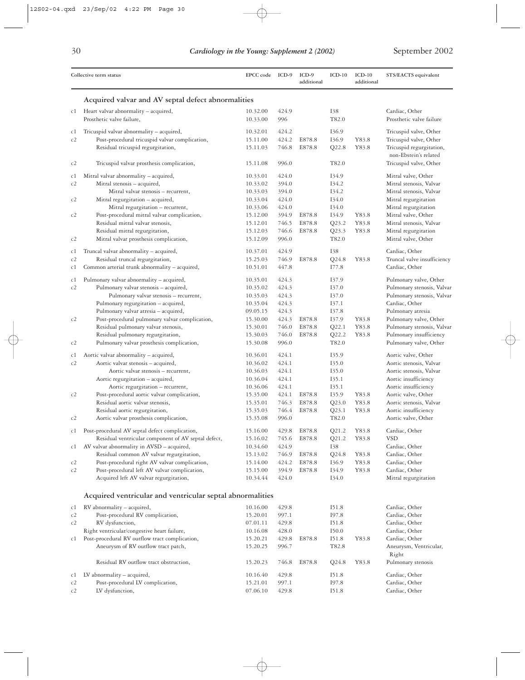|                      | Collective term status                                                                                                                                                                                                                                                  | EPCC code                                                                        | ICD-9                                                       | $ICD-9$<br>additional      | $ICD-10$                                                    | $ICD-10$<br>additional  | STS/EACTS equivalent                                                                                                                                                        |
|----------------------|-------------------------------------------------------------------------------------------------------------------------------------------------------------------------------------------------------------------------------------------------------------------------|----------------------------------------------------------------------------------|-------------------------------------------------------------|----------------------------|-------------------------------------------------------------|-------------------------|-----------------------------------------------------------------------------------------------------------------------------------------------------------------------------|
|                      | Acquired valvar and AV septal defect abnormalities                                                                                                                                                                                                                      |                                                                                  |                                                             |                            |                                                             |                         |                                                                                                                                                                             |
| c1                   | Heart valvar abnormality – acquired,<br>Prosthetic valve failure,                                                                                                                                                                                                       | 10.32.00<br>10.33.00                                                             | 424.9<br>996                                                |                            | I38<br>T82.0                                                |                         | Cardiac, Other<br>Prosthetic valve failure                                                                                                                                  |
| c1<br>c2             | Tricuspid valvar abnormality - acquired,<br>Post-procedural tricuspid valvar complication,<br>Residual tricuspid regurgitation,                                                                                                                                         | 10.32.01<br>15.11.00<br>15.11.03                                                 | 424.2<br>424.2<br>746.8                                     | E878.8<br>E878.8           | I36.9<br>I36.9<br>Q22.8                                     | Y83.8<br>Y83.8          | Tricuspid valve, Other<br>Tricuspid valve, Other<br>Tricuspid regurgitation,<br>non-Ebstein's related                                                                       |
| c2                   | Tricuspid valvar prosthesis complication,                                                                                                                                                                                                                               | 15.11.08                                                                         | 996.0                                                       |                            | T82.0                                                       |                         | Tricuspid valve, Other                                                                                                                                                      |
| c1<br>c2<br>c2<br>c2 | Mitral valvar abnormality - acquired,<br>Mitral stenosis - acquired,<br>Mitral valvar stenosis - recurrent,<br>Mitral regurgitation - acquired,<br>Mitral regurgitation - recurrent,<br>Post-procedural mitral valvar complication,<br>Residual mitral valvar stenosis, | 10.33.01<br>10.33.02<br>10.33.03<br>10.33.04<br>10.33.06<br>15.12.00<br>15.12.01 | 424.0<br>394.0<br>394.0<br>424.0<br>424.0<br>394.9<br>746.5 | E878.8<br>E878.8           | 134.9<br>I34.2<br>I34.2<br>I34.0<br>I34.0<br>I34.9<br>Q23.2 | Y83.8<br>Y83.8          | Mitral valve, Other<br>Mitral stenosis, Valvar<br>Mitral stenosis, Valvar<br>Mitral regurgitation<br>Mitral regurgitation<br>Mitral valve, Other<br>Mitral stenosis, Valvar |
| c2                   | Residual mitral regurgitation,<br>Mitral valvar prosthesis complication,                                                                                                                                                                                                | 15.12.03<br>15.12.09                                                             | 746.6<br>996.0                                              | E878.8                     | Q23.3<br>T82.0                                              | Y83.8                   | Mitral regurgitation<br>Mitral valve, Other                                                                                                                                 |
| c1<br>c2<br>c1       | Truncal valvar abnormality - acquired,<br>Residual truncal regurgitation,<br>Common arterial trunk abnormality - acquired,                                                                                                                                              | 10.37.01<br>15.25.03<br>10.51.01                                                 | 424.9<br>746.9<br>447.8                                     | E878.8                     | <b>I38</b><br>Q24.8<br>I77.8                                | Y83.8                   | Cardiac, Other<br>Truncal valve insufficiency<br>Cardiac, Other                                                                                                             |
| c1<br>c2             | Pulmonary valvar abnormality - acquired,<br>Pulmonary valvar stenosis - acquired,<br>Pulmonary valvar stenosis - recurrent,<br>Pulmonary regurgitation - acquired,<br>Pulmonary valvar atresia - acquired,                                                              | 10.35.01<br>10.35.02<br>10.35.03<br>10.35.04<br>09.05.15                         | 424.3<br>424.3<br>424.3<br>424.3<br>424.3                   |                            | I37.9<br>I37.0<br>I37.0<br>I37.1<br>I37.8                   |                         | Pulmonary valve, Other<br>Pulmonary stenosis, Valvar<br>Pulmonary stenosis, Valvar<br>Cardiac, Other<br>Pulmonary atresia                                                   |
| c2<br>c2             | Post-procedural pulmonary valvar complication,<br>Residual pulmonary valvar stenosis,<br>Residual pulmonary regurgitation,<br>Pulmonary valvar prosthesis complication,                                                                                                 | 15.30.00<br>15.30.01<br>15.30.03<br>15.30.08                                     | 424.3<br>746.0<br>746.0<br>996.0                            | E878.8<br>E878.8<br>E878.8 | I37.9<br>Q22.1<br>Q22.2<br>T82.0                            | Y83.8<br>Y83.8<br>Y83.8 | Pulmonary valve, Other<br>Pulmonary stenosis, Valvar<br>Pulmonary insufficiency<br>Pulmonary valve, Other                                                                   |
| c1<br>c2             | Aortic valvar abnormality – acquired,<br>Aortic valvar stenosis - acquired,<br>Aortic valvar stenosis - recurrent,<br>Aortic regurgitation - acquired,<br>Aortic regurgitation - recurrent,                                                                             | 10.36.01<br>10.36.02<br>10.36.03<br>10.36.04<br>10.36.06                         | 424.1<br>424.1<br>424.1<br>424.1<br>424.1                   |                            | I35.9<br>I35.0<br>I35.0<br>I35.1<br>I35.1                   |                         | Aortic valve, Other<br>Aortic stenosis, Valvar<br>Aortic stenosis, Valvar<br>Aortic insufficiency<br>Aortic insufficiency                                                   |
| c2<br>c2             | Post-procedural aortic valvar complication,<br>Residual aortic valvar stenosis,<br>Residual aortic regurgitation,<br>Aortic valvar prosthesis complication,                                                                                                             | 15.35.00<br>15.35.01<br>15.35.03<br>15.35.08                                     | 424.1<br>746.3<br>746.4<br>996.0                            | E878.8<br>E878.8<br>E878.8 | I35.9<br>Q23.0<br>Q23.1<br>T82.0                            | Y83.8<br>Y83.8<br>Y83.8 | Aortic valve, Other<br>Aortic stenosis, Valvar<br>Aortic insufficiency<br>Aortic valve, Other                                                                               |
| c1                   | Post-procedural AV septal defect complication,<br>Residual ventricular component of AV septal defect,                                                                                                                                                                   | 15.16.00<br>15.16.02                                                             | 429.8<br>745.6                                              | E878.8<br>E878.8           | Q21.2<br>Q21.2                                              | Y83.8<br>Y83.8          | Cardiac, Other<br><b>VSD</b>                                                                                                                                                |
| c1<br>c2<br>c2       | AV valvar abnormality in AVSD - acquired,<br>Residual common AV valvar regurgitation,<br>Post-procedural right AV valvar complication,<br>Post-procedural left AV valvar complication,<br>Acquired left AV valvar regurgitation,                                        | 10.34.60<br>15.13.02<br>15.14.00<br>15.15.00<br>10.34.44                         | 424.9<br>746.9<br>424.2<br>394.9<br>424.0                   | E878.8<br>E878.8<br>E878.8 | <b>I38</b><br>Q24.8<br>I36.9<br>I34.9<br>I34.0              | Y83.8<br>Y83.8<br>Y83.8 | Cardiac, Other<br>Cardiac, Other<br>Cardiac, Other<br>Cardiac, Other<br>Mitral regurgitation                                                                                |
|                      | Acquired ventricular and ventricular septal abnormalities                                                                                                                                                                                                               |                                                                                  |                                                             |                            |                                                             |                         |                                                                                                                                                                             |
| c1<br>c2<br>c2<br>c1 | RV abnormality - acquired,<br>Post-procedural RV complication,<br>RV dysfunction,<br>Right ventricular/congestive heart failure,<br>Post-procedural RV outflow tract complication,<br>Aneurysm of RV outflow tract patch,                                               | 10.16.00<br>15.20.01<br>07.01.11<br>10.16.08<br>15.20.21<br>15.20.25             | 429.8<br>997.1<br>429.8<br>428.0<br>429.8<br>996.7          | E878.8                     | I51.8<br>I97.8<br>I51.8<br>I50.0<br>I51.8<br>T82.8          | Y83.8                   | Cardiac, Other<br>Cardiac, Other<br>Cardiac, Other<br>Cardiac, Other<br>Cardiac, Other<br>Aneurysm, Ventricular,                                                            |
|                      | Residual RV outflow tract obstruction,                                                                                                                                                                                                                                  | 15.20.23                                                                         | 746.8                                                       | E878.8                     | Q24.8                                                       | Y83.8                   | Right<br>Pulmonary stenosis                                                                                                                                                 |
| c1<br>c2<br>c2       | LV abnormality - acquired,<br>Post-procedural LV complication,<br>LV dysfunction,                                                                                                                                                                                       | 10.16.40<br>15.21.01<br>07.06.10                                                 | 429.8<br>997.1<br>429.8                                     |                            | I51.8<br>197.8<br>I51.8                                     |                         | Cardiac, Other<br>Cardiac, Other<br>Cardiac, Other                                                                                                                          |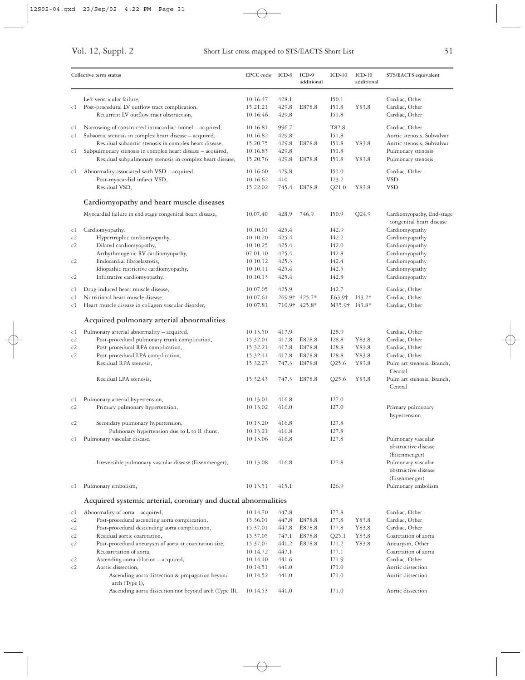|          | Collective term status                                                                                                                                                          | <b>EPCC</b> code                 | $ICD-9$                 | $ICD-9$<br>additional | $ICD-10$                  | $ICD-10$<br>additional | STS/EACTS equivalent                                                   |
|----------|---------------------------------------------------------------------------------------------------------------------------------------------------------------------------------|----------------------------------|-------------------------|-----------------------|---------------------------|------------------------|------------------------------------------------------------------------|
| c1       | Left ventricular failure,<br>Post-procedural LV outflow tract complication,<br>Recurrent LV outflow tract obstruction,                                                          | 10.16.47<br>15.21.21<br>10.16.46 | 428.1<br>429.8<br>429.8 | E878.8                | I50.1<br>I51.8<br>I51.8   | Y83.8                  | Cardiac, Other<br>Cardiac, Other<br>Cardiac, Other                     |
| cl<br>c1 | Narrowing of constructed intracardiac tunnel – acquired,<br>Subaortic stenosis in complex heart disease - acquired,                                                             | 10.16.81<br>10.16.82             | 996.7<br>429.8          |                       | T82.8<br>I51.8            |                        | Cardiac, Other<br>Aortic stenosis, Subvalvar                           |
| cl       | Residual subaortic stenosis in complex heart disease,<br>Subpulmonary stenosis in complex heart disease - acquired,<br>Residual subpulmonary stenosis in complex heart disease, | 15.20.75<br>10.16.83<br>15.20.76 | 429.8<br>429.8<br>429.8 | E878.8<br>E878.8      | I51.8<br>I51.8<br>151.8   | Y83.8<br>Y83.8         | Aortic stenosis, Subvalvar<br>Pulmonary stenosis<br>Pulmonary stenosis |
| cl       | Abnormality associated with VSD - acquired,<br>Post-myocardial infarct VSD,                                                                                                     | 10.16.60<br>10.16.62             | 429.8<br>410            |                       | I51.0<br>I23.2            |                        | Cardiac, Other<br><b>VSD</b>                                           |
|          | Residual VSD,                                                                                                                                                                   | 15.22.02                         | 745.4                   | E878.8                | Q21.0                     | Y83.8                  | <b>VSD</b>                                                             |
|          | Cardiomyopathy and heart muscle diseases                                                                                                                                        |                                  |                         |                       |                           |                        |                                                                        |
|          | Myocardial failure in end stage congenital heart disease,                                                                                                                       | 10.07.40                         | 428.9                   | 746.9                 | I50.9                     | Q24.9                  | Cardiomyopathy, End-stage<br>congenital heart disease                  |
| c1       | Cardiomyopathy,                                                                                                                                                                 | 10.10.01                         | 425.4                   |                       | I42.9                     |                        | Cardiomyopathy                                                         |
| c2       | Hypertrophic cardiomyopathy,                                                                                                                                                    | 10.10.20                         | 425.4                   |                       | I42.2                     |                        | Cardiomyopathy                                                         |
| c2       | Dilated cardiomyopathy,                                                                                                                                                         | 10.10.25                         | 425.4                   |                       | I42.0                     |                        | Cardiomyopathy                                                         |
|          | Arrhythmogenic RV cardiomyopathy,                                                                                                                                               | 07.01.10                         | 425.4                   |                       | I42.8                     |                        | Cardiomyopathy                                                         |
| c2       | Endocardial fibroelastosis,                                                                                                                                                     | 10.10.12                         | 425.3                   |                       | I42.4                     |                        | Cardiomyopathy                                                         |
| c2       | Idiopathic restrictive cardiomyopathy,<br>Infiltrative cardiomyopathy,                                                                                                          | 10.10.11<br>10.10.13             | 425.4<br>425.4          |                       | I42.5<br>I42.8            |                        | Cardiomyopathy<br>Cardiomyopathy                                       |
| cl       | Drug induced heart muscle disease,                                                                                                                                              | 10.07.05                         | 425.9                   |                       | I42.7                     |                        | Cardiac, Other                                                         |
| c1       | Nutritional heart muscle disease,                                                                                                                                               | 10.07.61                         |                         | 269.9† 425.7*         | E63.9 <sup>+</sup>        | $I43.2*$               | Cardiac, Other                                                         |
| c1       | Heart muscle disease in collagen vascular disorder,                                                                                                                             | 10.07.81                         |                         | 710.9† 425.8*         | M35.9 <sup>†</sup> I43.8* |                        | Cardiac, Other                                                         |
|          | Acquired pulmonary arterial abnormalities                                                                                                                                       |                                  |                         |                       |                           |                        |                                                                        |
| cl       | Pulmonary arterial abnormality - acquired,                                                                                                                                      | 10.13.50                         | 417.9                   |                       | I28.9                     |                        | Cardiac, Other                                                         |
| c2       | Post-procedural pulmonary trunk complication,                                                                                                                                   | 15.32.01                         | 417.8                   | E878.8                | I28.8                     | Y83.8                  | Cardiac, Other                                                         |
| c2       | Post-procedural RPA complication,                                                                                                                                               | 15.32.21                         | 417.8                   | E878.8                | I28.8                     | Y83.8                  | Cardiac, Other                                                         |
| c2       | Post-procedural LPA complication,<br>Residual RPA stenosis,                                                                                                                     | 15.32.41<br>15.32.23             | 417.8<br>747.3          | E878.8<br>E878.8      | I28.8<br>Q25.6            | Y83.8<br>Y83.8         | Cardiac, Other<br>Pulm art stenosis, Branch,                           |
|          | Residual LPA stenosis,                                                                                                                                                          | 15.32.43                         | 747.3                   | E878.8                | Q25.6                     | Y83.8                  | Central<br>Pulm art stenosis, Branch,<br>Central                       |
|          |                                                                                                                                                                                 |                                  |                         |                       |                           |                        |                                                                        |
| cl       | Pulmonary arterial hypertension,                                                                                                                                                | 10.13.01                         | 416.8                   |                       | I27.0                     |                        |                                                                        |
| c2       | Primary pulmonary hypertension,                                                                                                                                                 | 10.13.02                         | 416.0                   |                       | I27.0                     |                        | Primary pulmonary<br>hypertension                                      |
| c2       | Secondary pulmonary hypertension,                                                                                                                                               | 10.13.20                         | 416.8<br>416.8          |                       | I27.8<br>I27.8            |                        |                                                                        |
| c1       | Pulmonary hypertension due to L to R shunt,<br>Pulmonary vascular disease,                                                                                                      | 10.13.21<br>10.13.06             | 416.8                   |                       | I27.8                     |                        | Pulmonary vascular<br>obstructive disease<br>(Eisenmenger)             |
|          | Irreversible pulmonary vascular disease (Eisenmenger),                                                                                                                          | 10.13.08                         | 416.8                   |                       | I27.8                     |                        | Pulmonary vascular<br>obstructive disease<br>(Eisenmenger)             |
| c1       | Pulmonary embolism,                                                                                                                                                             | 10.13.51                         | 415.1                   |                       | I26.9                     |                        | Pulmonary embolism                                                     |
|          | Acquired systemic arterial, coronary and ductal abnormalities                                                                                                                   |                                  |                         |                       |                           |                        |                                                                        |
| c1       | Abnormality of aorta – acquired,                                                                                                                                                | 10.14.70                         | 447.8                   |                       | I77.8                     |                        | Cardiac, Other                                                         |
| c2       | Post-procedural ascending aorta complication,                                                                                                                                   | 15.36.01                         | 447.8                   | E878.8                | I77.8                     | Y83.8                  | Cardiac, Other                                                         |
| c2       | Post-procedural descending aorta complication,                                                                                                                                  | 15.37.01                         | 447.8                   | E878.8                | I77.8                     | Y83.8                  | Cardiac, Other                                                         |
| c2       | Residual aortic coarctation,                                                                                                                                                    | 15.37.05                         | 747.1                   | E878.8                | Q25.1                     | Y83.8                  | Coarctation of aorta                                                   |
| c2       | Post-procedural aneurysm of aorta at coarctation site,                                                                                                                          | 15.37.07                         | 441.2                   | E878.8                | I71.2                     | Y83.8                  | Aneurysm, Other                                                        |
|          | Recoarctation of aorta,                                                                                                                                                         | 10.14.72                         | 447.1                   |                       | I77.1                     |                        | Coarctation of aorta                                                   |
| c2       | Ascending aorta dilation - acquired,                                                                                                                                            | 10.14.40<br>10.14.51             | 441.6<br>441.0          |                       | I71.9                     |                        | Cardiac, Other<br>Aortic dissection                                    |
| c2       | Aortic dissection,<br>Ascending aorta dissection & propagation beyond<br>arch (Type I),                                                                                         | 10.14.52                         | 441.0                   |                       | I71.0<br>I71.0            |                        | Aortic dissection                                                      |
|          | Ascending aorta dissection not beyond arch (Type II),                                                                                                                           | 10.14.53                         | 441.0                   |                       | I71.0                     |                        | Aortic dissection                                                      |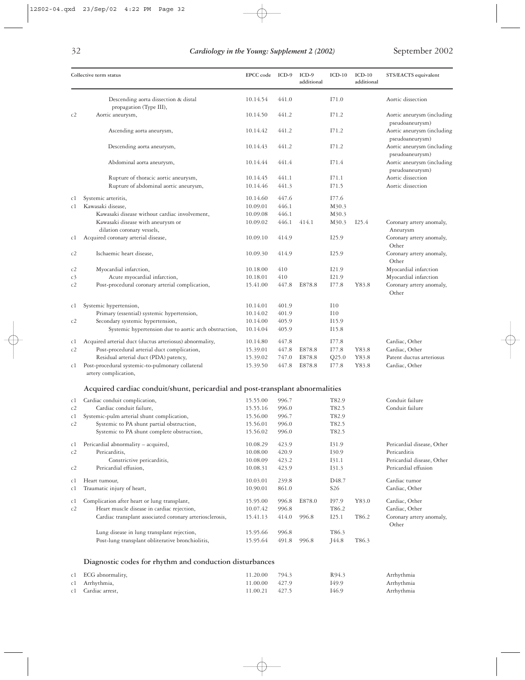|          | Collective term status                                                                    | EPCC code            | ICD-9          | $ICD-9$<br>additional | $ICD-10$                             | $ICD-10$<br>additional | STS/EACTS equivalent                                             |
|----------|-------------------------------------------------------------------------------------------|----------------------|----------------|-----------------------|--------------------------------------|------------------------|------------------------------------------------------------------|
|          | Descending aorta dissection & distal                                                      | 10.14.54             | 441.0          |                       | I71.0                                |                        | Aortic dissection                                                |
| c2       | propagation (Type III),<br>Aortic aneurysm,                                               | 10.14.50             | 441.2          |                       | I71.2                                |                        | Aortic aneurysm (including                                       |
|          | Ascending aorta aneurysm,                                                                 | 10.14.42             | 441.2          |                       | I71.2                                |                        | pseudoaneurysm)<br>Aortic aneurysm (including                    |
|          | Descending aorta aneurysm,                                                                | 10.14.43             | 441.2          |                       | I71.2                                |                        | pseudoaneurysm)<br>Aortic aneurysm (including                    |
|          | Abdominal aorta aneurysm,                                                                 | 10.14.44             | 441.4          |                       | I71.4                                |                        | pseudoaneurysm)<br>Aortic aneurysm (including<br>pseudoaneurysm) |
|          | Rupture of thoracic aortic aneurysm,<br>Rupture of abdominal aortic aneurysm,             | 10.14.45<br>10.14.46 | 441.1<br>441.3 |                       | I71.1<br>I71.5                       |                        | Aortic dissection<br>Aortic dissection                           |
| cl       | Systemic arteritis,                                                                       | 10.14.60             | 447.6          |                       | I77.6                                |                        |                                                                  |
| c1       | Kawasaki disease,                                                                         | 10.09.01             | 446.1          |                       | M30.3                                |                        |                                                                  |
|          | Kawasaki disease without cardiac involvement,                                             | 10.09.08             | 446.1          |                       | M30.3                                |                        |                                                                  |
|          | Kawasaki disease with aneurysm or<br>dilation coronary vessels,                           | 10.09.02             | 446.1          | 414.1                 | M30.3                                | I25.4                  | Coronary artery anomaly,<br>Aneurysm                             |
| cl       | Acquired coronary arterial disease,                                                       | 10.09.10             | 414.9          |                       | I25.9                                |                        | Coronary artery anomaly,<br>Other                                |
| c2       | Ischaemic heart disease,                                                                  | 10.09.30             | 414.9          |                       | I25.9                                |                        | Coronary artery anomaly,<br>Other                                |
| c2       | Myocardial infarction,                                                                    | 10.18.00             | 410            |                       | I21.9                                |                        | Myocardial infarction                                            |
| c3       | Acute myocardial infarction,                                                              | 10.18.01             | 410            |                       | I21.9                                |                        | Myocardial infarction                                            |
| c2       | Post-procedural coronary arterial complication,                                           | 15.41.00             | 447.8          | E878.8                | I77.8                                | Y83.8                  | Coronary artery anomaly,<br>Other                                |
| c1       | Systemic hypertension,                                                                    | 10.14.01             | 401.9          |                       | I10                                  |                        |                                                                  |
|          | Primary (essential) systemic hypertension,                                                | 10.14.02             | 401.9          |                       | I10                                  |                        |                                                                  |
| c2       | Secondary systemic hypertension,<br>Systemic hypertension due to aortic arch obstruction, | 10.14.00<br>10.14.04 | 405.9<br>405.9 |                       | I15.9<br>I15.8                       |                        |                                                                  |
| cl       | Acquired arterial duct (ductus arteriosus) abnormality,                                   | 10.14.80             | 447.8          |                       | I77.8                                |                        | Cardiac, Other                                                   |
| c2       | Post-procedural arterial duct complication,                                               | 15.39.01             | 447.8          | E878.8                | I77.8                                | Y83.8                  | Cardiac, Other                                                   |
|          | Residual arterial duct (PDA) patency,                                                     | 15.39.02             | 747.0          | E878.8                | Q25.0                                | Y83.8                  | Patent ductus arteriosus                                         |
| c1       | Post-procedural systemic-to-pulmonary collateral<br>artery complication,                  | 15.39.50             | 447.8          | E878.8                | I77.8                                | Y83.8                  | Cardiac, Other                                                   |
|          | Acquired cardiac conduit/shunt, pericardial and post-transplant abnormalities             |                      |                |                       |                                      |                        |                                                                  |
| cl       | Cardiac conduit complication,                                                             | 15.55.00             | 996.7          |                       | T82.9                                |                        | Conduit failure                                                  |
| c2       | Cardiac conduit failure,                                                                  | 15.55.16             | 996.0          |                       | T82.5                                |                        | Conduit failure                                                  |
| c1       | Systemic-pulm arterial shunt complication,                                                | 15.56.00             | 996.7          |                       | T82.9                                |                        |                                                                  |
| c2       | Systemic to PA shunt partial obstruction,                                                 | 15.56.01             | 996.0          |                       | T82.5                                |                        |                                                                  |
|          | Systemic to PA shunt complete obstruction,                                                | 15.56.02             | 996.0          |                       | T82.5                                |                        |                                                                  |
| cl       | Pericardial abnormality - acquired,                                                       | 10.08.29             | 423.9          |                       | 131.9                                |                        | Pericardial disease, Other                                       |
| c2       | Pericarditis,                                                                             | 10.08.00             | 420.9          |                       | 130.9                                |                        | Pericarditis                                                     |
|          | Constrictive pericarditis,                                                                | 10.08.09             | 423.2          |                       | I31.1                                |                        | Pericardial disease, Other                                       |
| c2       | Pericardial effusion,                                                                     | 10.08.31             | 423.9          |                       | 131.3                                |                        | Pericardial effusion                                             |
| cl<br>c1 | Heart tumour,<br>Traumatic injury of heart,                                               | 10.03.01<br>10.90.01 | 239.8<br>861.0 |                       | D <sub>48.7</sub><br>S <sub>26</sub> |                        | Cardiac tumor<br>Cardiac, Other                                  |
| c1       | Complication after heart or lung transplant,                                              | 15.95.00             | 996.8          | E878.0                | 197.9                                | Y83.0                  | Cardiac, Other                                                   |
| c2       | Heart muscle disease in cardiac rejection,                                                | 10.07.42             | 996.8          |                       | T <sub>86.2</sub>                    |                        | Cardiac, Other                                                   |
|          | Cardiac transplant associated coronary arteriosclerosis,                                  | 15.41.13             | 414.0          | 996.8                 | I25.1                                | T86.2                  | Coronary artery anomaly,<br>Other                                |
|          | Lung disease in lung transplant rejection,                                                | 15.95.66             | 996.8          |                       | T86.3                                |                        |                                                                  |
|          | Post-lung transplant obliterative bronchiolitis,                                          | 15.95.64             | 491.8          | 996.8                 | J44.8                                | T86.3                  |                                                                  |
|          | Diagnostic codes for rhythm and conduction disturbances                                   |                      |                |                       |                                      |                        |                                                                  |
| cl       | ECG abnormality,                                                                          | 11.20.00             | 794.3          |                       | R94.3                                |                        | Arrhythmia                                                       |
| c1       | Arrhythmia,                                                                               | 11.00.00             | 427.9          |                       | I49.9                                |                        | Arrhythmia                                                       |

 $\oplus$ 

c1 Cardiac arrest, 11.00.21 427.5 I46.9 Arrhythmia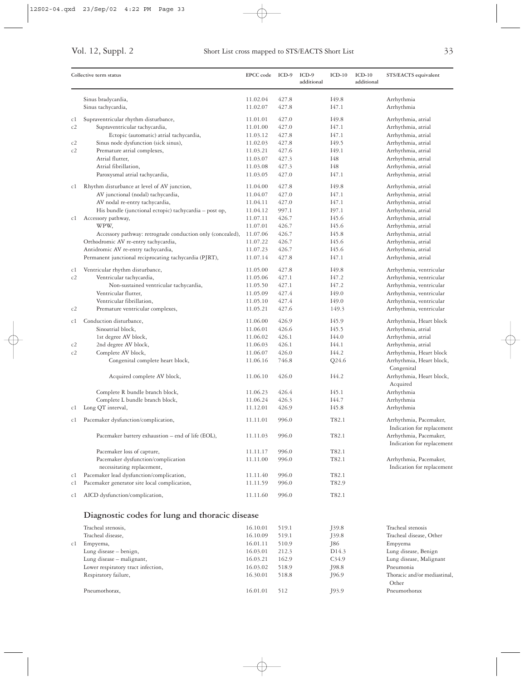|     | Collective term status                                     | <b>EPCC</b> code | ICD-9 | ICD-9<br>additional | $ICD-10$          | $ICD-10$<br>additional | STS/EACTS equivalent                                 |
|-----|------------------------------------------------------------|------------------|-------|---------------------|-------------------|------------------------|------------------------------------------------------|
|     | Sinus bradycardia,                                         | 11.02.04         | 427.8 |                     | I49.8             |                        | Arrhythmia                                           |
|     | Sinus tachycardia,                                         | 11.02.07         | 427.8 |                     | I47.1             |                        | Arrhythmia                                           |
| c1  | Supraventricular rhythm disturbance,                       | 11.01.01         | 427.0 |                     | I49.8             |                        | Arrhythmia, atrial                                   |
| c2  | Supraventricular tachycardia,                              | 11.01.00         | 427.0 |                     | I47.1             |                        | Arrhythmia, atrial                                   |
|     | Ectopic (automatic) atrial tachycardia,                    | 11.03.12         | 427.8 |                     | I47.1             |                        | Arrhythmia, atrial                                   |
| c2  | Sinus node dysfunction (sick sinus),                       | 11.02.03         | 427.8 |                     | I <sub>49.5</sub> |                        | Arrhythmia, atrial                                   |
| c2  | Premature atrial complexes,                                | 11.03.21         | 427.6 |                     | I49.1             |                        | Arrhythmia, atrial                                   |
|     | Atrial flutter,                                            | 11.03.07         | 427.3 |                     | I48               |                        | Arrhythmia, atrial                                   |
|     | Atrial fibrillation,                                       | 11.03.08         | 427.3 |                     | I48               |                        | Arrhythmia, atrial                                   |
|     | Paroxysmal atrial tachycardia,                             | 11.03.05         | 427.0 |                     | I47.1             |                        | Arrhythmia, atrial                                   |
| сl  | Rhythm disturbance at level of AV junction,                | 11.04.00         | 427.8 |                     | I49.8             |                        | Arrhythmia, atrial                                   |
|     | AV junctional (nodal) tachycardia,                         | 11.04.07         | 427.0 |                     | I47.1             |                        | Arrhythmia, atrial                                   |
|     | AV nodal re-entry tachycardia,                             | 11.04.11         | 427.0 |                     | I47.1             |                        | Arrhythmia, atrial                                   |
|     | His bundle (junctional ectopic) tachycardia - post op,     | 11.04.12         | 997.1 |                     | I97.1             |                        | Arrhythmia, atrial                                   |
| c1  | Accessory pathway,                                         | 11.07.11         | 426.7 |                     | I45.6             |                        | Arrhythmia, atrial                                   |
|     | WPW,                                                       | 11.07.01         | 426.7 |                     | I45.6             |                        | Arrhythmia, atrial                                   |
|     | Accessory pathway: retrograde conduction only (concealed), | 11.07.06         | 426.7 |                     | I45.8             |                        | Arrhythmia, atrial                                   |
|     | Orthodromic AV re-entry tachycardia,                       | 11.07.22         | 426.7 |                     | I45.6             |                        | Arrhythmia, atrial                                   |
|     | Antidromic AV re-entry tachycardia,                        | 11.07.23         | 426.7 |                     | I45.6             |                        | Arrhythmia, atrial                                   |
|     | Permanent junctional reciprocating tachycardia (PJRT),     | 11.07.14         | 427.8 |                     | I47.1             |                        | Arrhythmia, atrial                                   |
| c1  | Ventricular rhythm disturbance,                            | 11.05.00         | 427.8 |                     | I49.8             |                        | Arrhythmia, ventricular                              |
| c2  | Ventricular tachycardia,                                   | 11.05.06         | 427.1 |                     | I47.2             |                        | Arrhythmia, ventricular                              |
|     | Non-sustained ventricular tachycardia,                     | 11.05.50         | 427.1 |                     | I47.2             |                        | Arrhythmia, ventricular                              |
|     | Ventricular flutter,                                       | 11.05.09         | 427.4 |                     | I49.0             |                        | Arrhythmia, ventricular                              |
|     | Ventricular fibrillation,                                  | 11.05.10         | 427.4 |                     | I49.0             |                        | Arrhythmia, ventricular                              |
| c2  | Premature ventricular complexes,                           | 11.05.21         | 427.6 |                     | 149.3             |                        | Arrhythmia, ventricular                              |
| c1  | Conduction disturbance,                                    | 11.06.00         | 426.9 |                     | I45.9             |                        | Arrhythmia, Heart block                              |
|     | Sinoatrial block,                                          | 11.06.01         | 426.6 |                     | I45.5             |                        | Arrhythmia, atrial                                   |
|     | 1st degree AV block,                                       | 11.06.02         | 426.1 |                     | I44.0             |                        | Arrhythmia, atrial                                   |
| c2  | 2nd degree AV block,                                       | 11.06.03         | 426.1 |                     | I44.1             |                        | Arrhythmia, atrial                                   |
| c2  | Complete AV block,                                         | 11.06.07         | 426.0 |                     | I44.2             |                        | Arrhythmia, Heart block                              |
|     | Congenital complete heart block,                           | 11.06.16         | 746.8 |                     | Q24.6             |                        | Arrhythmia, Heart block,                             |
|     |                                                            |                  |       |                     |                   |                        | Congenital                                           |
|     | Acquired complete AV block,                                | 11.06.10         | 426.0 |                     | I44.2             |                        | Arrhythmia, Heart block,                             |
|     |                                                            |                  |       |                     |                   |                        | Acquired                                             |
|     | Complete R bundle branch block,                            | 11.06.23         | 426.4 |                     | I45.1             |                        | Arrhythmia                                           |
|     | Complete L bundle branch block,                            | 11.06.24         | 426.3 |                     | I44.7             |                        | Arrhythmia                                           |
| cl  | Long QT interval,                                          | 11.12.01         | 426.9 |                     | I45.8             |                        | Arrhythmia                                           |
| C I | Pacemaker dysfunction/complication,                        | 11.11.01         | 996.0 |                     | T82.1             |                        | Arrhythmia, Pacemaker,<br>Indication for replacement |
|     | Pacemaker battery exhaustion – end of life (EOL),          | 11.11.03         | 996.0 |                     | T82.1             |                        | Arrhythmia, Pacemaker,                               |
|     |                                                            |                  |       |                     |                   |                        | Indication for replacement                           |
|     | Pacemaker loss of capture,                                 | 11.11.17         | 996.0 |                     | T82.1             |                        |                                                      |
|     | Pacemaker dysfunction/complication                         | 11.11.00         | 996.0 |                     | T82.1             |                        | Arrhythmia, Pacemaker,                               |
|     | necessitating replacement,                                 |                  |       |                     |                   |                        | Indication for replacement                           |
| c1  | Pacemaker lead dysfunction/complication,                   | 11.11.40         | 996.0 |                     | T82.1             |                        |                                                      |
| c1  | Pacemaker generator site local complication,               | 11.11.59         | 996.0 |                     | T82.9             |                        |                                                      |
| сl  | AICD dysfunction/complication,                             | 11.11.60         | 996.0 |                     | T82.1             |                        |                                                      |
|     | Diagnostic codes for lung and thoracic disease             |                  |       |                     |                   |                        |                                                      |
|     | Tracheal stenosis,                                         | 16.10.01         | 519.1 |                     | J39.8             |                        | Tracheal stenosis                                    |
|     | Tracheal disease,                                          | 16.10.09         | 519.1 |                     | J39.8             |                        | Tracheal disease, Other                              |
| сl  | Empyema,                                                   | 16.01.11         | 510.9 |                     | J86               |                        | Empyema                                              |
|     | Lung disease - benign,                                     | 16.03.01         | 212.3 |                     | D <sub>14.3</sub> |                        | Lung disease, Benign                                 |
|     | Lung disease - malignant,                                  | 16.03.21         | 162.9 |                     | C <sub>34.9</sub> |                        | Lung disease, Malignant                              |
|     | Lower respiratory tract infection,                         | 16.03.02         | 518.9 |                     | J98.8             |                        | Pneumonia                                            |
|     | Respiratory failure,                                       | 16.30.01         | 518.8 |                     | J96.9             |                        | Thoracic and/or mediastinal,                         |
|     |                                                            |                  |       |                     |                   |                        | Other                                                |
|     | Pneumothorax,                                              | 16.01.01         | 512   |                     | J93.9             |                        | Pneumothorax                                         |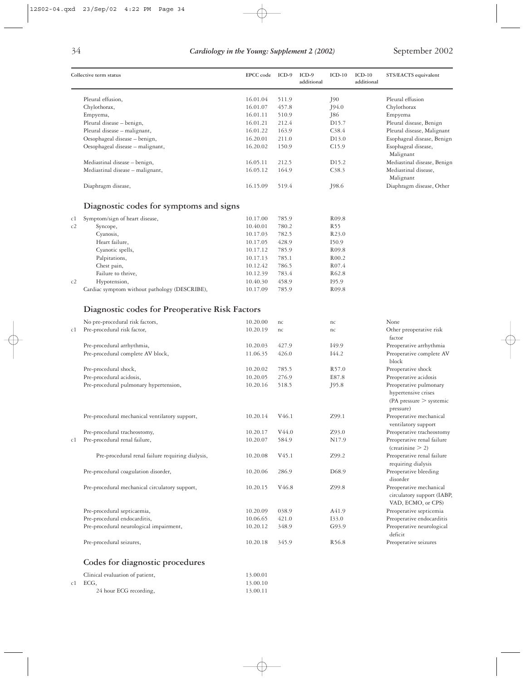|    | Collective term status                                        | EPCC code            | ICD-9             | $ICD-9$<br>additional | $ICD-10$                   | $ICD-10$<br>additional | STS/EACTS equivalent                                                                    |
|----|---------------------------------------------------------------|----------------------|-------------------|-----------------------|----------------------------|------------------------|-----------------------------------------------------------------------------------------|
|    | Pleural effusion,                                             | 16.01.04             | 511.9             |                       | J90                        |                        | Pleural effusion                                                                        |
|    | Chylothorax,                                                  | 16.01.07             | 457.8             |                       | J94.0                      |                        | Chylothorax                                                                             |
|    | Empyema,                                                      | 16.01.11             | 510.9             |                       | J86                        |                        | Empyema                                                                                 |
|    | Pleural disease - benign,                                     | 16.01.21             | 212.4             |                       | D <sub>15.7</sub>          |                        | Pleural disease, Benign                                                                 |
|    | Pleural disease - malignant,                                  | 16.01.22             | 163.9             |                       | C <sub>38.4</sub>          |                        | Pleural disease, Malignant                                                              |
|    | Oesophageal disease - benign,                                 | 16.20.01             | 211.0             |                       | D <sub>1</sub> 3.0         |                        | Esophageal disease, Benign                                                              |
|    | Oesophageal disease - malignant,                              | 16.20.02             | 150.9             |                       | C15.9                      |                        | Esophageal disease,<br>Malignant                                                        |
|    | Mediastinal disease - benign,                                 | 16.05.11             | 212.5             |                       | D <sub>15.2</sub>          |                        | Mediastinal disease, Benign                                                             |
|    | Mediastinal disease - malignant,                              | 16.05.12             | 164.9             |                       | C <sub>38.3</sub>          |                        | Mediastinal disease,<br>Malignant                                                       |
|    | Diaphragm disease,                                            | 16.15.09             | 519.4             |                       | J98.6                      |                        | Diaphragm disease, Other                                                                |
|    | Diagnostic codes for symptoms and signs                       |                      |                   |                       |                            |                        |                                                                                         |
| c1 | Symptom/sign of heart disease,                                | 10.17.00             | 785.9             |                       | R <sub>09.8</sub>          |                        |                                                                                         |
| c2 | Syncope,                                                      | 10.40.01             | 780.2             |                       | R <sub>55</sub>            |                        |                                                                                         |
|    | Cyanosis,                                                     | 10.17.03             | 782.5             |                       | R <sub>2</sub> 3.0         |                        |                                                                                         |
|    | Heart failure,                                                | 10.17.05             | 428.9             |                       | I50.9                      |                        |                                                                                         |
|    | Cyanotic spells,                                              | 10.17.12             | 785.9             |                       | R <sub>09.8</sub>          |                        |                                                                                         |
|    | Palpitations,                                                 | 10.17.13             | 785.1             |                       | R <sub>00.2</sub>          |                        |                                                                                         |
|    | Chest pain,                                                   | 10.12.42             | 786.5             |                       | R <sub>07.4</sub>          |                        |                                                                                         |
|    |                                                               |                      |                   |                       | R <sub>62.8</sub>          |                        |                                                                                         |
| c2 | Failure to thrive,                                            | 10.12.39<br>10.40.30 | 783.4<br>458.9    |                       |                            |                        |                                                                                         |
|    | Hypotension,<br>Cardiac symptom without pathology (DESCRIBE), | 10.17.09             | 785.9             |                       | 195.9<br>R <sub>09.8</sub> |                        |                                                                                         |
|    |                                                               |                      |                   |                       |                            |                        |                                                                                         |
|    | Diagnostic codes for Preoperative Risk Factors                |                      |                   |                       |                            |                        |                                                                                         |
|    | No pre-procedural risk factors,                               | 10.20.00             | nc                |                       | nc                         |                        | None                                                                                    |
| сl | Pre-procedural risk factor,                                   | 10.20.19             | nc                |                       | nc                         |                        | Other preoperative risk<br>factor                                                       |
|    | Pre-procedural arrhythmia,                                    | 10.20.03             | 427.9             |                       | I49.9                      |                        | Preoperative arrhythmia                                                                 |
|    | Pre-procedural complete AV block,                             | 11.06.35             | 426.0             |                       | I44.2                      |                        | Preoperative complete AV<br>block                                                       |
|    | Pre-procedural shock,                                         | 10.20.02             | 785.5             |                       | R57.0                      |                        | Preoperative shock                                                                      |
|    | Pre-procedural acidosis,                                      | 10.20.05             | 276.9             |                       | E87.8                      |                        | Preoperative acidosis                                                                   |
|    | Pre-procedural pulmonary hypertension,                        | 10.20.16             | 518.5             |                       | J95.8                      |                        | Preoperative pulmonary<br>hypertensive crises<br>(PA pressure $>$ systemic<br>pressure) |
|    | Pre-procedural mechanical ventilatory support,                | 10.20.14             | V <sub>46.1</sub> |                       | Z99.1                      |                        | Preoperative mechanical<br>ventilatory support                                          |
|    | Pre-procedural tracheostomy,                                  | 10.20.17             | V44.0             |                       | Z93.0                      |                        | Preoperative tracheostomy                                                               |
| c1 | Pre-procedural renal failure,                                 | 10.20.07             | 584.9             |                       | N <sub>17.9</sub>          |                        | Preoperative renal failure<br>(creationine > 2)                                         |
|    | Pre-procedural renal failure requiring dialysis,              | 10.20.08             | $V_{45.1}$        |                       | Z99.2                      |                        | Preoperative renal failure<br>requiring dialysis                                        |
|    | Pre-procedural coagulation disorder,                          | 10.20.06             | 286.9             |                       | D <sub>68.9</sub>          |                        | Preoperative bleeding<br>disorder                                                       |
|    | Pre-procedural mechanical circulatory support,                | 10.20.15             | V <sub>46.8</sub> |                       | Z99.8                      |                        | Preoperative mechanical<br>circulatory support (IABP,<br>VAD, ECMO, or CPS)             |
|    | Pre-procedural septicaemia,                                   | 10.20.09             | 038.9             |                       | A41.9                      |                        | Preoperative septicemia                                                                 |
|    | Pre-procedural endocarditis,                                  | 10.06.65             | 421.0             |                       | 133.0                      |                        | Preoperative endocarditis                                                               |
|    | Pre-procedural neurological impairment,                       | 10.20.12             | 348.9             |                       | G93.9                      |                        | Preoperative neurological<br>deficit                                                    |
|    | Pre-procedural seizures,                                      | 10.20.18             | 345.9             |                       | R <sub>56.8</sub>          |                        | Preoperative seizures                                                                   |
|    |                                                               |                      |                   |                       |                            |                        |                                                                                         |

### **Codes for diagnostic procedures**

| Clinical evaluation of patient, | 13.00.01 |
|---------------------------------|----------|
| c1 ECG.                         | 13.00.10 |
| 24 hour ECG recording,          | 13.00.11 |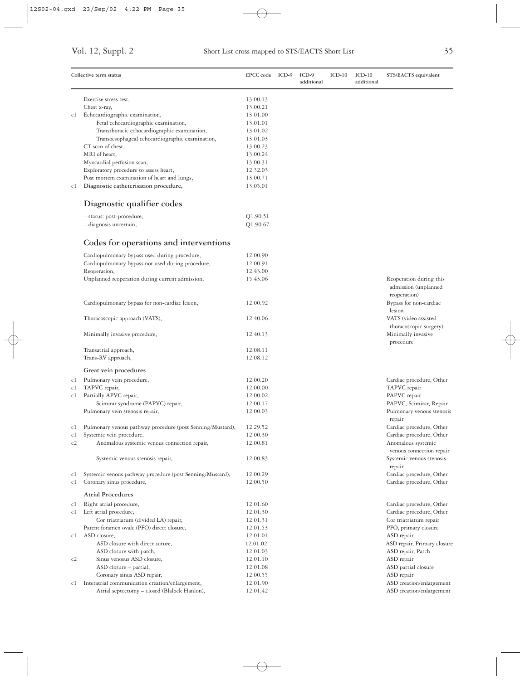|    | Collective term status                                     | EPCC code ICD-9 | $ICD-9$<br>additional | $ICD-10$ | $ICD-10$<br>additional | STS/EACTS equivalent                           |
|----|------------------------------------------------------------|-----------------|-----------------------|----------|------------------------|------------------------------------------------|
|    | Exercise stress test,                                      | 13.00.13        |                       |          |                        |                                                |
|    | Chest x-ray,                                               | 13.00.21        |                       |          |                        |                                                |
| c1 | Echocardiographic examination,                             | 13.01.00        |                       |          |                        |                                                |
|    | Fetal echocardiographic examination,                       | 13.01.01        |                       |          |                        |                                                |
|    | Transthoracic echocardiographic examination,               | 13.01.02        |                       |          |                        |                                                |
|    | Transoesophageal echocardiographic examination,            | 13.01.03        |                       |          |                        |                                                |
|    | CT scan of chest,                                          | 13.00.23        |                       |          |                        |                                                |
|    | MRI of heart,                                              | 13.00.24        |                       |          |                        |                                                |
|    | Myocardial perfusion scan,                                 | 13.00.31        |                       |          |                        |                                                |
|    | Exploratory procedure to assess heart,                     | 12.32.03        |                       |          |                        |                                                |
|    | Post mortem examination of heart and lungs,                | 13.00.71        |                       |          |                        |                                                |
| c1 | Diagnostic catheterisation procedure,                      | 13.05.01        |                       |          |                        |                                                |
|    | Diagnostic qualifier codes                                 |                 |                       |          |                        |                                                |
|    | - status: post-procedure,                                  | Q1.90.51        |                       |          |                        |                                                |
|    | - diagnosis uncertain,                                     | Q1.90.67        |                       |          |                        |                                                |
|    | Codes for operations and interventions                     |                 |                       |          |                        |                                                |
|    | Cardiopulmonary bypass used during procedure,              | 12.00.90        |                       |          |                        |                                                |
|    | Cardiopulmonary bypass not used during procedure,          | 12.00.91        |                       |          |                        |                                                |
|    | Reoperation,                                               | 12.43.00        |                       |          |                        |                                                |
|    | Unplanned reoperation during current admission,            | 15.43.06        |                       |          |                        | Reoperation during this                        |
|    |                                                            |                 |                       |          |                        | admission (unplanned<br>reoperation)           |
|    | Cardiopulmonary bypass for non-cardiac lesion,             | 12.00.92        |                       |          |                        | Bypass for non-cardiac<br>lesion               |
|    | Thoracoscopic approach (VATS),                             | 12.40.06        |                       |          |                        | VATS (video assisted<br>thoracoscopic surgery) |
|    | Minimally invasive procedure,                              | 12.40.13        |                       |          |                        | Minimally invasive<br>procedure                |
|    | Transatrial approach,                                      | 12.08.11        |                       |          |                        |                                                |
|    | Trans-RV approach,                                         | 12.08.12        |                       |          |                        |                                                |
|    | Great vein procedures                                      |                 |                       |          |                        |                                                |
| c1 | Pulmonary vein procedure,                                  | 12.00.20        |                       |          |                        | Cardiac procedure, Other                       |
| c1 | TAPVC repair,                                              | 12.00.00        |                       |          |                        | TAPVC repair                                   |
| c1 | Partially APVC repair,                                     | 12.00.02        |                       |          |                        | PAPVC repair                                   |
|    | Scimitar syndrome (PAPVC) repair,                          | 12.00.17        |                       |          |                        | PAPVC, Scimitar, Repair                        |
|    | Pulmonary vein stenosis repair,                            | 12.00.03        |                       |          |                        | Pulmonary venous stenosis<br>repair            |
| c1 | Pulmonary venous pathway procedure (post Senning/Mustard), | 12.29.52        |                       |          |                        | Cardiac procedure, Other                       |
| c1 | Systemic vein procedure,                                   | 12.00.30        |                       |          |                        | Cardiac procedure, Other                       |
| c2 | Anomalous systemic venous connection repair,               | 12.00.81        |                       |          |                        | Anomalous systemic                             |
|    |                                                            |                 |                       |          |                        | venous connection repair                       |
|    | Systemic venous stenosis repair,                           | 12.00.83        |                       |          |                        | Systemic venous stenosis<br>repair             |
| c1 | Systemic venous pathway procedure (post Senning/Mustard),  | 12.00.29        |                       |          |                        | Cardiac procedure, Other                       |
| c1 | Coronary sinus procedure,                                  | 12.00.50        |                       |          |                        | Cardiac procedure, Other                       |
|    | <b>Atrial Procedures</b>                                   |                 |                       |          |                        |                                                |
| c1 | Right atrial procedure,                                    | 12.01.60        |                       |          |                        | Cardiac procedure, Other                       |
| c1 | Left atrial procedure,                                     | 12.01.30        |                       |          |                        | Cardiac procedure, Other                       |
|    | Cor triatriatum (divided LA) repair,                       | 12.01.31        |                       |          |                        | Cor triatriatum repair                         |
|    | Patent foramen ovale (PFO) direct closure,                 | 12.01.53        |                       |          |                        | PFO, primary closure                           |
| c1 | ASD closure,                                               | 12.01.01        |                       |          |                        | ASD repair                                     |
|    | ASD closure with direct suture,                            | 12.01.02        |                       |          |                        | ASD repair, Primary closure                    |
|    | ASD closure with patch,                                    | 12.01.03        |                       |          |                        | ASD repair, Patch                              |
| c2 | Sinus venosus ASD closure,                                 | 12.01.10        |                       |          |                        | ASD repair                                     |
|    | ASD closure - partial,                                     | 12.01.08        |                       |          |                        | ASD partial closure                            |
|    | Coronary sinus ASD repair,                                 | 12.00.55        |                       |          |                        | ASD repair                                     |
| c1 | Interatrial communication creation/enlargement,            | 12.01.90        |                       |          |                        | ASD creation/enlargement                       |
|    | Atrial septectomy - closed (Blalock Hanlon),               | 12.01.42        |                       |          |                        | ASD creation/enlargement                       |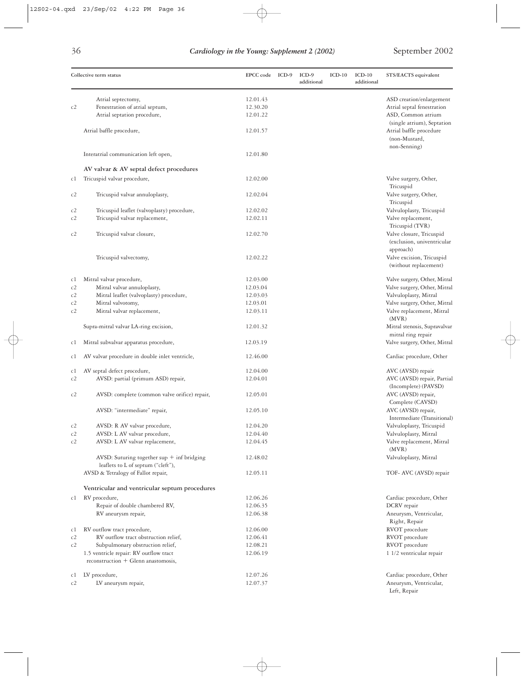|    | Collective term status                         | EPCC code | ICD-9 | $ICD-9$<br>additional | $ICD-10$ | $ICD-10$<br>additional | STS/EACTS equivalent         |
|----|------------------------------------------------|-----------|-------|-----------------------|----------|------------------------|------------------------------|
|    | Atrial septectomy,                             | 12.01.43  |       |                       |          |                        | ASD creation/enlargement     |
| c2 | Fenestration of atrial septum,                 | 12.30.20  |       |                       |          |                        | Atrial septal fenestration   |
|    | Atrial septation procedure,                    | 12.01.22  |       |                       |          |                        | ASD, Common atrium           |
|    |                                                |           |       |                       |          |                        | (single atrium), Septation   |
|    | Atrial baffle procedure,                       | 12.01.57  |       |                       |          |                        | Atrial baffle procedure      |
|    |                                                |           |       |                       |          |                        | (non-Mustard,                |
|    |                                                |           |       |                       |          |                        | non-Senning)                 |
|    | Interatrial communication left open,           | 12.01.80  |       |                       |          |                        |                              |
|    | AV valvar & AV septal defect procedures        |           |       |                       |          |                        |                              |
| c1 | Tricuspid valvar procedure,                    | 12.02.00  |       |                       |          |                        | Valve surgery, Other,        |
|    |                                                |           |       |                       |          |                        | Tricuspid                    |
| c2 | Tricuspid valvar annuloplasty,                 | 12.02.04  |       |                       |          |                        | Valve surgery, Other,        |
|    |                                                |           |       |                       |          |                        | Tricuspid                    |
| c2 | Tricuspid leaflet (valvoplasty) procedure,     | 12.02.02  |       |                       |          |                        | Valvuloplasty, Tricuspid     |
| c2 | Tricuspid valvar replacement,                  | 12.02.11  |       |                       |          |                        | Valve replacement,           |
|    |                                                |           |       |                       |          |                        | Tricuspid (TVR)              |
| c2 | Tricuspid valvar closure,                      | 12.02.70  |       |                       |          |                        | Valve closure, Tricuspid     |
|    |                                                |           |       |                       |          |                        | (exclusion, univentricular   |
|    |                                                |           |       |                       |          |                        | approach)                    |
|    | Tricuspid valvectomy,                          | 12.02.22  |       |                       |          |                        | Valve excision, Tricuspid    |
|    |                                                |           |       |                       |          |                        | (without replacement)        |
| c1 | Mitral valvar procedure,                       | 12.03.00  |       |                       |          |                        | Valve surgery, Other, Mitral |
| c2 | Mitral valvar annuloplasty,                    | 12.03.04  |       |                       |          |                        | Valve surgery, Other, Mitral |
| c2 | Mitral leaflet (valvoplasty) procedure,        | 12.03.03  |       |                       |          |                        | Valvuloplasty, Mitral        |
| c2 | Mitral valvotomy,                              | 12.03.01  |       |                       |          |                        | Valve surgery, Other, Mitral |
| c2 | Mitral valvar replacement,                     | 12.03.11  |       |                       |          |                        | Valve replacement, Mitral    |
|    |                                                |           |       |                       |          |                        | (MVR)                        |
|    | Supra-mitral valvar LA-ring excision,          | 12.01.32  |       |                       |          |                        | Mitral stenosis, Supravalvar |
|    |                                                |           |       |                       |          |                        | mitral ring repair           |
| c1 | Mitral subvalvar apparatus procedure,          | 12.03.19  |       |                       |          |                        | Valve surgery, Other, Mitral |
| c1 | AV valvar procedure in double inlet ventricle, | 12.46.00  |       |                       |          |                        | Cardiac procedure, Other     |
| сl | AV septal defect procedure,                    | 12.04.00  |       |                       |          |                        | AVC (AVSD) repair            |
| c2 | AVSD: partial (primum ASD) repair,             | 12.04.01  |       |                       |          |                        | AVC (AVSD) repair, Partial   |
|    |                                                |           |       |                       |          |                        | (Incomplete) (PAVSD)         |
| c2 | AVSD: complete (common valve orifice) repair,  | 12.05.01  |       |                       |          |                        | AVC (AVSD) repair,           |
|    |                                                |           |       |                       |          |                        | Complete (CAVSD)             |
|    | AVSD: "intermediate" repair,                   | 12.05.10  |       |                       |          |                        | AVC (AVSD) repair,           |
|    |                                                |           |       |                       |          |                        | Intermediate (Transitional)  |
| c2 | AVSD: R AV valvar procedure,                   | 12.04.20  |       |                       |          |                        | Valvuloplasty, Tricuspid     |
| c2 | AVSD: L AV valvar procedure,                   | 12.04.40  |       |                       |          |                        | Valvuloplasty, Mitral        |
| c2 | AVSD: L AV valvar replacement,                 | 12.04.45  |       |                       |          |                        | Valve replacement, Mitral    |
|    |                                                |           |       |                       |          |                        | (MVR)                        |
|    | AVSD: Suturing together sup $+$ inf bridging   | 12.48.02  |       |                       |          |                        | Valvuloplasty, Mitral        |
|    | leaflets to L of septum ("cleft"),             |           |       |                       |          |                        |                              |
|    | AVSD & Tetralogy of Fallot repair,             | 12.05.11  |       |                       |          |                        | TOF- AVC (AVSD) repair       |
|    | Ventricular and ventricular septum procedures  |           |       |                       |          |                        |                              |
| c1 | RV procedure,                                  | 12.06.26  |       |                       |          |                        | Cardiac procedure, Other     |
|    | Repair of double chambered RV,                 | 12.06.35  |       |                       |          |                        | DCRV repair                  |
|    | RV aneurysm repair,                            | 12.06.38  |       |                       |          |                        | Aneurysm, Ventricular,       |
|    |                                                |           |       |                       |          |                        | Right, Repair                |
| c1 | RV outflow tract procedure,                    | 12.06.00  |       |                       |          |                        | RVOT procedure               |
| c2 | RV outflow tract obstruction relief,           | 12.06.41  |       |                       |          |                        | RVOT procedure               |
| c2 | Subpulmonary obstruction relief,               | 12.08.21  |       |                       |          |                        | RVOT procedure               |
|    | 1.5 ventricle repair: RV outflow tract         | 12.06.19  |       |                       |          |                        | 1 1/2 ventricular repair     |
|    | reconstruction $+$ Glenn anastomosis,          |           |       |                       |          |                        |                              |
| c1 | LV procedure,                                  | 12.07.26  |       |                       |          |                        | Cardiac procedure, Other     |
| c2 | LV aneurysm repair,                            | 12.07.37  |       |                       |          |                        | Aneurysm, Ventricular,       |
|    |                                                |           |       |                       |          |                        | Left, Repair                 |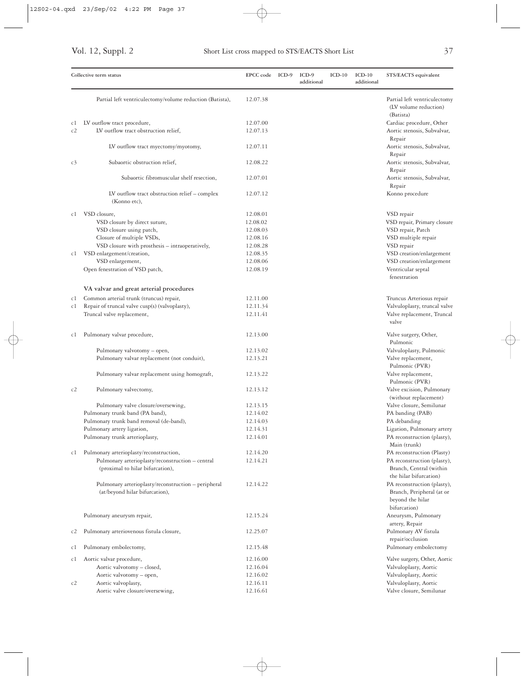|    | Collective term status                                                                | EPCC code ICD-9      | ICD-9<br>additional | $ICD-10$ | $ICD-10$<br>additional | STS/EACTS equivalent                                                                         |
|----|---------------------------------------------------------------------------------------|----------------------|---------------------|----------|------------------------|----------------------------------------------------------------------------------------------|
|    | Partial left ventriculectomy/volume reduction (Batista),                              | 12.07.38             |                     |          |                        | Partial left ventriculectomy<br>(LV volume reduction)<br>(Batista)                           |
| cl | LV outflow tract procedure,                                                           | 12.07.00             |                     |          |                        | Cardiac procedure, Other                                                                     |
| c2 | LV outflow tract obstruction relief,                                                  | 12.07.13             |                     |          |                        | Aortic stenosis, Subvalvar,<br>Repair                                                        |
|    | LV outflow tract myectomy/myotomy,                                                    | 12.07.11             |                     |          |                        | Aortic stenosis, Subvalvar,<br>Repair                                                        |
| c3 | Subaortic obstruction relief,                                                         | 12.08.22             |                     |          |                        | Aortic stenosis, Subvalvar,<br>Repair                                                        |
|    | Subaortic fibromuscular shelf resection,                                              | 12.07.01             |                     |          |                        | Aortic stenosis, Subvalvar,<br>Repair                                                        |
|    | LV outflow tract obstruction relief – complex<br>(Konno etc),                         | 12.07.12             |                     |          |                        | Konno procedure                                                                              |
| сl | VSD closure,                                                                          | 12.08.01             |                     |          |                        | VSD repair                                                                                   |
|    | VSD closure by direct suture,                                                         | 12.08.02             |                     |          |                        | VSD repair, Primary closure                                                                  |
|    | VSD closure using patch,                                                              | 12.08.03             |                     |          |                        | VSD repair, Patch                                                                            |
|    | Closure of multiple VSDs,                                                             | 12.08.16             |                     |          |                        | VSD multiple repair                                                                          |
|    | VSD closure with prosthesis - intraoperatively,                                       | 12.08.28             |                     |          |                        | VSD repair                                                                                   |
| сl | VSD enlargement/creation,                                                             | 12.08.35             |                     |          |                        | VSD creation/enlargement                                                                     |
|    | VSD enlargement,                                                                      | 12.08.06             |                     |          |                        | VSD creation/enlargement                                                                     |
|    | Open fenestration of VSD patch,                                                       | 12.08.19             |                     |          |                        | Ventricular septal<br>fenestration                                                           |
|    | VA valvar and great arterial procedures                                               |                      |                     |          |                        |                                                                                              |
| c1 | Common arterial trunk (truncus) repair,                                               | 12.11.00             |                     |          |                        | Truncus Arteriosus repair                                                                    |
| c1 | Repair of truncal valve cusp(s) (valvoplasty),<br>Truncal valve replacement,          | 12.11.34<br>12.11.41 |                     |          |                        | Valvuloplasty, truncal valve<br>Valve replacement, Truncal<br>valve                          |
| cl | Pulmonary valvar procedure,                                                           | 12.13.00             |                     |          |                        | Valve surgery, Other,<br>Pulmonic                                                            |
|    | Pulmonary valvotomy - open,                                                           | 12.13.02             |                     |          |                        | Valvuloplasty, Pulmonic                                                                      |
|    | Pulmonary valvar replacement (not conduit),                                           | 12.13.21             |                     |          |                        | Valve replacement,<br>Pulmonic (PVR)                                                         |
|    | Pulmonary valvar replacement using homograft,                                         | 12.13.22             |                     |          |                        | Valve replacement,<br>Pulmonic (PVR)                                                         |
| c2 | Pulmonary valvectomy,                                                                 | 12.13.12             |                     |          |                        | Valve excision, Pulmonary<br>(without replacement)                                           |
|    | Pulmonary valve closure/oversewing,                                                   | 12.13.15             |                     |          |                        | Valve closure, Semilunar                                                                     |
|    | Pulmonary trunk band (PA band),                                                       | 12.14.02             |                     |          |                        | PA banding (PAB)                                                                             |
|    | Pulmonary trunk band removal (de-band),                                               | 12.14.03             |                     |          |                        | PA debanding                                                                                 |
|    | Pulmonary artery ligation,                                                            | 12.14.31             |                     |          |                        | Ligation, Pulmonary artery                                                                   |
|    | Pulmonary trunk arterioplasty,                                                        | 12.14.01             |                     |          |                        | PA reconstruction (plasty),<br>Main (trunk)                                                  |
| c1 | Pulmonary arterioplasty/reconstruction,                                               | 12.14.20             |                     |          |                        | PA reconstruction (Plasty)                                                                   |
|    | Pulmonary arterioplasty/reconstruction - central<br>(proximal to hilar bifurcation),  | 12.14.21             |                     |          |                        | PA reconstruction (plasty),<br>Branch, Central (within<br>the hilar bifurcation)             |
|    | Pulmonary arterioplasty/reconstruction - peripheral<br>(at/beyond hilar bifurcation), | 12.14.22             |                     |          |                        | PA reconstruction (plasty),<br>Branch, Peripheral (at or<br>beyond the hilar<br>bifurcation) |
|    | Pulmonary aneurysm repair,                                                            | 12.15.24             |                     |          |                        | Aneurysm, Pulmonary<br>artery, Repair                                                        |
| c2 | Pulmonary arteriovenous fistula closure,                                              | 12.25.07             |                     |          |                        | Pulmonary AV fistula<br>repair/occlusion                                                     |
| c1 | Pulmonary embolectomy,                                                                | 12.15.48             |                     |          |                        | Pulmonary embolectomy                                                                        |
| c1 | Aortic valvar procedure,                                                              | 12.16.00             |                     |          |                        | Valve surgery, Other, Aortic                                                                 |
|    | Aortic valvotomy - closed,                                                            | 12.16.04             |                     |          |                        | Valvuloplasty, Aortic                                                                        |
|    | Aortic valvotomy - open,                                                              | 12.16.02             |                     |          |                        | Valvuloplasty, Aortic                                                                        |
| c2 | Aortic valvoplasty,                                                                   | 12.16.11             |                     |          |                        | Valvuloplasty, Aortic                                                                        |
|    | Aortic valve closure/oversewing,                                                      | 12.16.61             |                     |          |                        | Valve closure, Semilunar                                                                     |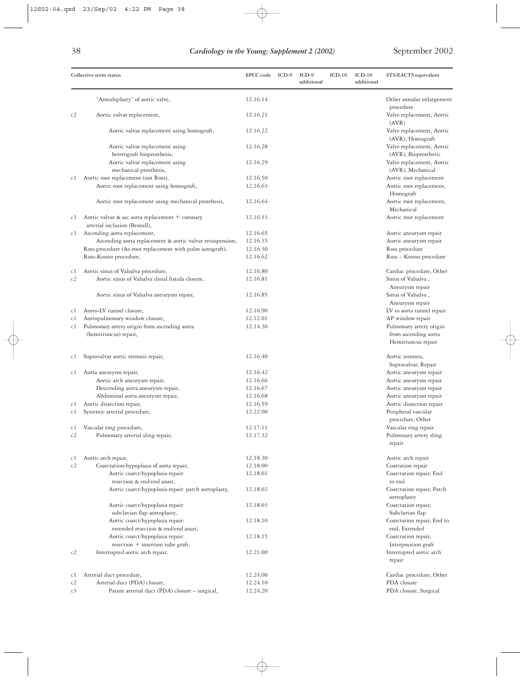| $\mathcal{L}$<br>I | ٠             |
|--------------------|---------------|
| .,                 | ٠             |
| ۰.<br>۰,<br>I<br>v | ۰.<br>×<br>۰. |

|                | Collective term status                                                            | EPCC code ICD-9      | $ICD-9$<br>additional | $ICD-10$ | $ICD-10$<br>additional | STS/EACTS equivalent                                   |
|----------------|-----------------------------------------------------------------------------------|----------------------|-----------------------|----------|------------------------|--------------------------------------------------------|
|                | "Annuloplasty" of aortic valve,                                                   | 12.16.14             |                       |          |                        | Other annular enlargement                              |
| c2             | Aortic valvar replacement,                                                        | 12.16.21             |                       |          |                        | procedure<br>Valve replacement, Aortic                 |
|                | Aortic valvar replacement using homograft,                                        | 12.16.22             |                       |          |                        | (AVR)<br>Valve replacement, Aortic<br>(AVR), Homograft |
|                | Aortic valvar replacement using                                                   | 12.16.28             |                       |          |                        | Valve replacement, Aortic                              |
|                | heterograft bioprosthesis,                                                        |                      |                       |          |                        | (AVR), Bioprosthetic                                   |
|                | Aortic valvar replacement using                                                   | 12.16.29             |                       |          |                        | Valve replacement, Aortic                              |
|                | mechanical prosthesis,                                                            |                      |                       |          |                        | (AVR), Mechanical                                      |
| c1             | Aortic root replacement (not Ross),                                               | 12.16.50             |                       |          |                        | Aortic root replacement                                |
|                | Aortic root replacement using homograft,                                          | 12.16.63             |                       |          |                        | Aortic root replacement,<br>Homograft                  |
|                | Aortic root replacement using mechanical prosthesis,                              | 12.16.64             |                       |          |                        | Aortic root replacement,<br>Mechanical                 |
| c1             | Aortic valvar & asc aorta replacement + coronary<br>arterial inclusion (Bentall), | 12.16.33             |                       |          |                        | Aortic root replacement                                |
| cl             | Ascending aorta replacement,                                                      | 12.16.65             |                       |          |                        | Aortic aneurysm repair                                 |
|                | Ascending aorta replacement & aortic valvar resuspension,                         | 12.16.35             |                       |          |                        | Aortic aneurysm repair                                 |
|                | Ross procedure (Ao root replacement with pulm autograft),                         | 12.16.30             |                       |          |                        | Ross procedure                                         |
|                | Ross-Konno procedure,                                                             | 12.16.62             |                       |          |                        | Ross - Konno procedure                                 |
| c1             | Aortic sinus of Valsalva procedure,                                               | 12.16.80             |                       |          |                        | Cardiac procedure, Other                               |
| c2             | Aortic sinus of Valsalva distal fistula closure,                                  | 12.16.81             |                       |          |                        | Sinus of Valsalva,<br>Aneurysm repair                  |
|                | Aortic sinus of Valsalva aneurysm repair,                                         | 12.16.85             |                       |          |                        | Sinus of Valsalva,<br>Aneurysm repair                  |
| cl             | Aorto-LV tunnel closure,                                                          | 12.16.90             |                       |          |                        | LV to aorta tunnel repair                              |
| c1             | Aortopulmonary window closure,                                                    | 12.12.01             |                       |          |                        | AP window repair                                       |
| c1             | Pulmonary artery origin from ascending aorta                                      | 12.14.30             |                       |          |                        | Pulmonary artery origin                                |
|                | (hemitruncus) repair,                                                             |                      |                       |          |                        | from ascending aorta<br>Hemitruncus repair             |
|                |                                                                                   |                      |                       |          |                        |                                                        |
| c1             | Supravalvar aortic stenosis repair,                                               | 12.16.40             |                       |          |                        | Aortic stenosis,<br>Supravalvar, Repair                |
| c1             | Aorta aneurysm repair,                                                            | 12.16.42             |                       |          |                        | Aortic aneurysm repair                                 |
|                | Aortic arch aneurysm repair,                                                      | 12.16.66             |                       |          |                        | Aortic aneurysm repair                                 |
|                | Descending aorta aneurysm repair,                                                 | 12.16.67             |                       |          |                        | Aortic aneurysm repair                                 |
|                | Abdominal aorta aneurysm repair,                                                  | 12.16.68             |                       |          |                        | Aortic aneurysm repair                                 |
| c1             | Aortic dissection repair,                                                         | 12.16.59             |                       |          |                        | Aortic dissection repair                               |
| c1             | Systemic arterial procedure,                                                      | 12.22.00             |                       |          |                        | Peripheral vascular                                    |
|                |                                                                                   |                      |                       |          |                        | procedure, Other                                       |
| c1<br>c2       | Vascular ring procedure,<br>Pulmonary arterial sling repair,                      | 12.17.11<br>12.17.32 |                       |          |                        | Vascular ring repair<br>Pulmonary artery sling         |
|                |                                                                                   |                      |                       |          |                        | repair                                                 |
| c1             | Aortic arch repair,                                                               | 12.18.30             |                       |          |                        | Aortic arch repair                                     |
| c2             | Coarctation/hypoplasia of aorta repair,                                           | 12.18.00             |                       |          |                        | Coartation repair                                      |
|                | Aortic coarct/hypoplasia repair:<br>resection & end/end anast,                    | 12.18.01             |                       |          |                        | Coarctation repair, End<br>to end                      |
|                | Aortic coarct/hypoplasia repair: patch aortoplasty,                               | 12.18.02             |                       |          |                        | Coarctation repair, Patch<br>aortoplasty               |
|                | Aortic coarct/hypoplasia repair:                                                  | 12.18.03             |                       |          |                        | Coarctation repair,                                    |
|                | subclavian flap aortoplasty,<br>Aortic coarct/hypoplasia repair:                  | 12.18.10             |                       |          |                        | Subclavian flap<br>Coarctation repair, End to          |
|                | extended resection & end/end anast,                                               |                      |                       |          |                        | end, Extended                                          |
|                | Aortic coarct/hypoplasia repair:                                                  | 12.18.15             |                       |          |                        | Coarctation repair,                                    |
|                | resection + insertion tube graft,                                                 |                      |                       |          |                        | Interposition graft                                    |
| c2             | Interrupted aortic arch repair,                                                   | 12.21.00             |                       |          |                        | Interrupted aortic arch<br>repair                      |
| c1             | Arterial duct procedure,                                                          | 12.24.00             |                       |          |                        | Cardiac procedure, Other                               |
| c2             | Arterial duct (PDA) closure,                                                      | 12.24.10             |                       |          |                        | PDA closure                                            |
| c <sub>3</sub> | Patent arterial duct (PDA) closure - surgical,                                    | 12.24.20             |                       |          |                        | PDA closure, Surgical                                  |

 $\color{red} \Leftrightarrow$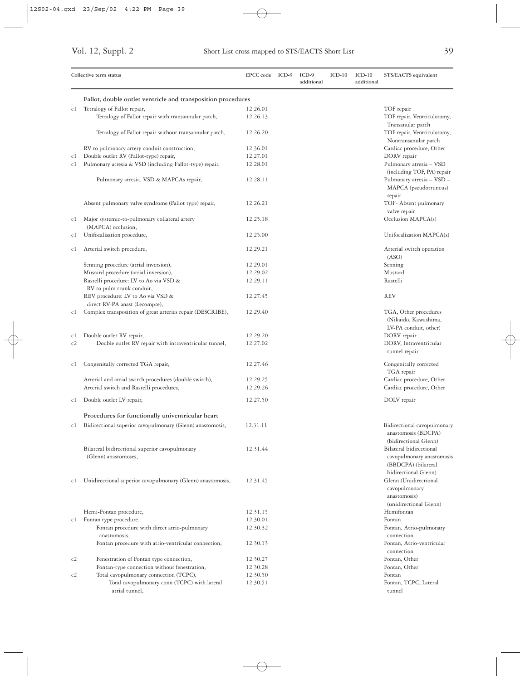|     | Collective term status                                              | EPCC code ICD-9 | ICD-9<br>additional | $ICD-10$ | $ICD-10$<br>additional | STS/EACTS equivalent                                                     |
|-----|---------------------------------------------------------------------|-----------------|---------------------|----------|------------------------|--------------------------------------------------------------------------|
|     | Fallot, double outlet ventricle and transposition procedures        |                 |                     |          |                        |                                                                          |
| c1  | Tetralogy of Fallot repair,                                         | 12.26.01        |                     |          |                        | TOF repair                                                               |
|     | Tetralogy of Fallot repair with transannular patch,                 | 12.26.13        |                     |          |                        | TOF repair, Ventriculotomy,                                              |
|     | Tetralogy of Fallot repair without transannular patch,              | 12.26.20        |                     |          |                        | Transanular patch<br>TOF repair, Ventriculotomy,<br>Nontransanular patch |
|     | RV to pulmonary artery conduit construction,                        | 12.36.01        |                     |          |                        | Cardiac procedure, Other                                                 |
| c1  | Double outlet RV (Fallot-type) repair,                              | 12.27.01        |                     |          |                        | DORV repair                                                              |
| c1  | Pulmonary atresia & VSD (including Fallot-type) repair,             | 12.28.01        |                     |          |                        | Pulmonary atresia - VSD                                                  |
|     | Pulmonary atresia, VSD & MAPCAs repair,                             | 12.28.11        |                     |          |                        | (including TOF, PA) repair<br>Pulmonary atresia - VSD -                  |
|     |                                                                     |                 |                     |          |                        | MAPCA (pseudotruncus)<br>repair                                          |
|     | Absent pulmonary valve syndrome (Fallot type) repair,               | 12.26.21        |                     |          |                        | TOF- Absent pulmonary<br>valve repair                                    |
| c1  | Major systemic-to-pulmonary collateral artery<br>(MAPCA) occlusion, | 12.25.18        |                     |          |                        | Occlusion MAPCA(s)                                                       |
| c1  | Unifocalisation procedure,                                          | 12.25.00        |                     |          |                        | Unifocalization MAPCA(s)                                                 |
| c1  | Arterial switch procedure,                                          | 12.29.21        |                     |          |                        | Arterial switch operation<br>(ASO)                                       |
|     | Senning procedure (atrial inversion),                               | 12.29.01        |                     |          |                        | Senning                                                                  |
|     | Mustard procedure (atrial inversion),                               | 12.29.02        |                     |          |                        | Mustard                                                                  |
|     | Rastelli procedure: LV to Ao via VSD &                              | 12.29.11        |                     |          |                        | Rastelli                                                                 |
|     | RV to pulm trunk conduit,                                           |                 |                     |          |                        |                                                                          |
|     | REV procedure: LV to Ao via VSD &<br>direct RV-PA anast (Lecompte), | 12.27.45        |                     |          |                        | <b>REV</b>                                                               |
| c1  | Complex transposition of great arteries repair (DESCRIBE),          | 12.29.40        |                     |          |                        | TGA, Other procedures<br>(Nikaido, Kawashima,<br>LV-PA conduit, other)   |
| c1  | Double outlet RV repair,                                            | 12.29.20        |                     |          |                        | DORV repair                                                              |
| c2  | Double outlet RV repair with intraventricular tunnel,               | 12.27.02        |                     |          |                        | DORV, Intraventricular<br>tunnel repair                                  |
| c1  | Congenitally corrected TGA repair,                                  | 12.27.46        |                     |          |                        | Congenitally corrected<br>TGA repair                                     |
|     | Arterial and atrial switch procedures (double switch),              | 12.29.25        |                     |          |                        | Cardiac procedure, Other                                                 |
|     | Arterial switch and Rastelli procedures,                            | 12.29.26        |                     |          |                        | Cardiac procedure, Other                                                 |
| c1  | Double outlet LV repair,                                            | 12.27.50        |                     |          |                        | DOLV repair                                                              |
|     | Procedures for functionally univentricular heart                    |                 |                     |          |                        |                                                                          |
| C I | Bidirectional superior cavopulmonary (Glenn) anastomosis,           | 12.31.11        |                     |          |                        | Bidirectional cavopulmonary                                              |
|     |                                                                     |                 |                     |          |                        | anastomosis (BDCPA)<br>(bidirectional Glenn)                             |
|     | Bilateral bidirectional superior cavopulmonary                      | 12.31.44        |                     |          |                        | Bilateral bidirectional                                                  |
|     | (Glenn) anastomoses,                                                |                 |                     |          |                        | cavopulmonary anastomosis                                                |
|     |                                                                     |                 |                     |          |                        | (BBDCPA) (bilateral                                                      |
|     |                                                                     |                 |                     |          |                        | bidirectional Glenn)                                                     |
| c1  | Unidirectional superior cavopulmonary (Glenn) anastomosis,          | 12.31.45        |                     |          |                        | Glenn (Unidirectional<br>cavopulmonary                                   |
|     |                                                                     |                 |                     |          |                        | anastomosis)<br>(unidirectional Glenn)                                   |
|     | Hemi-Fontan procedure,                                              | 12.31.15        |                     |          |                        | Hemifontan                                                               |
|     | c1 Fontan type procedure,                                           | 12.30.01        |                     |          |                        | Fontan                                                                   |
|     | Fontan procedure with direct atrio-pulmonary                        | 12.30.32        |                     |          |                        | Fontan, Atrio-pulmonary                                                  |
|     | anastomosis,                                                        |                 |                     |          |                        | connection                                                               |
|     | Fontan procedure with atrio-ventricular connection,                 | 12.30.13        |                     |          |                        | Fontan, Atrio-ventricular<br>connection                                  |
| c2  | Fenestration of Fontan type connection,                             | 12.30.27        |                     |          |                        | Fontan, Other                                                            |
|     | Fontan-type connection without fenestration,                        | 12.30.28        |                     |          |                        | Fontan, Other                                                            |
| c2  | Total cavopulmonary connection (TCPC),                              | 12.30.50        |                     |          |                        | Fontan                                                                   |
|     | Total cavopulmonary conn (TCPC) with lateral<br>atrial tunnel,      | 12.30.51        |                     |          |                        | Fontan, TCPC, Lateral<br>tunnel                                          |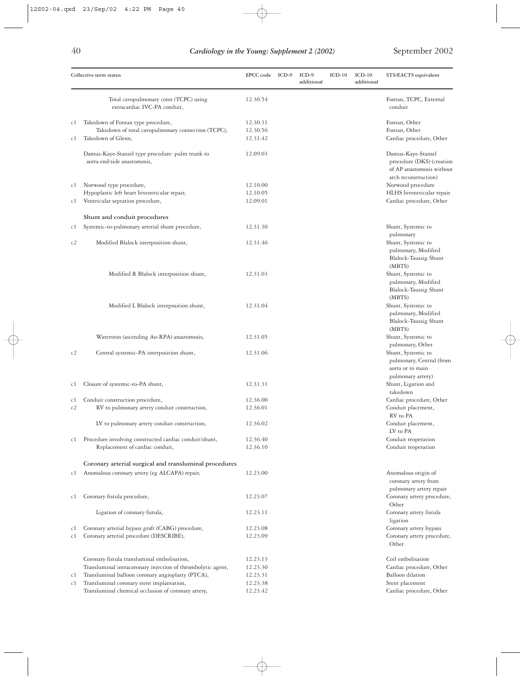|    | Collective term status                                                                                  | EPCC code ICD-9 | $ICD-9$<br>additional | $ICD-10$ | $ICD-10$<br>additional | STS/EACTS equivalent                                                                                        |
|----|---------------------------------------------------------------------------------------------------------|-----------------|-----------------------|----------|------------------------|-------------------------------------------------------------------------------------------------------------|
|    | Total cavopulmonary conn (TCPC) using<br>extracardiac IVC-PA conduit,                                   | 12.30.54        |                       |          |                        | Fontan, TCPC, External<br>conduit                                                                           |
| Сİ | Takedown of Fontan type procedure,                                                                      | 12.30.31        |                       |          |                        | Fontan, Other                                                                                               |
|    | Takedown of total cavopulmonary connection (TCPC),                                                      | 12.30.56        |                       |          |                        | Fontan, Other                                                                                               |
| c1 | Takedown of Glenn,                                                                                      | 12.31.42        |                       |          |                        | Cardiac procedure, Other                                                                                    |
|    | Damus-Kaye-Stansel type procedure: pulm trunk to<br>aorta end/side anastomosis,                         | 12.09.03        |                       |          |                        | Damus-Kaye-Stansel<br>procedure (DKS) (creation<br>of AP anastomosis without<br>arch reconstruction)        |
| c1 | Norwood type procedure,                                                                                 | 12.10.00        |                       |          |                        | Norwood procedure                                                                                           |
|    | Hypoplastic left heart biventricular repair,                                                            | 12.10.05        |                       |          |                        | HLHS biventricular repair                                                                                   |
| cl | Ventricular septation procedure,                                                                        | 12.09.01        |                       |          |                        | Cardiac procedure, Other                                                                                    |
|    | Shunt and conduit procedures                                                                            |                 |                       |          |                        |                                                                                                             |
| c1 | Systemic-to-pulmonary arterial shunt procedure,                                                         | 12.31.30        |                       |          |                        | Shunt, Systemic to                                                                                          |
|    |                                                                                                         |                 |                       |          |                        | pulmonary                                                                                                   |
| c2 | Modified Blalock interposition shunt,                                                                   | 12.31.46        |                       |          |                        | Shunt, Systemic to<br>pulmonary, Modified<br>Blalock-Taussig Shunt<br>(MBTS)                                |
|    | Modified R Blalock interposition shunt,                                                                 | 12.31.03        |                       |          |                        | Shunt, Systemic to<br>pulmonary, Modified<br>Blalock-Taussig Shunt<br>(MBTS)                                |
|    | Modified L Blalock interposition shunt,                                                                 | 12.31.04        |                       |          |                        | Shunt, Systemic to<br>pulmonary, Modified<br>Blalock-Taussig Shunt<br>(MBTS)                                |
|    | Waterston (ascending Ao-RPA) anastomosis,                                                               | 12.31.05        |                       |          |                        | Shunt, Systemic to                                                                                          |
| c2 | Central systemic-PA interposition shunt,                                                                | 12.31.06        |                       |          |                        | pulmonary, Other<br>Shunt, Systemic to<br>pulmonary, Central (from<br>aorta or to main<br>pulmonary artery) |
| Сİ | Closure of systemic-to-PA shunt,                                                                        | 12.31.31        |                       |          |                        | Shunt, Ligation and<br>takedown                                                                             |
| cl | Conduit construction procedure,                                                                         | 12.36.00        |                       |          |                        | Cardiac procedure, Other                                                                                    |
| c2 | RV to pulmonary artery conduit construction,                                                            | 12.36.01        |                       |          |                        | Conduit placement,                                                                                          |
|    | LV to pulmonary artery conduit construction,                                                            | 12.36.02        |                       |          |                        | RV to PA<br>Conduit placement,<br>LV to PA                                                                  |
| cl | Procedure involving constructed cardiac conduit/shunt,                                                  | 12.36.40        |                       |          |                        | Conduit reoperation                                                                                         |
|    | Replacement of cardiac conduit,                                                                         | 12.36.10        |                       |          |                        | Conduit reoperation                                                                                         |
|    |                                                                                                         |                 |                       |          |                        |                                                                                                             |
| cl | Coronary arterial surgical and transluminal procedures<br>Anomalous coronary artery (eg ALCAPA) repair, | 12.23.00        |                       |          |                        | Anomalous origin of<br>coronary artery from                                                                 |
| cl | Coronary fistula procedure,                                                                             | 12.23.07        |                       |          |                        | pulmonary artery repair<br>Coronary artery procedure,<br>Other                                              |
|    | Ligation of coronary fistula,                                                                           | 12.23.11        |                       |          |                        | Coronary artery fistula<br>ligation                                                                         |
| Сİ | Coronary arterial bypass graft (CABG) procedure,                                                        | 12.23.08        |                       |          |                        | Coronary artery bypass                                                                                      |
| cl | Coronary arterial procedure (DESCRIBE),                                                                 | 12.23.09        |                       |          |                        | Coronary artery procedure,<br>Other                                                                         |
|    | Coronary fistula transluminal embolisation,                                                             | 12.23.13        |                       |          |                        | Coil embolisation                                                                                           |
|    | Transluminal intracoronary injection of thrombolytic agent,                                             | 12.23.30        |                       |          |                        | Cardiac procedure, Other                                                                                    |
| c1 | Transluminal balloon coronary angioplasty (PTCA),                                                       | 12.23.31        |                       |          |                        | <b>Balloon</b> dilation                                                                                     |
| c1 | Transluminal coronary stent implantation,                                                               | 12.23.38        |                       |          |                        | Stent placement                                                                                             |
|    | Transluminal chemical occlusion of coronary artery,                                                     | 12.23.42        |                       |          |                        | Cardiac procedure, Other                                                                                    |

 $\oplus$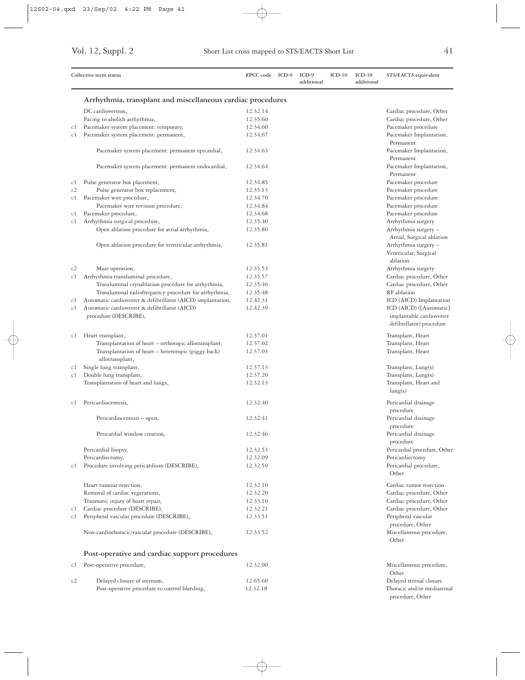|     | Collective term status                                      | <b>EPCC</b> code | ICD-9 | $ICD-9$<br>additional | $ICD-10$ | $ICD-10$<br>additional | STS/EACTS equivalent         |
|-----|-------------------------------------------------------------|------------------|-------|-----------------------|----------|------------------------|------------------------------|
|     | Arrhythmia, transplant and miscellaneous cardiac procedures |                  |       |                       |          |                        |                              |
|     |                                                             |                  |       |                       |          |                        |                              |
|     | DC cardioversion,                                           | 12.32.14         |       |                       |          |                        | Cardiac procedure, Other     |
|     | Pacing to abolish arrhythmia,                               | 12.35.60         |       |                       |          |                        | Cardiac procedure, Other     |
| c1  | Pacemaker system placement: temporary,                      | 12.34.60         |       |                       |          |                        | Pacemaker procedure          |
| c1  | Pacemaker system placement: permanent,                      | 12.34.67         |       |                       |          |                        | Pacemaker Implantation,      |
|     |                                                             |                  |       |                       |          |                        | Permanent                    |
|     | Pacemaker system placement: permanent epicardial,           | 12.34.63         |       |                       |          |                        | Pacemaker Implantation,      |
|     |                                                             |                  |       |                       |          |                        | Permanent                    |
|     | Pacemaker system placement: permanent endocardial,          | 12.34.64         |       |                       |          |                        | Pacemaker Implantation,      |
|     |                                                             |                  |       |                       |          |                        | Permanent                    |
| C I | Pulse generator box placement,                              | 12.34.85         |       |                       |          |                        | Pacemaker procedure          |
| c2  | Pulse generator box replacement,                            | 12.35.13         |       |                       |          |                        | Pacemaker procedure          |
| c1  | Pacemaker wire procedure,                                   | 12.34.70         |       |                       |          |                        | Pacemaker procedure          |
|     | Pacemaker wire revision procedure,                          | 12.34.84         |       |                       |          |                        | Pacemaker procedure          |
|     |                                                             |                  |       |                       |          |                        |                              |
| c1  | Pacemaker procedure,                                        | 12.34.68         |       |                       |          |                        | Pacemaker procedure          |
| c1  | Arrhythmia surgical procedure,                              | 12.35.40         |       |                       |          |                        | Arrhythmia surgery           |
|     | Open ablation procedure for atrial arrhythmia,              | 12.35.80         |       |                       |          |                        | Arrhythmia surgery -         |
|     |                                                             |                  |       |                       |          |                        | Atrial, Surgical ablation    |
|     | Open ablation procedure for ventricular arrhythmia,         | 12.35.81         |       |                       |          |                        | Arrhythmia surgery -         |
|     |                                                             |                  |       |                       |          |                        | Ventricular, Surgical        |
|     |                                                             |                  |       |                       |          |                        | ablation                     |
| c2  | Maze operation,                                             | 12.35.53         |       |                       |          |                        | Arrhythmia surgery           |
| c1  | Arrhythmia transluminal procedure,                          | 12.35.57         |       |                       |          |                        | Cardiac procedure, Other     |
|     |                                                             |                  |       |                       |          |                        |                              |
|     | Transluminal cryoablation procedure for arrhythmia,         | 12.35.46         |       |                       |          |                        | Cardiac procedure, Other     |
|     | Transluminal radiofrequency procedure for arrhythmia,       | 12.35.48         |       |                       |          |                        | RF ablation                  |
| c1  | Automatic cardioverter & defibrillator (AICD) implantation, | 12.42.31         |       |                       |          |                        | ICD (AICD) Implantation      |
| c1  | Automatic cardioverter & defibrillator (AICD)               | 12.42.39         |       |                       |          |                        | ICD (AICD) ([Automatic]      |
|     | procedure (DESCRIBE),                                       |                  |       |                       |          |                        | implantable cardioverter     |
|     |                                                             |                  |       |                       |          |                        | defibrillator) procedure     |
|     |                                                             |                  |       |                       |          |                        |                              |
| c1  | Heart transplant,                                           | 12.37.01         |       |                       |          |                        | Transplant, Heart            |
|     | Transplantation of heart - orthotopic allotransplant,       | 12.37.02         |       |                       |          |                        | Transplant, Heart            |
|     | Transplantation of heart - heterotopic (piggy back)         | 12.37.03         |       |                       |          |                        | Transplant, Heart            |
|     | allotransplant,                                             |                  |       |                       |          |                        |                              |
| c1  | Single lung transplant,                                     | 12.37.13         |       |                       |          |                        | Transplant, Lung(s)          |
| c1  | Double lung transplant,                                     | 12.37.20         |       |                       |          |                        | Transplant, Lung(s)          |
|     | Transplantation of heart and lungs,                         | 12.32.13         |       |                       |          |                        | Transplant, Heart and        |
|     |                                                             |                  |       |                       |          |                        | lung(s)                      |
|     |                                                             |                  |       |                       |          |                        |                              |
| сl  | Pericardiocentesis,                                         | 12.32.40         |       |                       |          |                        | Pericardial drainage         |
|     |                                                             |                  |       |                       |          |                        | procedure                    |
|     | Pericardiocentesis - open,                                  | 12.32.41         |       |                       |          |                        | Pericardial drainage         |
|     |                                                             |                  |       |                       |          |                        | procedure                    |
|     | Pericardial window creation,                                | 12.32.46         |       |                       |          |                        | Pericardial drainage         |
|     |                                                             |                  |       |                       |          |                        | procedure                    |
|     | Pericardial biopsy,                                         | 12.32.53         |       |                       |          |                        | Pericardial procedure, Other |
|     |                                                             | 12.32.09         |       |                       |          |                        | Pericardiectomy              |
|     | Pericardiectomy,                                            |                  |       |                       |          |                        |                              |
| c1  | Procedure involving pericardium (DESCRIBE),                 | 12.32.59         |       |                       |          |                        | Pericardial procedure,       |
|     |                                                             |                  |       |                       |          |                        | Other                        |
|     | Heart tumour resection,                                     | 12.32.10         |       |                       |          |                        | Cardiac tumor resection      |
|     | Removal of cardiac vegetations,                             | 12.32.20         |       |                       |          |                        | Cardiac procedure, Other     |
|     |                                                             |                  |       |                       |          |                        |                              |
|     | Traumatic injury of heart repair,                           | 12.33.10         |       |                       |          |                        | Cardiac procedure, Other     |
| c1  | Cardiac procedure (DESCRIBE),                               | 12.32.21         |       |                       |          |                        | Cardiac procedure, Other     |
| c1  | Peripheral vascular procedure (DESCRIBE),                   | 12.33.51         |       |                       |          |                        | Peripheral vascular          |
|     |                                                             |                  |       |                       |          |                        | procedure, Other             |
|     | Non-cardiothoracic/vascular procedure (DESCRIBE),           | 12.33.52         |       |                       |          |                        | Miscellaneous procedure,     |
|     |                                                             |                  |       |                       |          |                        | Other                        |
|     |                                                             |                  |       |                       |          |                        |                              |
|     | Post-operative and cardiac support procedures               |                  |       |                       |          |                        |                              |
| c1  | Post-operative procedure,                                   | 12.32.00         |       |                       |          |                        | Miscellaneous procedure,     |
|     |                                                             |                  |       |                       |          |                        | Other                        |
| c2  | Delayed closure of sternum,                                 | 12.65.60         |       |                       |          |                        | Delayed sternal closure      |
|     | Post-operative procedure to control bleeding,               | 12.32.18         |       |                       |          |                        | Thoracic and/or mediastinal  |
|     |                                                             |                  |       |                       |          |                        | procedure, Other             |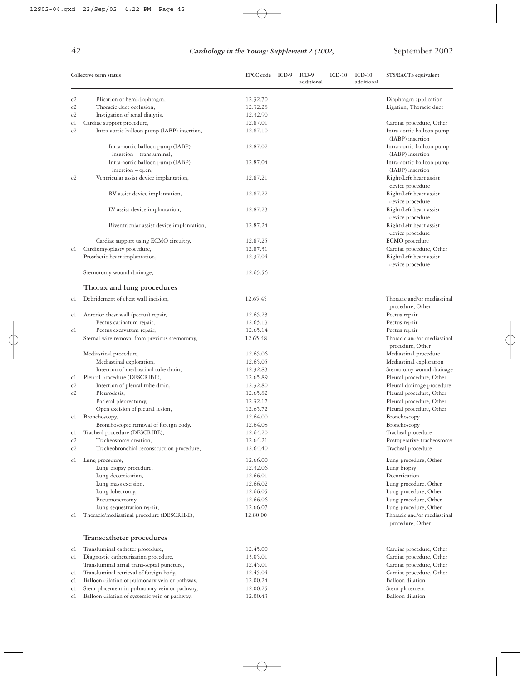| Collective term status                                                                                     | EPCC code            | ICD-9 | $ICD-9$<br>additional | $ICD-10$ | $ICD-10$<br>additional | STS/EACTS equivalent                       |
|------------------------------------------------------------------------------------------------------------|----------------------|-------|-----------------------|----------|------------------------|--------------------------------------------|
| Plication of hemidiaphragm,<br>c2                                                                          | 12.32.70             |       |                       |          |                        | Diaphragm application                      |
| Thoracic duct occlusion,<br>c2                                                                             | 12.32.28             |       |                       |          |                        | Ligation, Thoracic duct                    |
| c2<br>Instigation of renal dialysis,                                                                       | 12.32.90             |       |                       |          |                        |                                            |
| Cardiac support procedure,<br>c1                                                                           | 12.87.01             |       |                       |          |                        | Cardiac procedure, Other                   |
| Intra-aortic balloon pump (IABP) insertion,<br>c2                                                          | 12.87.10             |       |                       |          |                        | Intra-aortic balloon pump                  |
|                                                                                                            |                      |       |                       |          |                        | (IABP) insertion                           |
| Intra-aortic balloon pump (IABP)                                                                           | 12.87.02             |       |                       |          |                        | Intra-aortic balloon pump                  |
| insertion - transluminal,                                                                                  |                      |       |                       |          |                        | (IABP) insertion                           |
| Intra-aortic balloon pump (IABP)                                                                           | 12.87.04             |       |                       |          |                        | Intra-aortic balloon pump                  |
| insertion - open,                                                                                          |                      |       |                       |          |                        | (IABP) insertion                           |
| Ventricular assist device implantation,<br>c2                                                              | 12.87.21             |       |                       |          |                        | Right/Left heart assist                    |
|                                                                                                            |                      |       |                       |          |                        |                                            |
|                                                                                                            |                      |       |                       |          |                        | device procedure                           |
| RV assist device implantation,                                                                             | 12.87.22             |       |                       |          |                        | Right/Left heart assist                    |
|                                                                                                            |                      |       |                       |          |                        | device procedure                           |
| LV assist device implantation,                                                                             | 12.87.23             |       |                       |          |                        | Right/Left heart assist                    |
|                                                                                                            |                      |       |                       |          |                        | device procedure                           |
| Biventricular assist device implantation,                                                                  | 12.87.24             |       |                       |          |                        | Right/Left heart assist                    |
|                                                                                                            |                      |       |                       |          |                        | device procedure                           |
| Cardiac support using ECMO circuitry,                                                                      | 12.87.25             |       |                       |          |                        | ECMO procedure                             |
| Cardiomyoplasty procedure,<br>c1                                                                           | 12.87.31             |       |                       |          |                        | Cardiac procedure, Other                   |
| Prosthetic heart implantation,                                                                             | 12.37.04             |       |                       |          |                        | Right/Left heart assist                    |
|                                                                                                            |                      |       |                       |          |                        | device procedure                           |
| Sternotomy wound drainage,                                                                                 | 12.65.56             |       |                       |          |                        |                                            |
| Thorax and lung procedures                                                                                 |                      |       |                       |          |                        |                                            |
| Debridement of chest wall incision,<br>c1                                                                  | 12.65.45             |       |                       |          |                        | Thoracic and/or mediastinal                |
|                                                                                                            |                      |       |                       |          |                        | procedure, Other                           |
| Anterior chest wall (pectus) repair,<br>c1                                                                 | 12.65.23             |       |                       |          |                        | Pectus repair                              |
| Pectus carinatum repair,                                                                                   | 12.65.13             |       |                       |          |                        | Pectus repair                              |
| Pectus excavatum repair,<br>c1                                                                             | 12.65.14             |       |                       |          |                        | Pectus repair                              |
| Sternal wire removal from previous sternotomy,                                                             | 12.65.48             |       |                       |          |                        | Thoracic and/or mediastinal                |
|                                                                                                            |                      |       |                       |          |                        | procedure, Other                           |
| Mediastinal procedure,                                                                                     | 12.65.06             |       |                       |          |                        | Mediastinal procedure                      |
| Mediastinal exploration,                                                                                   | 12.65.05             |       |                       |          |                        | Mediastinal exploration                    |
| Insertion of mediastinal tube drain,                                                                       | 12.32.83             |       |                       |          |                        | Sternotomy wound drainage                  |
| Pleural procedure (DESCRIBE),<br>c1                                                                        | 12.65.89             |       |                       |          |                        | Pleural procedure, Other                   |
| c2<br>Insertion of pleural tube drain,                                                                     | 12.32.80             |       |                       |          |                        | Pleural drainage procedure                 |
| Pleurodesis,<br>c2                                                                                         | 12.65.82             |       |                       |          |                        | Pleural procedure, Other                   |
| Parietal pleurectomy,                                                                                      | 12.32.17             |       |                       |          |                        | Pleural procedure, Other                   |
| Open excision of pleural lesion,                                                                           | 12.65.72             |       |                       |          |                        | Pleural procedure, Other                   |
| Bronchoscopy,<br>c1                                                                                        | 12.64.00             |       |                       |          |                        | Bronchoscopy                               |
| Bronchoscopic removal of foreign body,                                                                     | 12.64.08             |       |                       |          |                        | Bronchoscopy                               |
| Tracheal procedure (DESCRIBE),<br>c1                                                                       | 12.64.20             |       |                       |          |                        | Tracheal procedure                         |
| c2<br>Tracheostomy creation,                                                                               | 12.64.21             |       |                       |          |                        | Postoperative tracheostomy                 |
| Tracheobronchial reconstruction procedure,<br>c2                                                           | 12.64.40             |       |                       |          |                        | Tracheal procedure                         |
|                                                                                                            |                      |       |                       |          |                        |                                            |
| Lung procedure,<br>c1                                                                                      | 12.66.00             |       |                       |          |                        | Lung procedure, Other                      |
| Lung biopsy procedure,                                                                                     | 12.32.06             |       |                       |          |                        | Lung biopsy                                |
| Lung decortication,                                                                                        | 12.66.01             |       |                       |          |                        | Decortication                              |
| Lung mass excision,                                                                                        | 12.66.02             |       |                       |          |                        | Lung procedure, Other                      |
| Lung lobectomy,                                                                                            | 12.66.05             |       |                       |          |                        | Lung procedure, Other                      |
| Pneumonectomy,                                                                                             | 12.66.06             |       |                       |          |                        | Lung procedure, Other                      |
| Lung sequestration repair,                                                                                 | 12.66.07             |       |                       |          |                        | Lung procedure, Other                      |
| Thoracic/mediastinal procedure (DESCRIBE),<br>cl                                                           | 12.80.00             |       |                       |          |                        | Thoracic and/or mediastinal                |
|                                                                                                            |                      |       |                       |          |                        | procedure, Other                           |
| Transcatheter procedures                                                                                   |                      |       |                       |          |                        |                                            |
| Transluminal catheter procedure,<br>c1                                                                     | 12.45.00             |       |                       |          |                        | Cardiac procedure, Other                   |
| Diagnostic catheterisation procedure,<br>c1                                                                | 13.05.01             |       |                       |          |                        | Cardiac procedure, Other                   |
| Transluminal atrial trans-septal puncture,                                                                 | 12.45.01             |       |                       |          |                        | Cardiac procedure, Other                   |
| Transluminal retrieval of foreign body,                                                                    | 12.45.04             |       |                       |          |                        | Cardiac procedure, Other                   |
| cl                                                                                                         |                      |       |                       |          |                        |                                            |
| Balloon dilation of pulmonary vein or pathway,<br>c1                                                       | 12.00.24             |       |                       |          |                        | <b>Balloon</b> dilation                    |
| Stent placement in pulmonary vein or pathway,<br>c1<br>Balloon dilation of systemic vein or pathway,<br>c1 | 12.00.25<br>12.00.43 |       |                       |          |                        | Stent placement<br><b>Balloon</b> dilation |
|                                                                                                            |                      |       |                       |          |                        |                                            |

 $\oplus$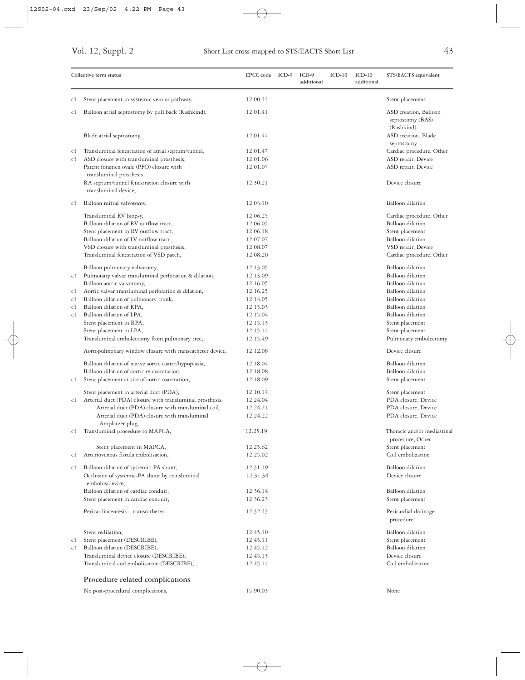|    | Collective term status                                              | EPCC code ICD-9 | $ICD-9$<br>additional | $ICD-10$ | $ICD-10$<br>additional | STS/EACTS equivalent                                    |
|----|---------------------------------------------------------------------|-----------------|-----------------------|----------|------------------------|---------------------------------------------------------|
| c1 | Stent placement in systemic vein or pathway,                        | 12.00.44        |                       |          |                        | Stent placement                                         |
| c1 | Balloon atrial septostomy by pull back (Rashkind),                  | 12.01.41        |                       |          |                        | ASD creation, Balloon<br>septostomy (BAS)<br>(Rashkind) |
|    | Blade atrial septostomy,                                            | 12.01.44        |                       |          |                        | ASD creation, Blade<br>septostomy                       |
| c1 | Transluminal fenestration of atrial septum/tunnel,                  | 12.01.47        |                       |          |                        | Cardiac procedure, Other                                |
| c1 | ASD closure with transluminal prosthesis,                           | 12.01.06        |                       |          |                        | ASD repair, Device                                      |
|    | Patent foramen ovale (PFO) closure with<br>transluminal prosthesis, | 12.01.07        |                       |          |                        | ASD repair, Device                                      |
|    | RA septum/tunnel fenestration closure with<br>transluminal device,  | 12.30.21        |                       |          |                        | Device closure                                          |
| c1 | Balloon mitral valvotomy,                                           | 12.03.10        |                       |          |                        | Balloon dilation                                        |
|    | Transluminal RV biopsy,                                             | 12.06.25        |                       |          |                        | Cardiac procedure, Other                                |
|    | Balloon dilation of RV outflow tract,                               | 12.06.05        |                       |          |                        | <b>Balloon</b> dilation                                 |
|    | Stent placement in RV outflow tract,                                | 12.06.18        |                       |          |                        | Stent placement                                         |
|    | Balloon dilation of LV outflow tract,                               | 12.07.07        |                       |          |                        | <b>Balloon</b> dilation                                 |
|    | VSD closure with transluminal prosthesis,                           | 12.08.07        |                       |          |                        | VSD repair, Device                                      |
|    | Transluminal fenestration of VSD patch,                             | 12.08.20        |                       |          |                        | Cardiac procedure, Other                                |
|    | Balloon pulmonary valvotomy,                                        | 12.13.05        |                       |          |                        | <b>Balloon</b> dilation                                 |
| c1 | Pulmonary valvar transluminal perforation & dilation,               | 12.13.09        |                       |          |                        | <b>Balloon</b> dilation                                 |
|    | Balloon aortic valvotomy,                                           | 12.16.05        |                       |          |                        | <b>Balloon</b> dilation                                 |
| c1 | Aortic valvar transluminal perforation & dilation,                  | 12.16.25        |                       |          |                        | <b>Balloon</b> dilation                                 |
| c1 | Balloon dilation of pulmonary trunk,                                | 12.14.05        |                       |          |                        | <b>Balloon</b> dilation                                 |
| c1 | Balloon dilation of RPA,                                            | 12.15.03        |                       |          |                        | <b>Balloon</b> dilation                                 |
| c1 | Balloon dilation of LPA,                                            | 12.15.04        |                       |          |                        | <b>Balloon</b> dilation                                 |
|    | Stent placement in RPA,                                             | 12.15.13        |                       |          |                        | Stent placement                                         |
|    | Stent placement in LPA,                                             | 12.15.14        |                       |          |                        | Stent placement                                         |
|    | Transluminal embolectomy from pulmonary tree,                       | 12.15.49        |                       |          |                        | Pulmonary embolectomy                                   |
|    | Aortopulmonary window closure with transcatheter device,            | 12.12.08        |                       |          |                        | Device closure                                          |
|    | Balloon dilation of native aortic coarct/hypoplasia,                | 12.18.04        |                       |          |                        | <b>Balloon</b> dilation                                 |
|    | Balloon dilation of aortic re-coarctation,                          | 12.18.08        |                       |          |                        | <b>Balloon</b> dilation                                 |
| c1 | Stent placement at site of aortic coarctation,                      | 12.18.09        |                       |          |                        | Stent placement                                         |
|    | Stent placement in arterial duct (PDA),                             | 12.10.14        |                       |          |                        | Stent placement                                         |
| c1 | Arterial duct (PDA) closure with transluminal prosthesis,           | 12.24.04        |                       |          |                        | PDA closure, Device                                     |
|    | Arterial duct (PDA) closure with transluminal coil,                 | 12.24.21        |                       |          |                        | PDA closure, Device                                     |
|    | Arterial duct (PDA) closure with transluminal<br>Amplatzer plug,    | 12.24.22        |                       |          |                        | PDA closure, Device                                     |
| c1 | Transluminal procedure to MAPCA,                                    | 12.25.19        |                       |          |                        | Thoracic and/or mediastinal<br>procedure, Other         |
|    | Stent placement in MAPCA,                                           | 12.25.62        |                       |          |                        | Stent placement                                         |
| c1 | Arteriovenous fistula embolisation,                                 | 12.25.02        |                       |          |                        | Coil embolization                                       |
| c1 | Balloon dilation of systemic-PA shunt,                              | 12.31.19        |                       |          |                        | <b>Balloon</b> dilation                                 |
|    | Occlusion of systemic-PA shunt by transluminal<br>embolus/device,   | 12.31.34        |                       |          |                        | Device closure                                          |
|    | Balloon dilation of cardiac conduit,                                | 12.36.14        |                       |          |                        | <b>Balloon</b> dilation                                 |
|    | Stent placement in cardiac conduit,                                 | 12.36.23        |                       |          |                        | Stent placement                                         |
|    | Pericardiocentesis - transcatheter,                                 | 12.32.43        |                       |          |                        | Pericardial drainage<br>procedure                       |
|    | Stent redilation,                                                   | 12.45.10        |                       |          |                        | <b>Balloon</b> dilation                                 |
| сl | Stent placement (DESCRIBE),                                         | 12.45.11        |                       |          |                        | Stent placement                                         |
| c1 | Balloon dilation (DESCRIBE),                                        | 12.45.12        |                       |          |                        | <b>Balloon</b> dilation                                 |
|    | Transluminal device closure (DESCRIBE),                             | 12.45.13        |                       |          |                        | Device closure                                          |
|    | Transluminal coil embolisation (DESCRIBE),                          | 12.45.14        |                       |          |                        | Coil embolization                                       |
|    | Procedure related complications                                     |                 |                       |          |                        |                                                         |
|    | No post-procedural complications,                                   | 15.90.03        |                       |          |                        | None                                                    |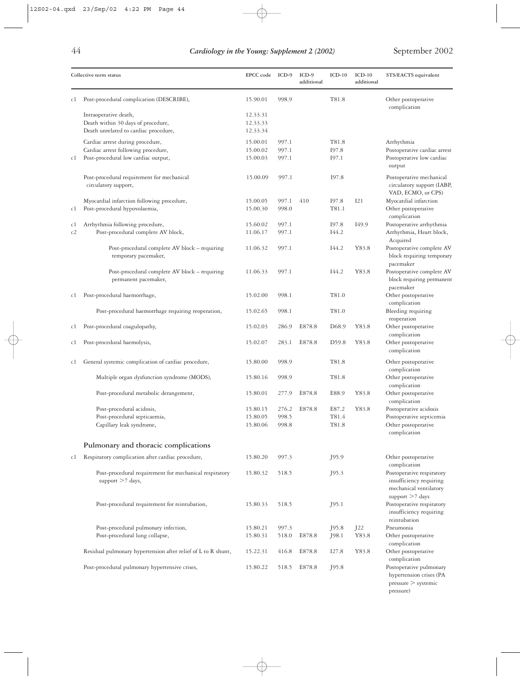pressure)

| Collective term status |                                                                                                                | EPCC code                        | $ICD-9$                 | $ICD-9$<br>additional | $ICD-10$                | $ICD-10$<br>additional | STS/EACTS equivalent                                                                                |  |
|------------------------|----------------------------------------------------------------------------------------------------------------|----------------------------------|-------------------------|-----------------------|-------------------------|------------------------|-----------------------------------------------------------------------------------------------------|--|
| c1                     | Post-procedural complication (DESCRIBE),                                                                       | 15.90.01                         | 998.9                   |                       | T81.8                   |                        | Other postoperative<br>complication                                                                 |  |
|                        | Intraoperative death,<br>Death within 30 days of procedure,<br>Death unrelated to cardiac procedure,           | 12.33.31<br>12.33.33<br>12.33.34 |                         |                       |                         |                        |                                                                                                     |  |
| c1                     | Cardiac arrest during procedure,<br>Cardiac arrest following procedure,<br>Post-procedural low cardiac output, | 15.00.01<br>15.00.02<br>15.00.03 | 997.1<br>997.1<br>997.1 |                       | T81.8<br>I97.8<br>I97.1 |                        | Arrhythmia<br>Postoperative cardiac arrest<br>Postoperative low cardiac<br>output                   |  |
|                        | Post-procedural requirement for mechanical<br>circulatory support,                                             | 15.00.09                         | 997.1                   |                       | I97.8                   |                        | Postoperative mechanical<br>circulatory support (IABP,<br>VAD, ECMO, or CPS)                        |  |
| c1                     | Myocardial infarction following procedure,<br>Post-procedural hypovolaemia,                                    | 15.00.05<br>15.00.30             | 997.1<br>998.0          | 410                   | I97.8<br>T81.1          | I21                    | Myocardial infarction<br>Other postoperative<br>complication                                        |  |
| c1<br>c2               | Arrhythmia following procedure,<br>Post-procedural complete AV block,                                          | 15.60.02<br>11.06.17             | 997.1<br>997.1          |                       | I97.8<br>I44.2          | I <sub>49.9</sub>      | Postoperative arrhythmia<br>Arrhythmia, Heart block,<br>Acquired                                    |  |
|                        | Post-procedural complete AV block - requiring<br>temporary pacemaker,                                          | 11.06.32                         | 997.1                   |                       | I44.2                   | Y83.8                  | Postoperative complete AV<br>block requiring temporary<br>pacemaker                                 |  |
|                        | Post-procedural complete AV block – requiring<br>permanent pacemaker,                                          | 11.06.33                         | 997.1                   |                       | I44.2                   | Y83.8                  | Postoperative complete AV<br>block requiring permanent<br>pacemaker                                 |  |
| c1                     | Post-procedural haemorrhage,                                                                                   | 15.02.00                         | 998.1                   |                       | T81.0                   |                        | Other postoperative<br>complication                                                                 |  |
|                        | Post-procedural haemorrhage requiring reoperation,                                                             | 15.02.65                         | 998.1                   |                       | T81.0                   |                        | Bleeding requiring<br>reoperation                                                                   |  |
| c1                     | Post-procedural coagulopathy,                                                                                  | 15.02.03                         | 286.9                   | E878.8                | D <sub>68.9</sub>       | Y83.8                  | Other postoperative<br>complication                                                                 |  |
| cl                     | Post-procedural haemolysis,                                                                                    | 15.02.07                         | 283.1                   | E878.8                | D59.8                   | Y83.8                  | Other postoperative<br>complication                                                                 |  |
| cl                     | General systemic complication of cardiac procedure,                                                            | 15.80.00<br>15.80.16             | 998.9                   |                       | T81.8                   |                        | Other postoperative<br>complication                                                                 |  |
|                        | Multiple organ dysfunction syndrome (MODS),<br>Post-procedural metabolic derangement,                          | 15.80.01                         | 998.9<br>277.9          | E878.8                | T81.8<br>E88.9          | Y83.8                  | Other postoperative<br>complication<br>Other postoperative                                          |  |
|                        | Post-procedural acidosis,                                                                                      | 15.80.15                         | 276.2                   | E878.8                | E87.2                   | Y83.8                  | complication<br>Postoperative acidosis                                                              |  |
|                        | Post-procedural septicaemia,<br>Capillary leak syndrome,                                                       | 15.80.05<br>15.80.06             | 998.5<br>998.8          |                       | T81.4<br>T81.8          |                        | Postoperative septicemia<br>Other postoperative<br>complication                                     |  |
|                        | Pulmonary and thoracic complications                                                                           |                                  |                         |                       |                         |                        |                                                                                                     |  |
| c1                     | Respiratory complication after cardiac procedure,                                                              | 15.80.20                         | 997.3                   |                       | J95.9                   |                        | Other postoperative<br>complication                                                                 |  |
|                        | Post-procedural requirement for mechanical respiratory<br>support >7 days,                                     | 15.80.32                         | 518.5                   |                       | J95.3                   |                        | Postoperative respiratory<br>insufficiency requiring<br>mechanical ventilatory<br>support $>7$ days |  |
|                        | Post-procedural requirement for reintubation,                                                                  | 15.80.33                         | 518.5                   |                       | J95.1                   |                        | Postoperative respiratory<br>insufficiency requiring<br>reintubation                                |  |
|                        | Post-procedural pulmonary infection,<br>Post-procedural lung collapse,                                         | 15.80.21<br>15.80.31             | 997.3<br>518.0          | E878.8                | J95.8<br>J98.1          | J22<br>Y83.8           | Pneumonia<br>Other postoperative<br>complication                                                    |  |
|                        | Residual pulmonary hypertension after relief of L to R shunt,                                                  | 15.22.31                         | 416.8                   | E878.8                | I27.8                   | Y83.8                  | Other postoperative<br>complication                                                                 |  |
|                        | Post-procedural pulmonary hypertensive crises,                                                                 | 15.80.22                         | 518.5                   | E878.8                | J95.8                   |                        | Postoperative pulmonary<br>hypertension crises (PA<br>pressure > systematic                         |  |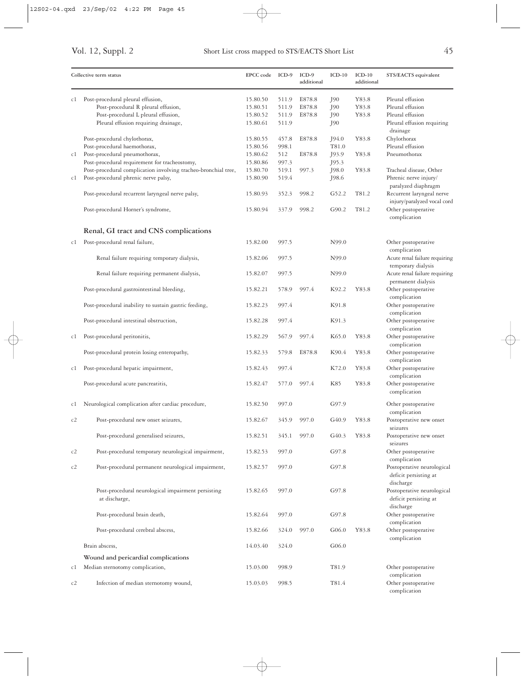|    | Collective term status                                              | <b>EPCC</b> code | ICD-9 | ICD-9<br>additional | $ICD-10$          | $ICD-10$<br>additional | STS/EACTS equivalent                                             |
|----|---------------------------------------------------------------------|------------------|-------|---------------------|-------------------|------------------------|------------------------------------------------------------------|
| сl | Post-procedural pleural effusion,                                   | 15.80.50         | 511.9 | E878.8              | J90               | Y83.8                  | Pleural effusion                                                 |
|    | Post-procedural R pleural effusion,                                 | 15.80.51         | 511.9 | E878.8              | J90               | Y83.8                  | Pleural effusion                                                 |
|    | Post-procedural L pleural effusion,                                 | 15.80.52         | 511.9 | E878.8              | J90               | Y83.8                  | Pleural effusion                                                 |
|    | Pleural effusion requiring drainage,                                | 15.80.61         | 511.9 |                     | J90               |                        | Pleural effusion requiring<br>drainage                           |
|    | Post-procedural chylothorax,                                        | 15.80.55         | 457.8 | E878.8              | J94.0             | Y83.8                  | Chylothorax                                                      |
|    | Post-procedural haemothorax,                                        | 15.80.56         | 998.1 |                     | T81.0             |                        | Pleural effusion                                                 |
| c1 | Post-procedural pneumothorax,                                       | 15.80.62         | 512   | E878.8              | J93.9             | Y83.8                  | Pneumothorax                                                     |
|    | Post-procedural requirement for tracheostomy,                       | 15.80.86         | 997.3 |                     | J95.3             |                        |                                                                  |
|    | Post-procedural complication involving tracheo-bronchial tree,      | 15.80.70         | 519.1 | 997.3               | J98.0             | Y83.8                  | Tracheal disease, Other                                          |
| c1 | Post-procedural phrenic nerve palsy,                                | 15.80.90         | 519.4 |                     | J98.6             |                        | Phrenic nerve injury/<br>paralyzed diaphragm                     |
|    | Post-procedural recurrent laryngeal nerve palsy,                    | 15.80.93         | 352.3 | 998.2               | G52.2             | T81.2                  | Recurrent laryngeal nerve<br>injury/paralyzed vocal cord         |
|    | Post-procedural Horner's syndrome,                                  | 15.80.94         | 337.9 | 998.2               | G90.2             | T81.2                  | Other postoperative<br>complication                              |
|    | Renal, GI tract and CNS complications                               |                  |       |                     |                   |                        |                                                                  |
| c1 | Post-procedural renal failure,                                      | 15.82.00         | 997.5 |                     | N99.0             |                        | Other postoperative<br>complication                              |
|    | Renal failure requiring temporary dialysis,                         | 15.82.06         | 997.5 |                     | N99.0             |                        | Acute renal failure requiring<br>temporary dialysis              |
|    | Renal failure requiring permanent dialysis,                         | 15.82.07         | 997.5 |                     | N99.0             |                        | Acute renal failure requiring<br>permanent dialysis              |
|    | Post-procedural gastrointestinal bleeding,                          | 15.82.21         | 578.9 | 997.4               | K92.2             | Y83.8                  | Other postoperative<br>complication                              |
|    | Post-procedural inability to sustain gastric feeding,               | 15.82.23         | 997.4 |                     | K91.8             |                        | Other postoperative<br>complication                              |
|    | Post-procedural intestinal obstruction,                             | 15.82.28         | 997.4 |                     | K91.3             |                        | Other postoperative<br>complication                              |
| c1 | Post-procedural peritonitis,                                        | 15.82.29         | 567.9 | 997.4               | K <sub>65.0</sub> | Y83.8                  | Other postoperative<br>complication                              |
|    | Post-procedural protein losing enteropathy,                         | 15.82.33         | 579.8 | E878.8              | K90.4             | Y83.8                  | Other postoperative<br>complication                              |
| c1 | Post-procedural hepatic impairment,                                 | 15.82.43         | 997.4 |                     | K72.0             | Y83.8                  | Other postoperative<br>complication                              |
|    | Post-procedural acute pancreatitis,                                 | 15.82.47         | 577.0 | 997.4               | K85               | Y83.8                  | Other postoperative<br>complication                              |
| c1 | Neurological complication after cardiac procedure,                  | 15.82.50         | 997.0 |                     | G97.9             |                        | Other postoperative<br>complication                              |
| c2 | Post-procedural new onset seizures,                                 | 15.82.67         | 345.9 | 997.0               | G <sub>40.9</sub> | Y83.8                  | Postoperative new onset<br>seizures                              |
|    | Post-procedural generalised seizures,                               | 15.82.51         | 345.1 | 997.0               | G40.3             | Y83.8                  | Postoperative new onset<br>seizures                              |
| c2 | Post-procedural temporary neurological impairment,                  | 15.82.53         | 997.0 |                     | G97.8             |                        | Other postoperative<br>complication                              |
| c2 | Post-procedural permanent neurological impairment,                  | 15.82.57         | 997.0 |                     | G97.8             |                        | Postoperative neurological<br>deficit persisting at<br>discharge |
|    | Post-procedural neurological impairment persisting<br>at discharge, | 15.82.65         | 997.0 |                     | G97.8             |                        | Postoperative neurological<br>deficit persisting at<br>discharge |
|    | Post-procedural brain death,                                        | 15.82.64         | 997.0 |                     | G97.8             |                        | Other postoperative<br>complication                              |
|    | Post-procedural cerebral abscess,                                   | 15.82.66         | 324.0 | 997.0               | G06.0             | Y83.8                  | Other postoperative<br>complication                              |
|    | Brain abscess,                                                      | 14.03.40         | 324.0 |                     | G06.0             |                        |                                                                  |
|    | Wound and pericardial complications                                 |                  |       |                     |                   |                        |                                                                  |
| c1 | Median sternotomy complication,                                     | 15.03.00         | 998.9 |                     | T81.9             |                        | Other postoperative<br>complication                              |
| c2 | Infection of median sternotomy wound,                               | 15.03.03         | 998.5 |                     | T81.4             |                        | Other postoperative<br>complication                              |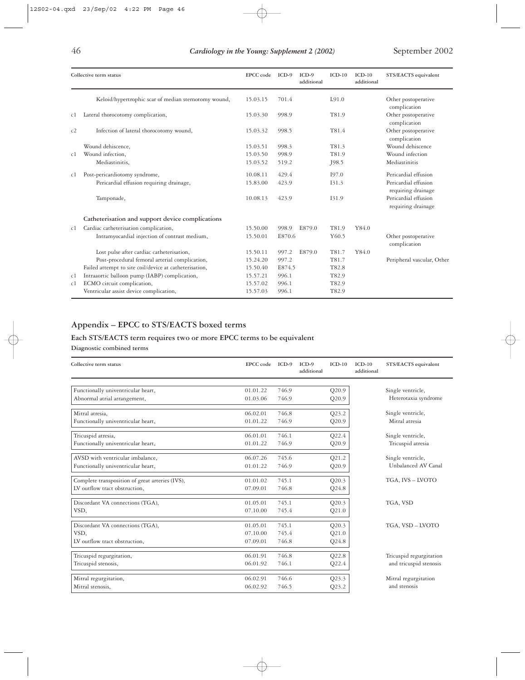| Collective term status |                                                        | EPCC code | $ICD-9$ | $ICD-9$<br>additional | $ICD-10$ | $ICD-10$<br>additional | STS/EACTS equivalent                       |
|------------------------|--------------------------------------------------------|-----------|---------|-----------------------|----------|------------------------|--------------------------------------------|
|                        | Keloid/hypertrophic scar of median sternotomy wound,   | 15.03.15  | 701.4   |                       | L91.0    |                        | Other postoperative<br>complication        |
| cl                     | Lateral thorocotomy complication,                      | 15.03.30  | 998.9   |                       | T81.9    |                        | Other postoperative<br>complication        |
| c2                     | Infection of lateral thorocotomy wound,                | 15.03.32  | 998.5   |                       | T81.4    |                        | Other postoperative<br>complication        |
|                        | Wound dehiscence,                                      | 15.03.51  | 998.3   |                       | T81.3    |                        | Wound dehiscence                           |
| c1                     | Wound infection,                                       | 15.03.50  | 998.9   |                       | T81.9    |                        | Wound infection                            |
|                        | Mediastinitis,                                         | 15.03.52  | 519.2   |                       | J98.5    |                        | Mediastinitis                              |
| c1                     | Post-pericardiotomy syndrome,                          | 10.08.11  | 429.4   |                       | 197.0    |                        | Pericardial effusion                       |
|                        | Pericardial effusion requiring drainage,               | 15.83.00  | 423.9   |                       | 131.3    |                        | Pericardial effusion<br>requiring drainage |
|                        | Tamponade,                                             | 10.08.13  | 423.9   |                       | I31.9    |                        | Pericardial effusion<br>requiring drainage |
|                        | Catheterisation and support device complications       |           |         |                       |          |                        |                                            |
| c1                     | Cardiac catheterisation complication,                  | 15.50.00  | 998.9   | E879.0                | T81.9    | Y84.0                  |                                            |
|                        | Intramyocardial injection of contrast medium,          | 15.50.01  | E870.6  |                       | Y60.5    |                        | Other postoperative<br>complication        |
|                        | Lost pulse after cardiac catheterisation,              | 15.50.11  | 997.2   | E879.0                | T81.7    | Y84.0                  |                                            |
|                        | Post-procedural femoral arterial complication,         | 15.24.20  | 997.2   |                       | T81.7    |                        | Peripheral vascular, Other                 |
|                        | Failed attempt to site coil/device at catheterisation, | 15.50.40  | E874.5  |                       | T82.8    |                        |                                            |
| c1                     | Intraaortic balloon pump (IABP) complication,          | 15.57.21  | 996.1   |                       | T82.9    |                        |                                            |
| c1                     | ECMO circuit complication,                             | 15.57.02  | 996.1   |                       | T82.9    |                        |                                            |
|                        | Ventricular assist device complication,                | 15.57.03  | 996.1   |                       | T82.9    |                        |                                            |

## **Appendix – EPCC to STS/EACTS boxed terms**

### **Each STS/EACTS term requires two or more EPCC terms to be equivalent**

### **Diagnostic combined terms**

| Collective term status                          | EPCC code | $ICD-9$ | $ICD-9$<br>additional | $ICD-10$ | $ICD-10$<br>additional | STS/EACTS equivalent    |
|-------------------------------------------------|-----------|---------|-----------------------|----------|------------------------|-------------------------|
|                                                 |           |         |                       |          |                        |                         |
| Functionally univentricular heart,              | 01.01.22  | 746.9   |                       | Q20.9    |                        | Single ventricle,       |
| Abnormal atrial arrangement,                    | 01.03.06  | 746.9   |                       | Q20.9    |                        | Heterotaxia syndrome    |
| Mitral atresia,                                 | 06.02.01  | 746.8   |                       | Q23.2    |                        | Single ventricle,       |
| Functionally univentricular heart,              | 01.01.22  | 746.9   |                       | Q20.9    |                        | Mitral atresia          |
| Tricuspid atresia,                              | 06.01.01  | 746.1   |                       | Q22.4    |                        | Single ventricle,       |
| Functionally univentricular heart,              | 01.01.22  | 746.9   |                       | Q20.9    |                        | Tricuspid atresia       |
| AVSD with ventricular imbalance,                | 06.07.26  | 745.6   |                       | Q21.2    |                        | Single ventricle,       |
| Functionally univentricular heart,              | 01.01.22  | 746.9   |                       | Q20.9    |                        | Unbalanced AV Canal     |
| Complete transposition of great arteries (IVS), | 01.01.02  | 745.1   |                       | Q20.3    |                        | TGA, IVS - LVOTO        |
| LV outflow tract obstruction,                   | 07.09.01  | 746.8   |                       | $Q$ 24.8 |                        |                         |
| Discordant VA connections (TGA),                | 01.05.01  | 745.1   |                       | Q20.3    |                        | TGA, VSD                |
| VSD,                                            | 07.10.00  | 745.4   |                       | Q21.0    |                        |                         |
| Discordant VA connections (TGA),                | 01.05.01  | 745.1   |                       | Q20.3    |                        | TGA, VSD - LVOTO        |
| VSD.                                            | 07.10.00  | 745.4   |                       | Q21.0    |                        |                         |
| LV outflow tract obstruction,                   | 07.09.01  | 746.8   |                       | $Q$ 24.8 |                        |                         |
| Tricuspid regurgitation,                        | 06.01.91  | 746.8   |                       | Q22.8    |                        | Tricuspid regurgitation |
| Tricuspid stenosis,                             | 06.01.92  | 746.1   |                       | Q22.4    |                        | and tricuspid stenosis  |
|                                                 |           |         |                       |          |                        |                         |
| Mitral regurgitation,                           | 06.02.91  | 746.6   |                       | Q23.3    |                        | Mitral regurgitation    |
| Mitral stenosis,                                | 06.02.92  | 746.5   |                       | Q23.2    |                        | and stenosis            |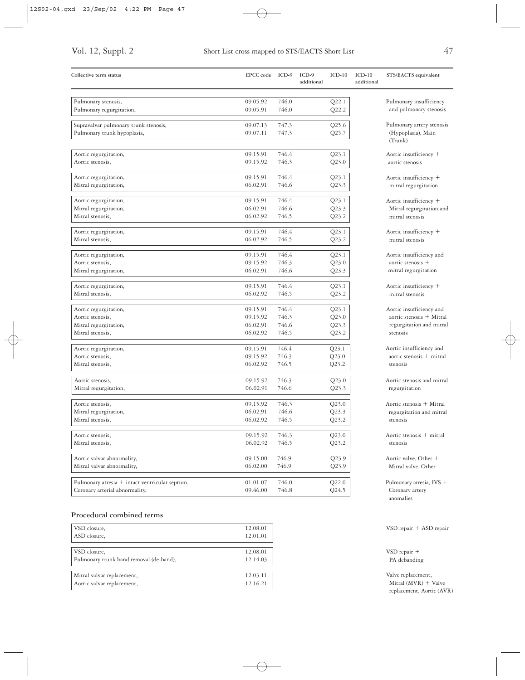| Collective term status                         | <b>EPCC</b> code     | $ICD-9$        | $ICD-9$<br>additional | $ICD-10$       | $ICD-10$<br>additional |
|------------------------------------------------|----------------------|----------------|-----------------------|----------------|------------------------|
| Pulmonary stenosis,                            | 09.05.92             | 746.0          |                       | Q22.1          |                        |
| Pulmonary regurgitation,                       | 09.05.91             | 746.0          |                       | Q22.2          |                        |
| Supravalvar pulmonary trunk stenosis,          | 09.07.13             | 747.3          |                       | Q25.6          |                        |
| Pulmonary trunk hypoplasia,                    | 09.07.11             | 747.3          |                       | Q25.7          |                        |
| Aortic regurgitation,                          | 09.15.91             | 746.4          |                       | Q23.1          |                        |
| Aortic stenosis,                               | 09.15.92             | 746.3          |                       | Q23.0          |                        |
| Aortic regurgitation,                          | 09.15.91             | 746.4          |                       | Q23.1          |                        |
| Mitral regurgitation,                          | 06.02.91             | 746.6          |                       | Q23.3          |                        |
| Aortic regurgitation,                          | 09.15.91             | 746.4          |                       | Q23.1          |                        |
| Mitral regurgitation,<br>Mitral stenosis,      | 06.02.91<br>06.02.92 | 746.6<br>746.5 |                       | Q23.3<br>Q23.2 |                        |
|                                                |                      |                |                       |                |                        |
| Aortic regurgitation,                          | 09.15.91             | 746.4          |                       | Q23.1          |                        |
| Mitral stenosis,                               | 06.02.92             | 746.5          |                       | Q23.2          |                        |
| Aortic regurgitation,                          | 09.15.91             | 746.4          |                       | Q23.1          |                        |
| Aortic stenosis,                               | 09.15.92             | 746.3          |                       | Q23.0          |                        |
| Mitral regurgitation,                          | 06.02.91             | 746.6          |                       | Q23.3          |                        |
| Aortic regurgitation,                          | 09.15.91             | 746.4          |                       | Q23.1          |                        |
| Mitral stenosis,                               | 06.02.92             | 746.5          |                       | Q23.2          |                        |
| Aortic regurgitation,                          | 09.15.91             | 746.4          |                       | Q23.1          |                        |
| Aortic stenosis,                               | 09.15.92             | 746.3          |                       | Q23.0          |                        |
| Mitral regurgitation,                          | 06.02.91             | 746.6          |                       | Q23.3          |                        |
| Mitral stenosis,                               | 06.02.92             | 746.5          |                       | Q23.2          |                        |
| Aortic regurgitation,                          | 09.15.91             | 746.4          |                       | Q23.1          |                        |
| Aortic stenosis,                               | 09.15.92             | 746.3          |                       | Q23.0          |                        |
| Mitral stenosis,                               | 06.02.92             | 746.5          |                       | Q23.2          |                        |
| Aortic stenosis,                               | 09.15.92             | 746.3          |                       | Q23.0          |                        |
| Mitral regurgitation,                          | 06.02.91             | 746.6          |                       | Q23.3          |                        |
| Aortic stenosis,                               | 09.15.92             | 746.3          |                       | Q23.0          |                        |
| Mitral regurgitation,                          | 06.02.91             | 746.6          |                       | Q23.3          |                        |
| Mitral stenosis,                               | 06.02.92             | 746.5          |                       | Q23.2          |                        |
| Aortic stenosis,                               | 09.15.92             | 746.3          |                       | Q23.0          |                        |
| Mitral stenosis,                               | 06.02.92             | 746.5          |                       | Q23.2          |                        |
| Aortic valvar abnormality,                     | 09.15.00             | 746.9          |                       | Q23.9          |                        |
| Mitral valvar abnormality,                     | 06.02.00             | 746.9          |                       | Q23.9          |                        |
| Pulmonary atresia + intact ventricular septum, | 01.01.07             | 746.0          |                       | Q22.0          |                        |
| Coronary arterial abnormality,                 | 09.46.00             | 746.8          |                       | Q24.5          |                        |

### **Procedural combined terms**

| VSD closure,                            | 12.08.01 |
|-----------------------------------------|----------|
| ASD closure.                            | 12.01.01 |
|                                         |          |
| VSD closure,                            | 12.08.01 |
| Pulmonary trunk band removal (de-band), | 12.14.03 |
|                                         |          |
| Mitral valvar replacement,              | 12.03.11 |
| Aortic valvar replacement,              | 12.16.21 |

| Pulmonary insufficiency<br>and pulmonary stenosis                                            |
|----------------------------------------------------------------------------------------------|
| Pulmonary artery stenosis<br>(Hypoplasia), Main<br>(Trunk)                                   |
| Aortic insufficiency +<br>aortic stenosis                                                    |
| Aortic insufficiency +<br>mitral regurgitation                                               |
| Aortic insufficiency +<br>Mitral regurgitation and<br>mitral stenosis                        |
| Aortic insufficiency +<br>mitral stenosis                                                    |
| Aortic insufficiency and<br>aortic stenosis +<br>mitral regurgitation                        |
| Aortic insufficiency +<br>mitral stenosis                                                    |
| Aortic insufficiency and<br>aortic stenosis + Mitral<br>regurgitation and mitral<br>stenosis |

**Collective term status EPCC code ICD-9 ICD-9 ICD-10 ICD-10 STS/EACTS equivalent**

Aortic insufficiency and  $a$ ortic stenosis + mitral stenosis

Aortic stenosis and mitral regurgitation

 $\begin{aligned} \text{Aortic stenosis} \; + \; \text{Mittal} \end{aligned}$ regurgitation and mitral stenosis

Aortic stenosis  $+$  mitral stenosis

Aortic valve, Other Mitral valve, Other

Pulmonary atresia, IVS Coronary artery anomalies

VSD repair ASD repair

VSD repair PA debanding

Valve replacement,  $M$ itral  $(MVR) + Valve$ replacement, Aortic (AVR)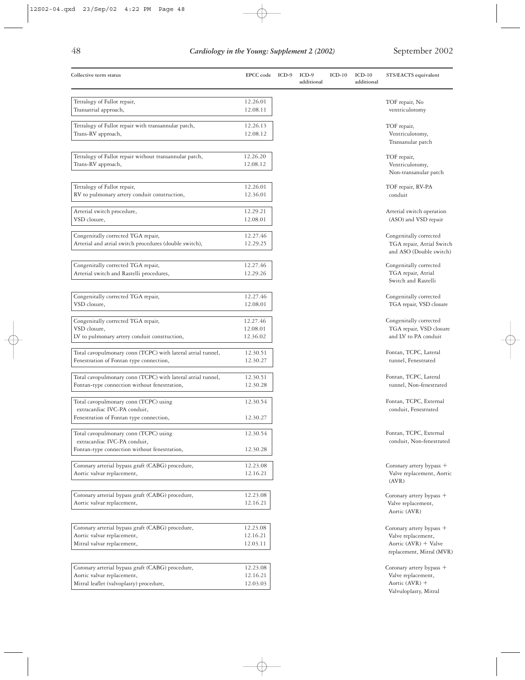| ٠ |
|---|
| ٠ |
|   |
|   |

| Tetralogy of Fallot repair,<br>12.26.01<br>TOF repair, No<br>Transatrial approach,<br>12.08.11<br>ventriculotomy<br>Tetralogy of Fallot repair with transannular patch,<br>12.26.13<br>TOF repair,<br>Trans-RV approach,<br>Ventriculotomy,<br>12.08.12<br>Transanular patch<br>Tetralogy of Fallot repair without transannular patch,<br>12.26.20<br>TOF repair,<br>Ventriculotomy,<br>Trans-RV approach,<br>12.08.12<br>Tetralogy of Fallot repair,<br>12.26.01<br>TOF repair, RV-PA<br>RV to pulmonary artery conduit construction,<br>12.36.01<br>conduit<br>Arterial switch procedure,<br>12.29.21<br>VSD closure,<br>(ASO) and VSD repair<br>12.08.01<br>Congenitally corrected TGA repair,<br>12.27.46<br>Congenitally corrected<br>Arterial and atrial switch procedures (double switch),<br>12.29.25<br>TGA repair, Atrial Switch<br>Congenitally corrected TGA repair,<br>12.27.46<br>Congenitally corrected<br>Arterial switch and Rastelli procedures,<br>TGA repair, Atrial<br>12.29.26<br>Switch and Rastelli<br>Congenitally corrected TGA repair,<br>12.27.46<br>Congenitally corrected<br>VSD closure,<br>12.08.01<br>Congenitally corrected TGA repair,<br>Congenitally corrected<br>12.27.46<br>VSD closure,<br>12.08.01<br>and LV to PA conduit<br>LV to pulmonary artery conduit construction,<br>12.36.02<br>Total cavopulmonary conn (TCPC) with lateral atrial tunnel,<br>Fontan, TCPC, Lateral<br>12.30.51<br>tunnel, Fenestrated<br>Fenestration of Fontan type connection,<br>12.30.27<br>Total cavopulmonary conn (TCPC) with lateral atrial tunnel,<br>12.30.51<br>Fontan, TCPC, Lateral<br>Fontan-type connection without fenestration,<br>12.30.28<br>Total cavopulmonary conn (TCPC) using<br>Fontan, TCPC, External<br>12.30.54<br>conduit, Fenestrated<br>extracardiac IVC-PA conduit,<br>Fenestration of Fontan type connection,<br>12.30.27<br>Fontan, TCPC, External<br>Total cavopulmonary conn (TCPC) using<br>12.30.54<br>extracardiac IVC-PA conduit,<br>Fontan-type connection without fenestration,<br>12.30.28<br>Coronary arterial bypass graft (CABG) procedure,<br>Coronary artery bypass +<br>12.23.08<br>Aortic valvar replacement,<br>12.16.21<br>(AVR)<br>Coronary arterial bypass graft (CABG) procedure,<br>12.23.08<br>Aortic valvar replacement,<br>12.16.21<br>Valve replacement,<br>Aortic (AVR)<br>Coronary arterial bypass graft (CABG) procedure,<br>12.23.08<br>Coronary artery bypass +<br>Valve replacement,<br>Aortic valvar replacement,<br>12.16.21<br>Mitral valvar replacement,<br>12.03.11 | STS/EACTS equivalent                                  |
|-----------------------------------------------------------------------------------------------------------------------------------------------------------------------------------------------------------------------------------------------------------------------------------------------------------------------------------------------------------------------------------------------------------------------------------------------------------------------------------------------------------------------------------------------------------------------------------------------------------------------------------------------------------------------------------------------------------------------------------------------------------------------------------------------------------------------------------------------------------------------------------------------------------------------------------------------------------------------------------------------------------------------------------------------------------------------------------------------------------------------------------------------------------------------------------------------------------------------------------------------------------------------------------------------------------------------------------------------------------------------------------------------------------------------------------------------------------------------------------------------------------------------------------------------------------------------------------------------------------------------------------------------------------------------------------------------------------------------------------------------------------------------------------------------------------------------------------------------------------------------------------------------------------------------------------------------------------------------------------------------------------------------------------------------------------------------------------------------------------------------------------------------------------------------------------------------------------------------------------------------------------------------------------------------------------------------------------------------------------------------------------------------------------------------------------------------------------------------------------------------------------------------------------------------------------------|-------------------------------------------------------|
|                                                                                                                                                                                                                                                                                                                                                                                                                                                                                                                                                                                                                                                                                                                                                                                                                                                                                                                                                                                                                                                                                                                                                                                                                                                                                                                                                                                                                                                                                                                                                                                                                                                                                                                                                                                                                                                                                                                                                                                                                                                                                                                                                                                                                                                                                                                                                                                                                                                                                                                                                                 |                                                       |
|                                                                                                                                                                                                                                                                                                                                                                                                                                                                                                                                                                                                                                                                                                                                                                                                                                                                                                                                                                                                                                                                                                                                                                                                                                                                                                                                                                                                                                                                                                                                                                                                                                                                                                                                                                                                                                                                                                                                                                                                                                                                                                                                                                                                                                                                                                                                                                                                                                                                                                                                                                 |                                                       |
|                                                                                                                                                                                                                                                                                                                                                                                                                                                                                                                                                                                                                                                                                                                                                                                                                                                                                                                                                                                                                                                                                                                                                                                                                                                                                                                                                                                                                                                                                                                                                                                                                                                                                                                                                                                                                                                                                                                                                                                                                                                                                                                                                                                                                                                                                                                                                                                                                                                                                                                                                                 |                                                       |
|                                                                                                                                                                                                                                                                                                                                                                                                                                                                                                                                                                                                                                                                                                                                                                                                                                                                                                                                                                                                                                                                                                                                                                                                                                                                                                                                                                                                                                                                                                                                                                                                                                                                                                                                                                                                                                                                                                                                                                                                                                                                                                                                                                                                                                                                                                                                                                                                                                                                                                                                                                 |                                                       |
|                                                                                                                                                                                                                                                                                                                                                                                                                                                                                                                                                                                                                                                                                                                                                                                                                                                                                                                                                                                                                                                                                                                                                                                                                                                                                                                                                                                                                                                                                                                                                                                                                                                                                                                                                                                                                                                                                                                                                                                                                                                                                                                                                                                                                                                                                                                                                                                                                                                                                                                                                                 |                                                       |
|                                                                                                                                                                                                                                                                                                                                                                                                                                                                                                                                                                                                                                                                                                                                                                                                                                                                                                                                                                                                                                                                                                                                                                                                                                                                                                                                                                                                                                                                                                                                                                                                                                                                                                                                                                                                                                                                                                                                                                                                                                                                                                                                                                                                                                                                                                                                                                                                                                                                                                                                                                 | Non-transanular patch                                 |
|                                                                                                                                                                                                                                                                                                                                                                                                                                                                                                                                                                                                                                                                                                                                                                                                                                                                                                                                                                                                                                                                                                                                                                                                                                                                                                                                                                                                                                                                                                                                                                                                                                                                                                                                                                                                                                                                                                                                                                                                                                                                                                                                                                                                                                                                                                                                                                                                                                                                                                                                                                 |                                                       |
|                                                                                                                                                                                                                                                                                                                                                                                                                                                                                                                                                                                                                                                                                                                                                                                                                                                                                                                                                                                                                                                                                                                                                                                                                                                                                                                                                                                                                                                                                                                                                                                                                                                                                                                                                                                                                                                                                                                                                                                                                                                                                                                                                                                                                                                                                                                                                                                                                                                                                                                                                                 |                                                       |
|                                                                                                                                                                                                                                                                                                                                                                                                                                                                                                                                                                                                                                                                                                                                                                                                                                                                                                                                                                                                                                                                                                                                                                                                                                                                                                                                                                                                                                                                                                                                                                                                                                                                                                                                                                                                                                                                                                                                                                                                                                                                                                                                                                                                                                                                                                                                                                                                                                                                                                                                                                 | Arterial switch operation                             |
|                                                                                                                                                                                                                                                                                                                                                                                                                                                                                                                                                                                                                                                                                                                                                                                                                                                                                                                                                                                                                                                                                                                                                                                                                                                                                                                                                                                                                                                                                                                                                                                                                                                                                                                                                                                                                                                                                                                                                                                                                                                                                                                                                                                                                                                                                                                                                                                                                                                                                                                                                                 |                                                       |
|                                                                                                                                                                                                                                                                                                                                                                                                                                                                                                                                                                                                                                                                                                                                                                                                                                                                                                                                                                                                                                                                                                                                                                                                                                                                                                                                                                                                                                                                                                                                                                                                                                                                                                                                                                                                                                                                                                                                                                                                                                                                                                                                                                                                                                                                                                                                                                                                                                                                                                                                                                 |                                                       |
|                                                                                                                                                                                                                                                                                                                                                                                                                                                                                                                                                                                                                                                                                                                                                                                                                                                                                                                                                                                                                                                                                                                                                                                                                                                                                                                                                                                                                                                                                                                                                                                                                                                                                                                                                                                                                                                                                                                                                                                                                                                                                                                                                                                                                                                                                                                                                                                                                                                                                                                                                                 | and ASO (Double switch)                               |
|                                                                                                                                                                                                                                                                                                                                                                                                                                                                                                                                                                                                                                                                                                                                                                                                                                                                                                                                                                                                                                                                                                                                                                                                                                                                                                                                                                                                                                                                                                                                                                                                                                                                                                                                                                                                                                                                                                                                                                                                                                                                                                                                                                                                                                                                                                                                                                                                                                                                                                                                                                 |                                                       |
|                                                                                                                                                                                                                                                                                                                                                                                                                                                                                                                                                                                                                                                                                                                                                                                                                                                                                                                                                                                                                                                                                                                                                                                                                                                                                                                                                                                                                                                                                                                                                                                                                                                                                                                                                                                                                                                                                                                                                                                                                                                                                                                                                                                                                                                                                                                                                                                                                                                                                                                                                                 |                                                       |
|                                                                                                                                                                                                                                                                                                                                                                                                                                                                                                                                                                                                                                                                                                                                                                                                                                                                                                                                                                                                                                                                                                                                                                                                                                                                                                                                                                                                                                                                                                                                                                                                                                                                                                                                                                                                                                                                                                                                                                                                                                                                                                                                                                                                                                                                                                                                                                                                                                                                                                                                                                 |                                                       |
|                                                                                                                                                                                                                                                                                                                                                                                                                                                                                                                                                                                                                                                                                                                                                                                                                                                                                                                                                                                                                                                                                                                                                                                                                                                                                                                                                                                                                                                                                                                                                                                                                                                                                                                                                                                                                                                                                                                                                                                                                                                                                                                                                                                                                                                                                                                                                                                                                                                                                                                                                                 | TGA repair, VSD closure                               |
|                                                                                                                                                                                                                                                                                                                                                                                                                                                                                                                                                                                                                                                                                                                                                                                                                                                                                                                                                                                                                                                                                                                                                                                                                                                                                                                                                                                                                                                                                                                                                                                                                                                                                                                                                                                                                                                                                                                                                                                                                                                                                                                                                                                                                                                                                                                                                                                                                                                                                                                                                                 |                                                       |
|                                                                                                                                                                                                                                                                                                                                                                                                                                                                                                                                                                                                                                                                                                                                                                                                                                                                                                                                                                                                                                                                                                                                                                                                                                                                                                                                                                                                                                                                                                                                                                                                                                                                                                                                                                                                                                                                                                                                                                                                                                                                                                                                                                                                                                                                                                                                                                                                                                                                                                                                                                 | TGA repair, VSD closure                               |
|                                                                                                                                                                                                                                                                                                                                                                                                                                                                                                                                                                                                                                                                                                                                                                                                                                                                                                                                                                                                                                                                                                                                                                                                                                                                                                                                                                                                                                                                                                                                                                                                                                                                                                                                                                                                                                                                                                                                                                                                                                                                                                                                                                                                                                                                                                                                                                                                                                                                                                                                                                 |                                                       |
|                                                                                                                                                                                                                                                                                                                                                                                                                                                                                                                                                                                                                                                                                                                                                                                                                                                                                                                                                                                                                                                                                                                                                                                                                                                                                                                                                                                                                                                                                                                                                                                                                                                                                                                                                                                                                                                                                                                                                                                                                                                                                                                                                                                                                                                                                                                                                                                                                                                                                                                                                                 |                                                       |
|                                                                                                                                                                                                                                                                                                                                                                                                                                                                                                                                                                                                                                                                                                                                                                                                                                                                                                                                                                                                                                                                                                                                                                                                                                                                                                                                                                                                                                                                                                                                                                                                                                                                                                                                                                                                                                                                                                                                                                                                                                                                                                                                                                                                                                                                                                                                                                                                                                                                                                                                                                 |                                                       |
|                                                                                                                                                                                                                                                                                                                                                                                                                                                                                                                                                                                                                                                                                                                                                                                                                                                                                                                                                                                                                                                                                                                                                                                                                                                                                                                                                                                                                                                                                                                                                                                                                                                                                                                                                                                                                                                                                                                                                                                                                                                                                                                                                                                                                                                                                                                                                                                                                                                                                                                                                                 | tunnel, Non-fenestrated                               |
|                                                                                                                                                                                                                                                                                                                                                                                                                                                                                                                                                                                                                                                                                                                                                                                                                                                                                                                                                                                                                                                                                                                                                                                                                                                                                                                                                                                                                                                                                                                                                                                                                                                                                                                                                                                                                                                                                                                                                                                                                                                                                                                                                                                                                                                                                                                                                                                                                                                                                                                                                                 |                                                       |
|                                                                                                                                                                                                                                                                                                                                                                                                                                                                                                                                                                                                                                                                                                                                                                                                                                                                                                                                                                                                                                                                                                                                                                                                                                                                                                                                                                                                                                                                                                                                                                                                                                                                                                                                                                                                                                                                                                                                                                                                                                                                                                                                                                                                                                                                                                                                                                                                                                                                                                                                                                 |                                                       |
|                                                                                                                                                                                                                                                                                                                                                                                                                                                                                                                                                                                                                                                                                                                                                                                                                                                                                                                                                                                                                                                                                                                                                                                                                                                                                                                                                                                                                                                                                                                                                                                                                                                                                                                                                                                                                                                                                                                                                                                                                                                                                                                                                                                                                                                                                                                                                                                                                                                                                                                                                                 |                                                       |
|                                                                                                                                                                                                                                                                                                                                                                                                                                                                                                                                                                                                                                                                                                                                                                                                                                                                                                                                                                                                                                                                                                                                                                                                                                                                                                                                                                                                                                                                                                                                                                                                                                                                                                                                                                                                                                                                                                                                                                                                                                                                                                                                                                                                                                                                                                                                                                                                                                                                                                                                                                 | conduit, Non-fenestrated                              |
|                                                                                                                                                                                                                                                                                                                                                                                                                                                                                                                                                                                                                                                                                                                                                                                                                                                                                                                                                                                                                                                                                                                                                                                                                                                                                                                                                                                                                                                                                                                                                                                                                                                                                                                                                                                                                                                                                                                                                                                                                                                                                                                                                                                                                                                                                                                                                                                                                                                                                                                                                                 |                                                       |
|                                                                                                                                                                                                                                                                                                                                                                                                                                                                                                                                                                                                                                                                                                                                                                                                                                                                                                                                                                                                                                                                                                                                                                                                                                                                                                                                                                                                                                                                                                                                                                                                                                                                                                                                                                                                                                                                                                                                                                                                                                                                                                                                                                                                                                                                                                                                                                                                                                                                                                                                                                 | Valve replacement, Aortic                             |
|                                                                                                                                                                                                                                                                                                                                                                                                                                                                                                                                                                                                                                                                                                                                                                                                                                                                                                                                                                                                                                                                                                                                                                                                                                                                                                                                                                                                                                                                                                                                                                                                                                                                                                                                                                                                                                                                                                                                                                                                                                                                                                                                                                                                                                                                                                                                                                                                                                                                                                                                                                 |                                                       |
|                                                                                                                                                                                                                                                                                                                                                                                                                                                                                                                                                                                                                                                                                                                                                                                                                                                                                                                                                                                                                                                                                                                                                                                                                                                                                                                                                                                                                                                                                                                                                                                                                                                                                                                                                                                                                                                                                                                                                                                                                                                                                                                                                                                                                                                                                                                                                                                                                                                                                                                                                                 | Coronary artery bypass +                              |
|                                                                                                                                                                                                                                                                                                                                                                                                                                                                                                                                                                                                                                                                                                                                                                                                                                                                                                                                                                                                                                                                                                                                                                                                                                                                                                                                                                                                                                                                                                                                                                                                                                                                                                                                                                                                                                                                                                                                                                                                                                                                                                                                                                                                                                                                                                                                                                                                                                                                                                                                                                 |                                                       |
|                                                                                                                                                                                                                                                                                                                                                                                                                                                                                                                                                                                                                                                                                                                                                                                                                                                                                                                                                                                                                                                                                                                                                                                                                                                                                                                                                                                                                                                                                                                                                                                                                                                                                                                                                                                                                                                                                                                                                                                                                                                                                                                                                                                                                                                                                                                                                                                                                                                                                                                                                                 |                                                       |
|                                                                                                                                                                                                                                                                                                                                                                                                                                                                                                                                                                                                                                                                                                                                                                                                                                                                                                                                                                                                                                                                                                                                                                                                                                                                                                                                                                                                                                                                                                                                                                                                                                                                                                                                                                                                                                                                                                                                                                                                                                                                                                                                                                                                                                                                                                                                                                                                                                                                                                                                                                 |                                                       |
|                                                                                                                                                                                                                                                                                                                                                                                                                                                                                                                                                                                                                                                                                                                                                                                                                                                                                                                                                                                                                                                                                                                                                                                                                                                                                                                                                                                                                                                                                                                                                                                                                                                                                                                                                                                                                                                                                                                                                                                                                                                                                                                                                                                                                                                                                                                                                                                                                                                                                                                                                                 | Aortic ( $AVR$ ) + Valve<br>replacement, Mitral (MVR) |
| Coronary arterial bypass graft (CABG) procedure,<br>12.23.08<br>Coronary artery bypass +                                                                                                                                                                                                                                                                                                                                                                                                                                                                                                                                                                                                                                                                                                                                                                                                                                                                                                                                                                                                                                                                                                                                                                                                                                                                                                                                                                                                                                                                                                                                                                                                                                                                                                                                                                                                                                                                                                                                                                                                                                                                                                                                                                                                                                                                                                                                                                                                                                                                        |                                                       |
| Valve replacement,<br>Aortic valvar replacement,<br>12.16.21                                                                                                                                                                                                                                                                                                                                                                                                                                                                                                                                                                                                                                                                                                                                                                                                                                                                                                                                                                                                                                                                                                                                                                                                                                                                                                                                                                                                                                                                                                                                                                                                                                                                                                                                                                                                                                                                                                                                                                                                                                                                                                                                                                                                                                                                                                                                                                                                                                                                                                    |                                                       |
| Mitral leaflet (valvoplasty) procedure,<br>Aortic $(AVR)$ +<br>12.03.03<br>Valvuloplasty, Mitral                                                                                                                                                                                                                                                                                                                                                                                                                                                                                                                                                                                                                                                                                                                                                                                                                                                                                                                                                                                                                                                                                                                                                                                                                                                                                                                                                                                                                                                                                                                                                                                                                                                                                                                                                                                                                                                                                                                                                                                                                                                                                                                                                                                                                                                                                                                                                                                                                                                                |                                                       |

 $\phi$